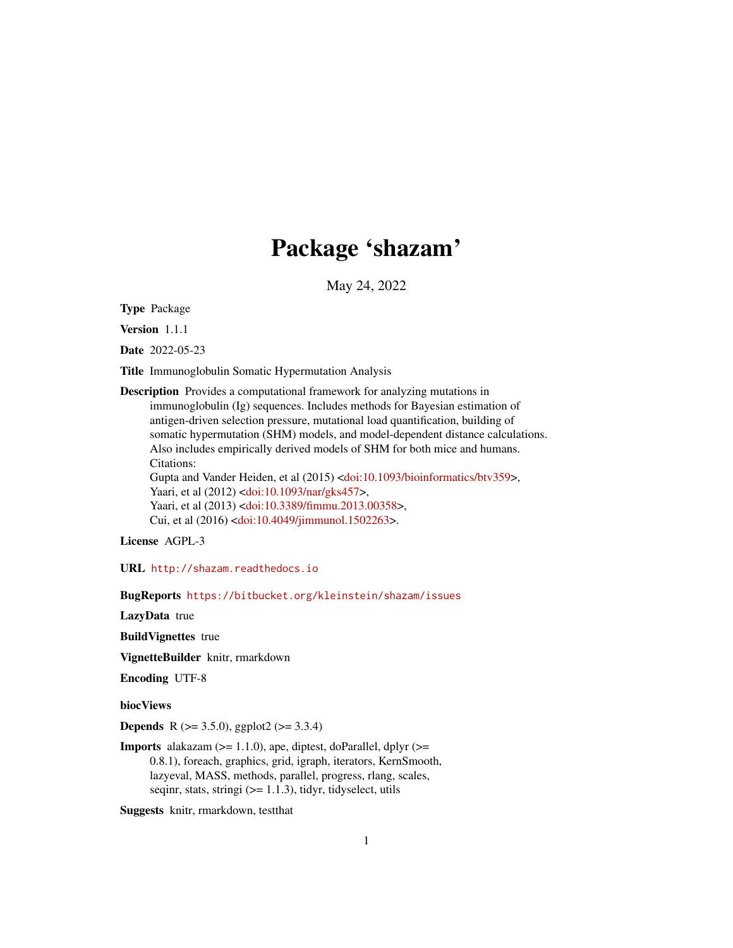# Package 'shazam'

May 24, 2022

Type Package

Version 1.1.1

Date 2022-05-23

Title Immunoglobulin Somatic Hypermutation Analysis

Description Provides a computational framework for analyzing mutations in immunoglobulin (Ig) sequences. Includes methods for Bayesian estimation of antigen-driven selection pressure, mutational load quantification, building of somatic hypermutation (SHM) models, and model-dependent distance calculations. Also includes empirically derived models of SHM for both mice and humans. Citations: Gupta and Vander Heiden, et al (2015) [<doi:10.1093/bioinformatics/btv359>](https://doi.org/10.1093/bioinformatics/btv359), Yaari, et al (2012) [<doi:10.1093/nar/gks457>](https://doi.org/10.1093/nar/gks457), Yaari, et al (2013) [<doi:10.3389/fimmu.2013.00358>](https://doi.org/10.3389/fimmu.2013.00358), Cui, et al (2016) [<doi:10.4049/jimmunol.1502263>](https://doi.org/10.4049/jimmunol.1502263).

License AGPL-3

URL <http://shazam.readthedocs.io>

BugReports <https://bitbucket.org/kleinstein/shazam/issues>

LazyData true

BuildVignettes true

VignetteBuilder knitr, rmarkdown

Encoding UTF-8

biocViews

**Depends** R ( $>= 3.5.0$ ), ggplot2 ( $>= 3.3.4$ )

**Imports** alakazam  $(>= 1.1.0)$ , ape, diptest, doParallel, dplyr  $(>= 1.1.0)$ 0.8.1), foreach, graphics, grid, igraph, iterators, KernSmooth, lazyeval, MASS, methods, parallel, progress, rlang, scales, seqinr, stats, stringi  $(>= 1.1.3)$ , tidyr, tidyselect, utils

Suggests knitr, rmarkdown, testthat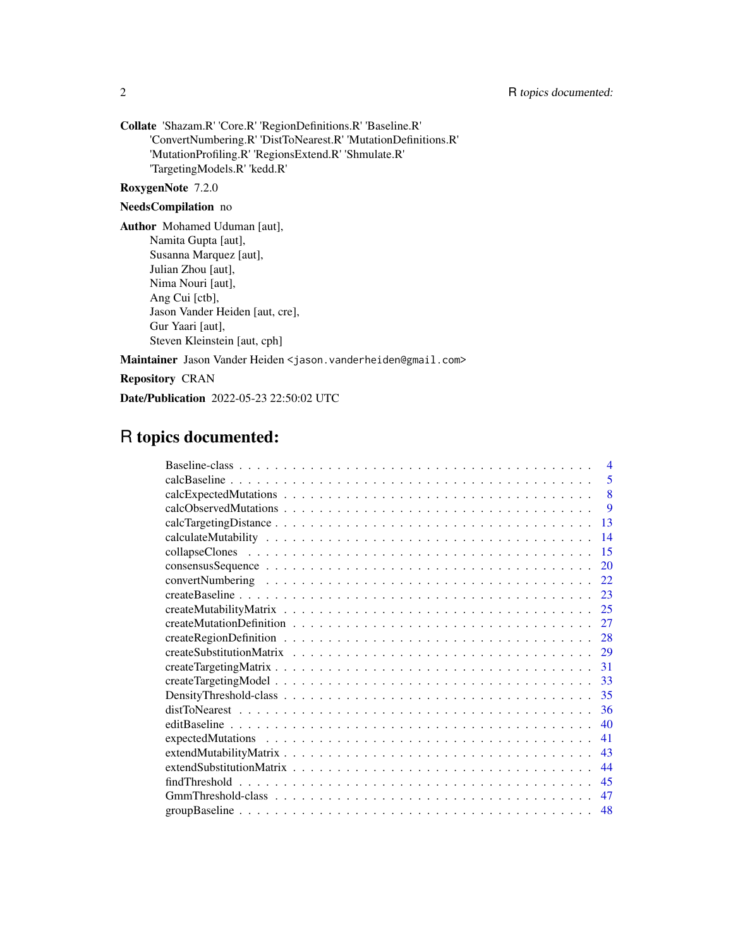Collate 'Shazam.R' 'Core.R' 'RegionDefinitions.R' 'Baseline.R' 'ConvertNumbering.R' 'DistToNearest.R' 'MutationDefinitions.R' 'MutationProfiling.R' 'RegionsExtend.R' 'Shmulate.R' 'TargetingModels.R' 'kedd.R'

## RoxygenNote 7.2.0

## NeedsCompilation no

Author Mohamed Uduman [aut], Namita Gupta [aut], Susanna Marquez [aut], Julian Zhou [aut], Nima Nouri [aut], Ang Cui [ctb], Jason Vander Heiden [aut, cre], Gur Yaari [aut], Steven Kleinstein [aut, cph]

Maintainer Jason Vander Heiden <jason.vanderheiden@gmail.com>

Repository CRAN

Date/Publication 2022-05-23 22:50:02 UTC

## R topics documented:

| $\overline{4}$      |
|---------------------|
| 5                   |
| 8                   |
| 9                   |
| 13                  |
| 14                  |
| 15                  |
| 20                  |
| 22                  |
| 23                  |
| 25                  |
| 27                  |
| 28                  |
| -29                 |
| 31                  |
| 33                  |
| 35                  |
| 36                  |
| 40                  |
| 41                  |
| 43                  |
| 44                  |
| 45<br>findThreshold |
| 47                  |
| 48                  |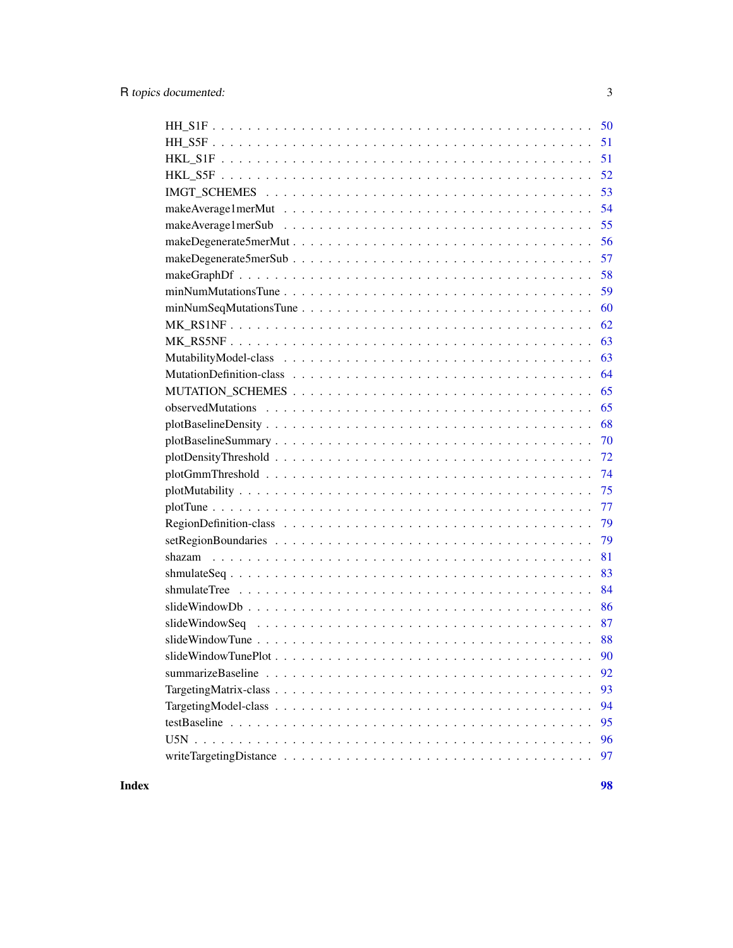| 51   |
|------|
| - 52 |
| 53   |
| 54   |
| 55   |
| 56   |
| 57   |
| 58   |
| 59   |
| 60   |
| 62   |
| 63   |
| 63   |
| 64   |
| 65   |
| 65   |
| 68   |
| 70   |
| 72   |
| 74   |
| 75   |
| 77   |
| 79   |
| 79   |
| 81   |
| 83   |
| 84   |
| 86   |
| 87   |
| 88   |
|      |
| 92   |
| 93   |
| 94   |
| 95   |
| 96   |
| 97   |

#### **Index** 2008 **Proposed by Except 2008 Proposed by Except 2008 Proposed by Except 2008**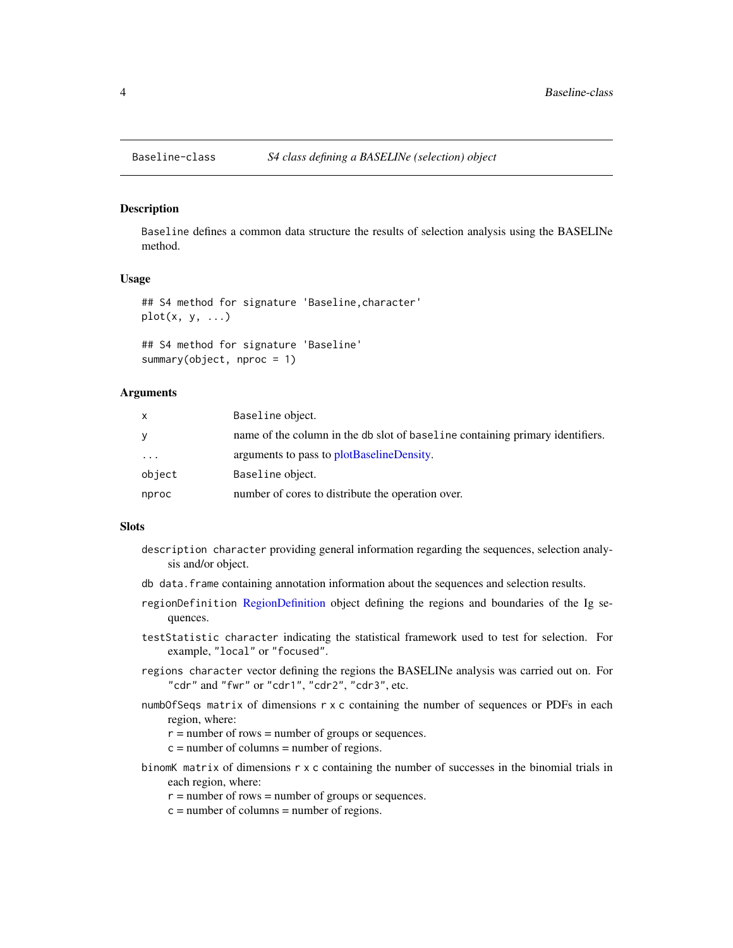<span id="page-3-0"></span>

#### <span id="page-3-1"></span>Description

Baseline defines a common data structure the results of selection analysis using the BASELINe method.

#### Usage

```
## S4 method for signature 'Baseline,character'
plot(x, y, ...)
```

```
## S4 method for signature 'Baseline'
summary(object, nproc = 1)
```
## **Arguments**

| x        | Baseline object.                                                              |
|----------|-------------------------------------------------------------------------------|
| y        | name of the column in the db slot of baseline containing primary identifiers. |
| $\ddots$ | arguments to pass to plotBaselineDensity.                                     |
| object   | Baseline object.                                                              |
| nproc    | number of cores to distribute the operation over.                             |

## Slots

- description character providing general information regarding the sequences, selection analysis and/or object.
- db data.frame containing annotation information about the sequences and selection results.
- regionDefinition [RegionDefinition](#page-78-1) object defining the regions and boundaries of the Ig sequences.
- testStatistic character indicating the statistical framework used to test for selection. For example, "local" or "focused".
- regions character vector defining the regions the BASELINe analysis was carried out on. For "cdr" and "fwr" or "cdr1", "cdr2", "cdr3", etc.
- numbOfSeqs matrix of dimensions r x c containing the number of sequences or PDFs in each region, where:
	- $r =$  number of rows = number of groups or sequences.
	- $c =$  number of columns = number of regions.
- binomK matrix of dimensions r x c containing the number of successes in the binomial trials in each region, where:
	- $r =$  number of rows = number of groups or sequences.
	- $c =$  number of columns = number of regions.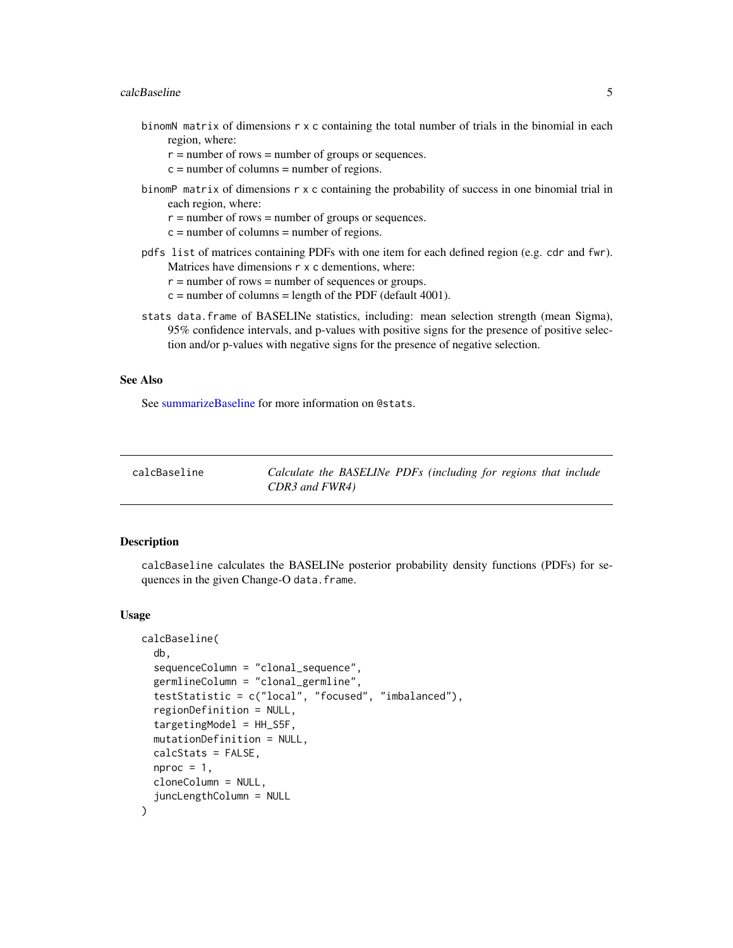#### <span id="page-4-0"></span>calcBaseline 5

- binomN matrix of dimensions r x c containing the total number of trials in the binomial in each region, where:
	- $r =$  number of rows = number of groups or sequences.
	- $c =$  number of columns = number of regions.
- binomP matrix of dimensions r x c containing the probability of success in one binomial trial in each region, where:
	- $r =$  number of rows = number of groups or sequences.
	- $c =$  number of columns = number of regions.
- pdfs list of matrices containing PDFs with one item for each defined region (e.g. cdr and fwr). Matrices have dimensions  $r \times c$  dementions, where:
	- $r =$  number of rows = number of sequences or groups.
	- $c =$  number of columns = length of the PDF (default 4001).
- stats data.frame of BASELINe statistics, including: mean selection strength (mean Sigma), 95% confidence intervals, and p-values with positive signs for the presence of positive selection and/or p-values with negative signs for the presence of negative selection.

#### See Also

See [summarizeBaseline](#page-91-1) for more information on @stats.

calcBaseline *Calculate the BASELINe PDFs (including for regions that include CDR3 and FWR4)*

#### Description

calcBaseline calculates the BASELINe posterior probability density functions (PDFs) for sequences in the given Change-O data.frame.

#### Usage

```
calcBaseline(
  db,
  sequenceColumn = "clonal_sequence",
  germlineColumn = "clonal_germline",
  testStatistic = c("local", "focused", "imbalanced"),
  regionDefinition = NULL,
  targetingModel = HH_S5F,
  mutationDefinition = NULL,
  calcStats = FALSE,
  nproc = 1,
  cloneColumn = NULL,
  juncLengthColumn = NULL
)
```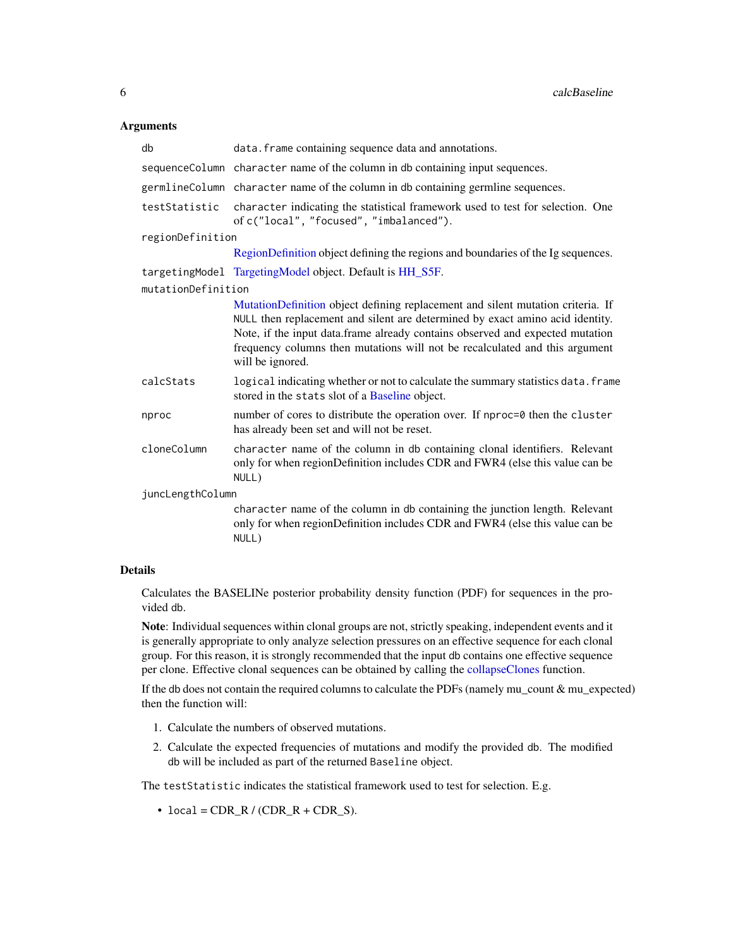## Arguments

| db                 | data. frame containing sequence data and annotations.                                                                                                                                                                                                                                                                                                |  |
|--------------------|------------------------------------------------------------------------------------------------------------------------------------------------------------------------------------------------------------------------------------------------------------------------------------------------------------------------------------------------------|--|
|                    | sequenceColumn character name of the column in db containing input sequences.                                                                                                                                                                                                                                                                        |  |
|                    | germlineColumn character name of the column in db containing germline sequences.                                                                                                                                                                                                                                                                     |  |
| testStatistic      | character indicating the statistical framework used to test for selection. One<br>of c("local", "focused", "imbalanced").                                                                                                                                                                                                                            |  |
| regionDefinition   |                                                                                                                                                                                                                                                                                                                                                      |  |
|                    | RegionDefinition object defining the regions and boundaries of the Ig sequences.                                                                                                                                                                                                                                                                     |  |
|                    | targetingModel TargetingModel object. Default is HH_S5F.                                                                                                                                                                                                                                                                                             |  |
| mutationDefinition |                                                                                                                                                                                                                                                                                                                                                      |  |
|                    | MutationDefinition object defining replacement and silent mutation criteria. If<br>NULL then replacement and silent are determined by exact amino acid identity.<br>Note, if the input data.frame already contains observed and expected mutation<br>frequency columns then mutations will not be recalculated and this argument<br>will be ignored. |  |
| calcStats          | logical indicating whether or not to calculate the summary statistics data. frame<br>stored in the stats slot of a Baseline object.                                                                                                                                                                                                                  |  |
| nproc              | number of cores to distribute the operation over. If nproc=0 then the cluster<br>has already been set and will not be reset.                                                                                                                                                                                                                         |  |
| cloneColumn        | character name of the column in db containing clonal identifiers. Relevant<br>only for when regionDefinition includes CDR and FWR4 (else this value can be<br>NULL)                                                                                                                                                                                  |  |
| juncLengthColumn   |                                                                                                                                                                                                                                                                                                                                                      |  |
|                    | character name of the column in db containing the junction length. Relevant<br>only for when regionDefinition includes CDR and FWR4 (else this value can be<br>NULL)                                                                                                                                                                                 |  |

## Details

Calculates the BASELINe posterior probability density function (PDF) for sequences in the provided db.

Note: Individual sequences within clonal groups are not, strictly speaking, independent events and it is generally appropriate to only analyze selection pressures on an effective sequence for each clonal group. For this reason, it is strongly recommended that the input db contains one effective sequence per clone. Effective clonal sequences can be obtained by calling the [collapseClones](#page-14-1) function.

If the db does not contain the required columns to calculate the PDFs (namely mu\_count & mu\_expected) then the function will:

- 1. Calculate the numbers of observed mutations.
- 2. Calculate the expected frequencies of mutations and modify the provided db. The modified db will be included as part of the returned Baseline object.

The testStatistic indicates the statistical framework used to test for selection. E.g.

 $\bullet$  local = CDR\_R / (CDR\_R + CDR\_S).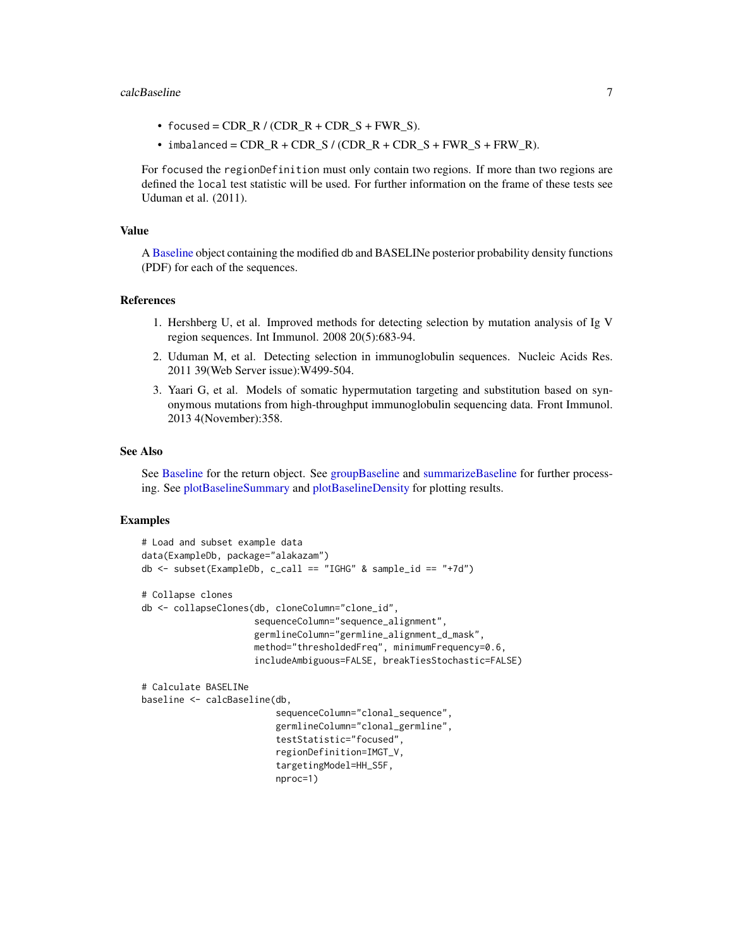#### calcBaseline 7

- focused =  $CDR_R / (CDR_R + CDR_S + FWR_S)$ .
- $\bullet$  imbalanced = CDR\_R + CDR\_S / (CDR\_R + CDR\_S + FWR\_S + FRW\_R).

For focused the regionDefinition must only contain two regions. If more than two regions are defined the local test statistic will be used. For further information on the frame of these tests see Uduman et al. (2011).

## Value

A [Baseline](#page-3-1) object containing the modified db and BASELINe posterior probability density functions (PDF) for each of the sequences.

## References

- 1. Hershberg U, et al. Improved methods for detecting selection by mutation analysis of Ig V region sequences. Int Immunol. 2008 20(5):683-94.
- 2. Uduman M, et al. Detecting selection in immunoglobulin sequences. Nucleic Acids Res. 2011 39(Web Server issue):W499-504.
- 3. Yaari G, et al. Models of somatic hypermutation targeting and substitution based on synonymous mutations from high-throughput immunoglobulin sequencing data. Front Immunol. 2013 4(November):358.

## See Also

See [Baseline](#page-3-1) for the return object. See [groupBaseline](#page-47-1) and [summarizeBaseline](#page-91-1) for further processing. See [plotBaselineSummary](#page-69-1) and [plotBaselineDensity](#page-67-1) for plotting results.

## Examples

```
# Load and subset example data
data(ExampleDb, package="alakazam")
db \le - subset(ExampleDb, c_call == "IGHG" & sample_id == "+7d")
# Collapse clones
db <- collapseClones(db, cloneColumn="clone_id",
                     sequenceColumn="sequence_alignment",
                     germlineColumn="germline_alignment_d_mask",
                     method="thresholdedFreq", minimumFrequency=0.6,
                     includeAmbiguous=FALSE, breakTiesStochastic=FALSE)
# Calculate BASELINe
baseline <- calcBaseline(db,
                         sequenceColumn="clonal_sequence",
                         germlineColumn="clonal_germline",
                         testStatistic="focused",
                         regionDefinition=IMGT_V,
                         targetingModel=HH_S5F,
                         nproc=1)
```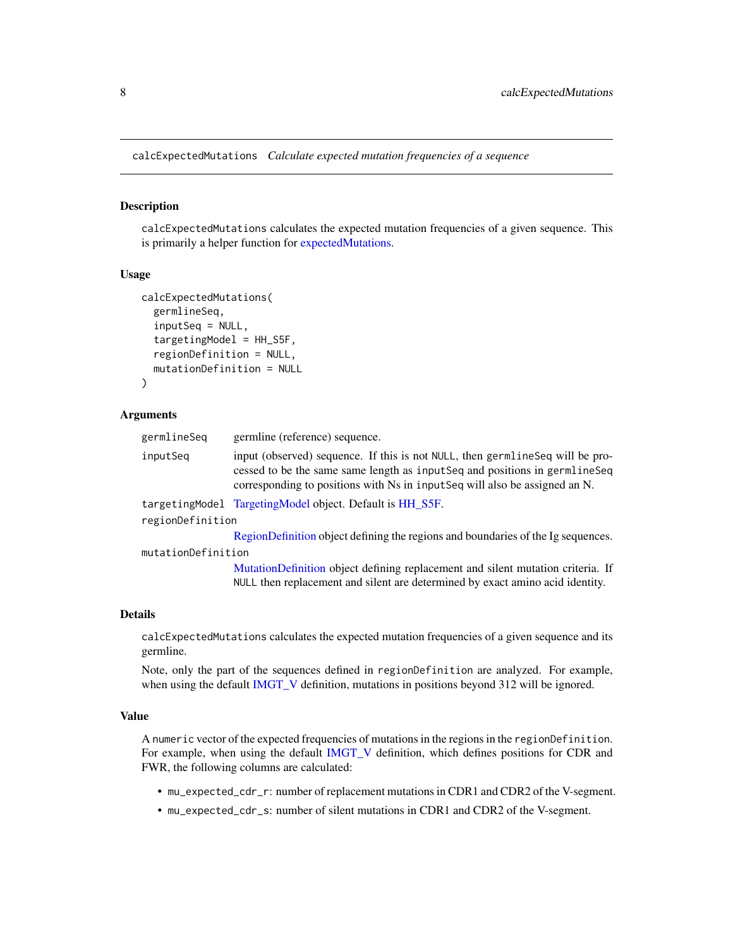<span id="page-7-0"></span>calcExpectedMutations *Calculate expected mutation frequencies of a sequence*

#### Description

calcExpectedMutations calculates the expected mutation frequencies of a given sequence. This is primarily a helper function for [expectedMutations.](#page-40-1)

## Usage

```
calcExpectedMutations(
  germlineSeq,
  inputSeq = NULL,
  targetingModel = HH_S5F,
  regionDefinition = NULL,
  mutationDefinition = NULL
)
```
## Arguments

| germlineSea        | germline (reference) sequence.                                                                                                                                                                                                               |
|--------------------|----------------------------------------------------------------------------------------------------------------------------------------------------------------------------------------------------------------------------------------------|
| inputSeq           | input (observed) sequence. If this is not NULL, then germline Seq will be pro-<br>cessed to be the same same length as input Seq and positions in germline Seq<br>corresponding to positions with Ns in inputSeq will also be assigned an N. |
|                    | targetingModel TargetingModel object. Default is HH S5F.                                                                                                                                                                                     |
| regionDefinition   |                                                                                                                                                                                                                                              |
|                    | RegionDefinition object defining the regions and boundaries of the Ig sequences.                                                                                                                                                             |
| mutationDefinition |                                                                                                                                                                                                                                              |
|                    | MutationDefinition object defining replacement and silent mutation criteria. If<br>NULL then replacement and silent are determined by exact amino acid identity.                                                                             |
|                    |                                                                                                                                                                                                                                              |

## Details

calcExpectedMutations calculates the expected mutation frequencies of a given sequence and its germline.

Note, only the part of the sequences defined in regionDefinition are analyzed. For example, when using the default [IMGT\\_V](#page-52-1) definition, mutations in positions beyond 312 will be ignored.

## Value

A numeric vector of the expected frequencies of mutations in the regions in the regionDefinition. For example, when using the default [IMGT\\_V](#page-52-1) definition, which defines positions for CDR and FWR, the following columns are calculated:

- mu\_expected\_cdr\_r: number of replacement mutations in CDR1 and CDR2 of the V-segment.
- mu\_expected\_cdr\_s: number of silent mutations in CDR1 and CDR2 of the V-segment.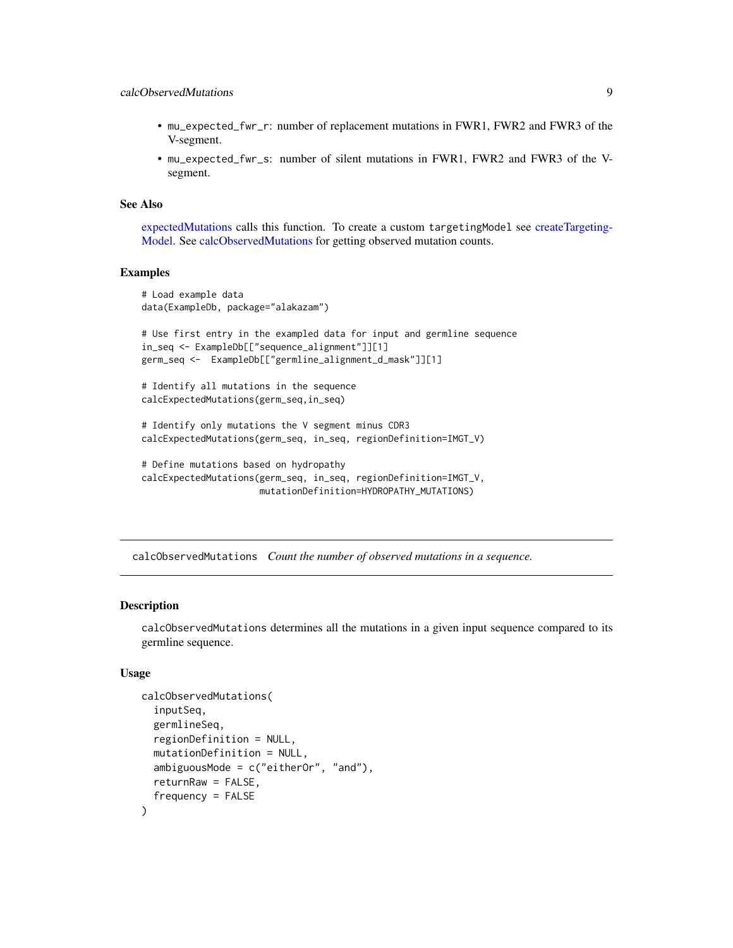- <span id="page-8-0"></span>• mu\_expected\_fwr\_r: number of replacement mutations in FWR1, FWR2 and FWR3 of the V-segment.
- mu\_expected\_fwr\_s: number of silent mutations in FWR1, FWR2 and FWR3 of the Vsegment.

## See Also

[expectedMutations](#page-40-1) calls this function. To create a custom targetingModel see [createTargeting-](#page-32-1)[Model.](#page-32-1) See [calcObservedMutations](#page-8-1) for getting observed mutation counts.

#### Examples

```
# Load example data
data(ExampleDb, package="alakazam")
# Use first entry in the exampled data for input and germline sequence
in_seq <- ExampleDb[["sequence_alignment"]][1]
germ_seq <- ExampleDb[["germline_alignment_d_mask"]][1]
# Identify all mutations in the sequence
calcExpectedMutations(germ_seq,in_seq)
# Identify only mutations the V segment minus CDR3
calcExpectedMutations(germ_seq, in_seq, regionDefinition=IMGT_V)
# Define mutations based on hydropathy
```

```
calcExpectedMutations(germ_seq, in_seq, regionDefinition=IMGT_V,
                     mutationDefinition=HYDROPATHY_MUTATIONS)
```
<span id="page-8-1"></span>calcObservedMutations *Count the number of observed mutations in a sequence.*

#### Description

calcObservedMutations determines all the mutations in a given input sequence compared to its germline sequence.

## Usage

```
calcObservedMutations(
  inputSeq,
  germlineSeq,
  regionDefinition = NULL,
  mutationDefinition = NULL,
  ambiguousMode = c("eitherOr", "and"),
  returnRaw = FALSE,
  frequency = FALSE
)
```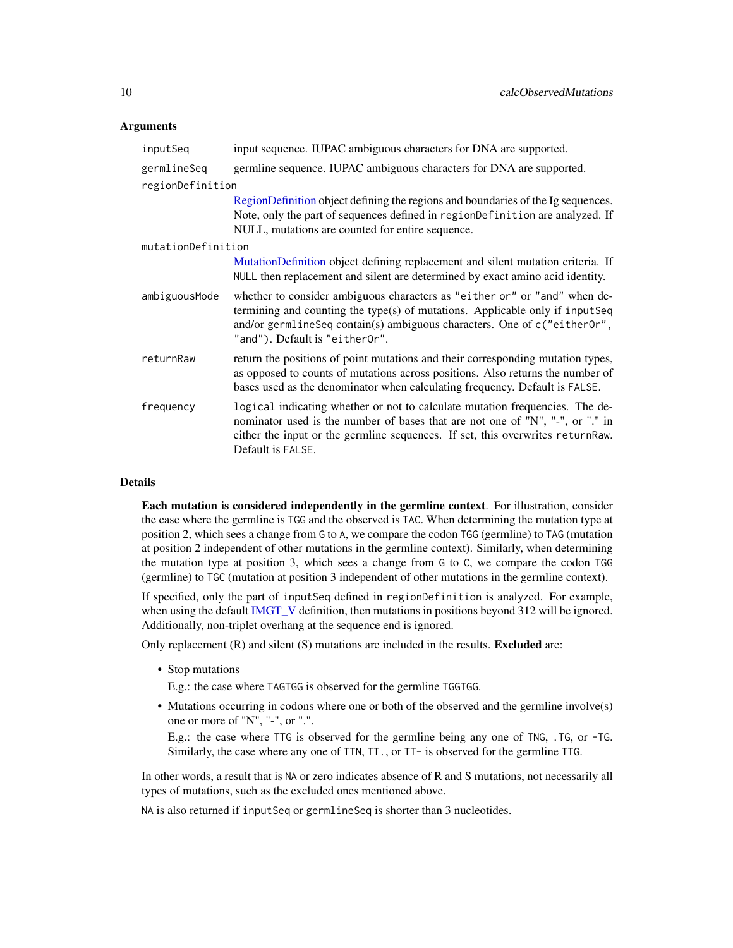## Arguments

| inputSeq           | input sequence. IUPAC ambiguous characters for DNA are supported.                                                                                                                                                                                                       |  |
|--------------------|-------------------------------------------------------------------------------------------------------------------------------------------------------------------------------------------------------------------------------------------------------------------------|--|
| germlineSeq        | germline sequence. IUPAC ambiguous characters for DNA are supported.                                                                                                                                                                                                    |  |
| regionDefinition   |                                                                                                                                                                                                                                                                         |  |
|                    | RegionDefinition object defining the regions and boundaries of the Ig sequences.<br>Note, only the part of sequences defined in regionDefinition are analyzed. If<br>NULL, mutations are counted for entire sequence.                                                   |  |
| mutationDefinition |                                                                                                                                                                                                                                                                         |  |
|                    | MutationDefinition object defining replacement and silent mutation criteria. If<br>NULL then replacement and silent are determined by exact amino acid identity.                                                                                                        |  |
| ambiguousMode      | whether to consider ambiguous characters as "either or" or "and" when de-<br>termining and counting the type(s) of mutations. Applicable only if inputSeq<br>and/or germlineSeq contain(s) ambiguous characters. One of c("either0r",<br>"and"). Default is "either0r". |  |
| returnRaw          | return the positions of point mutations and their corresponding mutation types,<br>as opposed to counts of mutations across positions. Also returns the number of<br>bases used as the denominator when calculating frequency. Default is FALSE.                        |  |
| frequency          | logical indicating whether or not to calculate mutation frequencies. The de-<br>nominator used is the number of bases that are not one of "N", "-", or "." in<br>either the input or the germline sequences. If set, this overwrites returnRaw.<br>Default is FALSE.    |  |

## Details

Each mutation is considered independently in the germline context. For illustration, consider the case where the germline is TGG and the observed is TAC. When determining the mutation type at position 2, which sees a change from G to A, we compare the codon TGG (germline) to TAG (mutation at position 2 independent of other mutations in the germline context). Similarly, when determining the mutation type at position 3, which sees a change from G to C, we compare the codon TGG (germline) to TGC (mutation at position 3 independent of other mutations in the germline context).

If specified, only the part of inputSeq defined in regionDefinition is analyzed. For example, when using the default [IMGT\\_V](#page-52-1) definition, then mutations in positions beyond 312 will be ignored. Additionally, non-triplet overhang at the sequence end is ignored.

Only replacement  $(R)$  and silent  $(S)$  mutations are included in the results. **Excluded** are:

• Stop mutations

E.g.: the case where TAGTGG is observed for the germline TGGTGG.

• Mutations occurring in codons where one or both of the observed and the germline involve(s) one or more of "N", "-", or ".".

E.g.: the case where TTG is observed for the germline being any one of TNG, .TG, or -TG. Similarly, the case where any one of TTN, TT., or TT- is observed for the germline TTG.

In other words, a result that is NA or zero indicates absence of R and S mutations, not necessarily all types of mutations, such as the excluded ones mentioned above.

NA is also returned if inputSeq or germlineSeq is shorter than 3 nucleotides.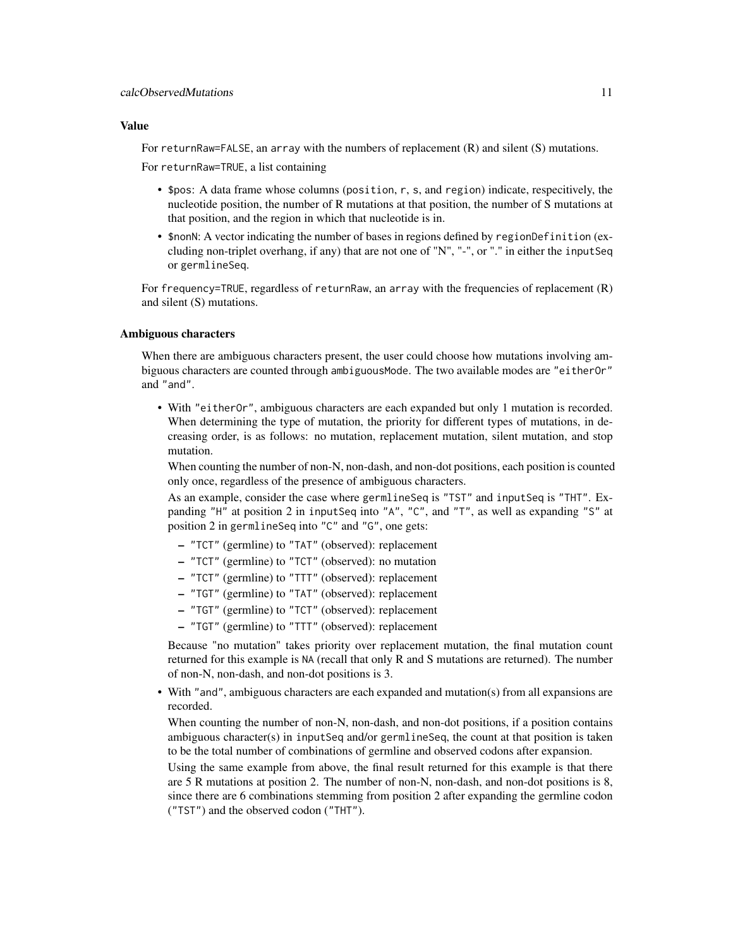#### Value

For returnRaw=FALSE, an array with the numbers of replacement (R) and silent (S) mutations.

For returnRaw=TRUE, a list containing

- \$pos: A data frame whose columns (position, r, s, and region) indicate, respecitively, the nucleotide position, the number of R mutations at that position, the number of S mutations at that position, and the region in which that nucleotide is in.
- \$ non N: A vector indicating the number of bases in regions defined by region Definition (excluding non-triplet overhang, if any) that are not one of "N", "-", or "." in either the inputSeq or germlineSeq.

For frequency=TRUE, regardless of returnRaw, an array with the frequencies of replacement  $(R)$ and silent (S) mutations.

## Ambiguous characters

When there are ambiguous characters present, the user could choose how mutations involving ambiguous characters are counted through ambiguousMode. The two available modes are "eitherOr" and "and".

• With "eitherOr", ambiguous characters are each expanded but only 1 mutation is recorded. When determining the type of mutation, the priority for different types of mutations, in decreasing order, is as follows: no mutation, replacement mutation, silent mutation, and stop mutation.

When counting the number of non-N, non-dash, and non-dot positions, each position is counted only once, regardless of the presence of ambiguous characters.

As an example, consider the case where germlineSeq is "TST" and inputSeq is "THT". Expanding "H" at position 2 in inputSeq into "A", "C", and "T", as well as expanding "S" at position 2 in germlineSeq into "C" and "G", one gets:

- "TCT" (germline) to "TAT" (observed): replacement
- "TCT" (germline) to "TCT" (observed): no mutation
- "TCT" (germline) to "TTT" (observed): replacement
- "TGT" (germline) to "TAT" (observed): replacement
- "TGT" (germline) to "TCT" (observed): replacement
- "TGT" (germline) to "TTT" (observed): replacement

Because "no mutation" takes priority over replacement mutation, the final mutation count returned for this example is NA (recall that only R and S mutations are returned). The number of non-N, non-dash, and non-dot positions is 3.

• With "and", ambiguous characters are each expanded and mutation(s) from all expansions are recorded.

When counting the number of non-N, non-dash, and non-dot positions, if a position contains ambiguous character(s) in inputSeq and/or germlineSeq, the count at that position is taken to be the total number of combinations of germline and observed codons after expansion.

Using the same example from above, the final result returned for this example is that there are 5 R mutations at position 2. The number of non-N, non-dash, and non-dot positions is 8, since there are 6 combinations stemming from position 2 after expanding the germline codon ("TST") and the observed codon ("THT").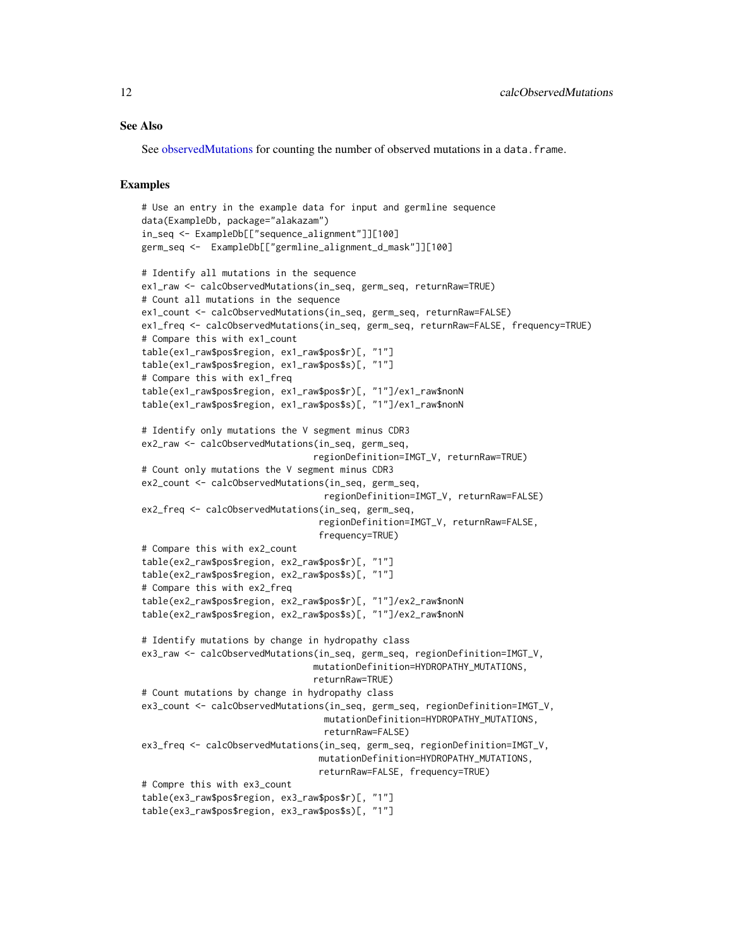## See Also

See [observedMutations](#page-64-1) for counting the number of observed mutations in a data. frame.

## Examples

```
# Use an entry in the example data for input and germline sequence
data(ExampleDb, package="alakazam")
in_seq <- ExampleDb[["sequence_alignment"]][100]
germ_seq <- ExampleDb[["germline_alignment_d_mask"]][100]
# Identify all mutations in the sequence
ex1_raw <- calcObservedMutations(in_seq, germ_seq, returnRaw=TRUE)
# Count all mutations in the sequence
ex1_count <- calcObservedMutations(in_seq, germ_seq, returnRaw=FALSE)
ex1_freq <- calcObservedMutations(in_seq, germ_seq, returnRaw=FALSE, frequency=TRUE)
# Compare this with ex1_count
table(ex1_raw$pos$region, ex1_raw$pos$r)[, "1"]
table(ex1_raw$pos$region, ex1_raw$pos$s)[, "1"]
# Compare this with ex1_freq
table(ex1_raw$pos$region, ex1_raw$pos$r)[, "1"]/ex1_raw$nonN
table(ex1_raw$pos$region, ex1_raw$pos$s)[, "1"]/ex1_raw$nonN
# Identify only mutations the V segment minus CDR3
ex2_raw <- calcObservedMutations(in_seq, germ_seq,
                                regionDefinition=IMGT_V, returnRaw=TRUE)
# Count only mutations the V segment minus CDR3
ex2_count <- calcObservedMutations(in_seq, germ_seq,
                                  regionDefinition=IMGT_V, returnRaw=FALSE)
ex2_freq <- calcObservedMutations(in_seq, germ_seq,
                                 regionDefinition=IMGT_V, returnRaw=FALSE,
                                 frequency=TRUE)
# Compare this with ex2_count
table(ex2_raw$pos$region, ex2_raw$pos$r)[, "1"]
table(ex2_raw$pos$region, ex2_raw$pos$s)[, "1"]
# Compare this with ex2_freq
table(ex2_raw$pos$region, ex2_raw$pos$r)[, "1"]/ex2_raw$nonN
table(ex2_raw$pos$region, ex2_raw$pos$s)[, "1"]/ex2_raw$nonN
# Identify mutations by change in hydropathy class
ex3_raw <- calcObservedMutations(in_seq, germ_seq, regionDefinition=IMGT_V,
                                mutationDefinition=HYDROPATHY_MUTATIONS,
                                returnRaw=TRUE)
# Count mutations by change in hydropathy class
ex3_count <- calcObservedMutations(in_seq, germ_seq, regionDefinition=IMGT_V,
                                  mutationDefinition=HYDROPATHY_MUTATIONS,
                                  returnRaw=FALSE)
ex3_freq <- calcObservedMutations(in_seq, germ_seq, regionDefinition=IMGT_V,
                                 mutationDefinition=HYDROPATHY_MUTATIONS,
                                 returnRaw=FALSE, frequency=TRUE)
# Compre this with ex3_count
table(ex3_raw$pos$region, ex3_raw$pos$r)[, "1"]
table(ex3_raw$pos$region, ex3_raw$pos$s)[, "1"]
```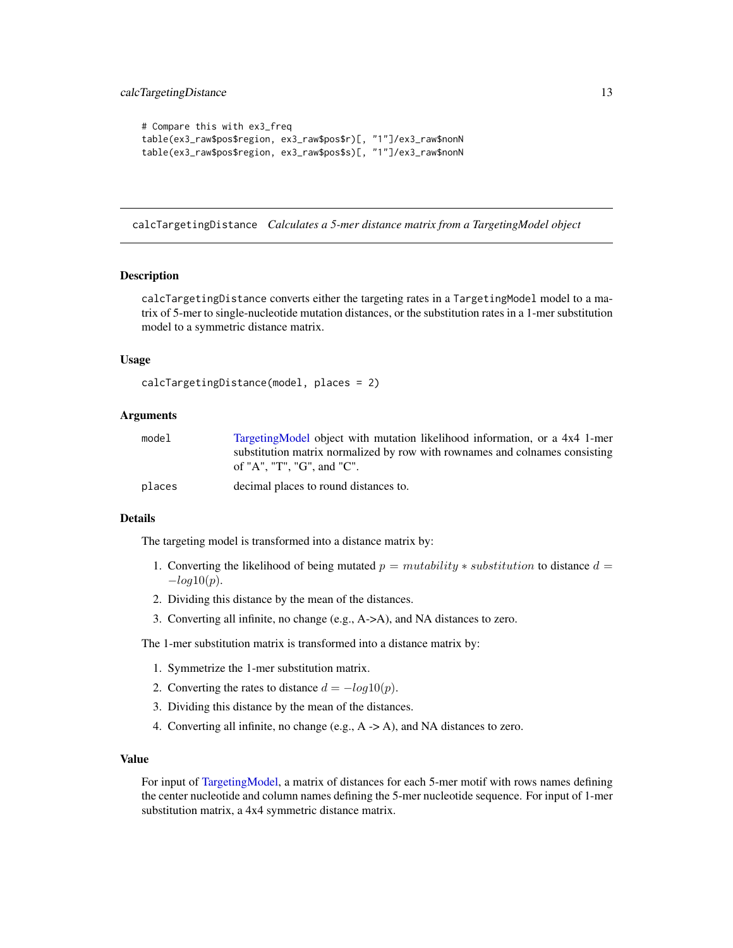```
# Compare this with ex3_freq
table(ex3_raw$pos$region, ex3_raw$pos$r)[, "1"]/ex3_raw$nonN
table(ex3_raw$pos$region, ex3_raw$pos$s)[, "1"]/ex3_raw$nonN
```
calcTargetingDistance *Calculates a 5-mer distance matrix from a TargetingModel object*

#### Description

calcTargetingDistance converts either the targeting rates in a TargetingModel model to a matrix of 5-mer to single-nucleotide mutation distances, or the substitution rates in a 1-mer substitution model to a symmetric distance matrix.

#### Usage

```
calcTargetingDistance(model, places = 2)
```
## Arguments

| model  | TargetingModel object with mutation likelihood information, or a 4x4 1-mer  |
|--------|-----------------------------------------------------------------------------|
|        | substitution matrix normalized by row with rownames and colnames consisting |
|        | of "A". "T". "G". and "C".                                                  |
| places | decimal places to round distances to.                                       |

#### Details

The targeting model is transformed into a distance matrix by:

- 1. Converting the likelihood of being mutated  $p =$  mutability  $*$  substitution to distance  $d =$  $-log10(p)$ .
- 2. Dividing this distance by the mean of the distances.
- 3. Converting all infinite, no change (e.g., A->A), and NA distances to zero.

The 1-mer substitution matrix is transformed into a distance matrix by:

- 1. Symmetrize the 1-mer substitution matrix.
- 2. Converting the rates to distance  $d = -log10(p)$ .
- 3. Dividing this distance by the mean of the distances.
- 4. Converting all infinite, no change (e.g., A -> A), and NA distances to zero.

## Value

For input of [TargetingModel,](#page-93-1) a matrix of distances for each 5-mer motif with rows names defining the center nucleotide and column names defining the 5-mer nucleotide sequence. For input of 1-mer substitution matrix, a 4x4 symmetric distance matrix.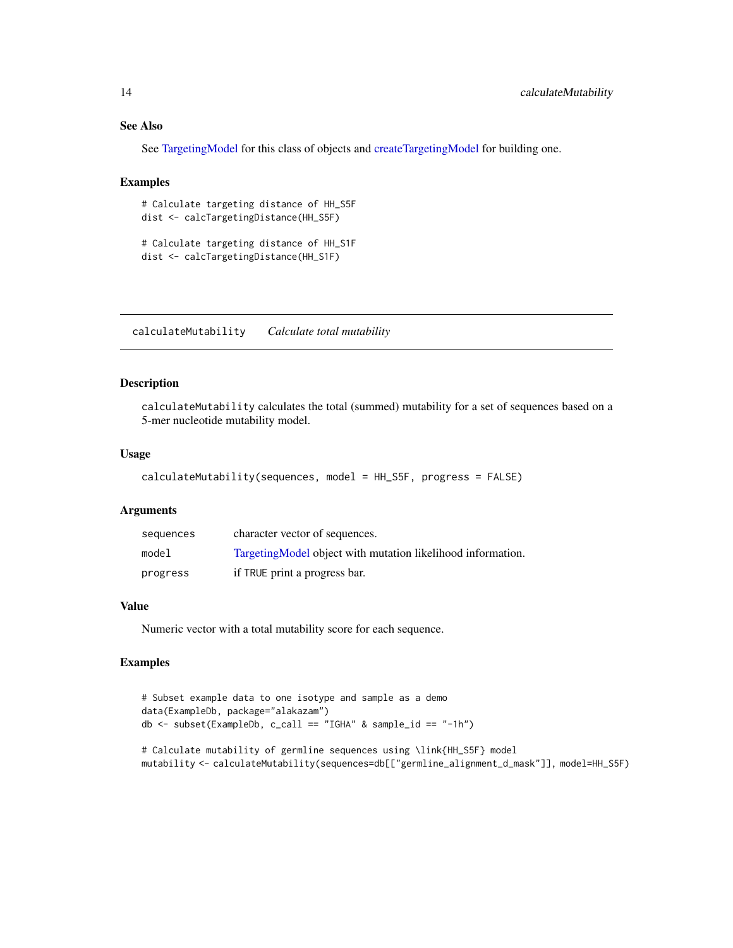## See Also

See [TargetingModel](#page-93-1) for this class of objects and [createTargetingModel](#page-32-1) for building one.

## Examples

```
# Calculate targeting distance of HH_S5F
dist <- calcTargetingDistance(HH_S5F)
```

```
# Calculate targeting distance of HH_S1F
dist <- calcTargetingDistance(HH_S1F)
```
calculateMutability *Calculate total mutability*

## Description

calculateMutability calculates the total (summed) mutability for a set of sequences based on a 5-mer nucleotide mutability model.

## Usage

```
calculateMutability(sequences, model = HH_S5F, progress = FALSE)
```
#### Arguments

| sequences | character vector of sequences.                               |
|-----------|--------------------------------------------------------------|
| model     | Targeting Model object with mutation likelihood information. |
| progress  | if TRUE print a progress bar.                                |

#### Value

Numeric vector with a total mutability score for each sequence.

## Examples

```
# Subset example data to one isotype and sample as a demo
data(ExampleDb, package="alakazam")
db \leftarrow subset(ExampleDb, c\_call == "IGHA" & sample_id == "-1h")
```

```
# Calculate mutability of germline sequences using \link{HH_S5F} model
mutability <- calculateMutability(sequences=db[["germline_alignment_d_mask"]], model=HH_S5F)
```
<span id="page-13-0"></span>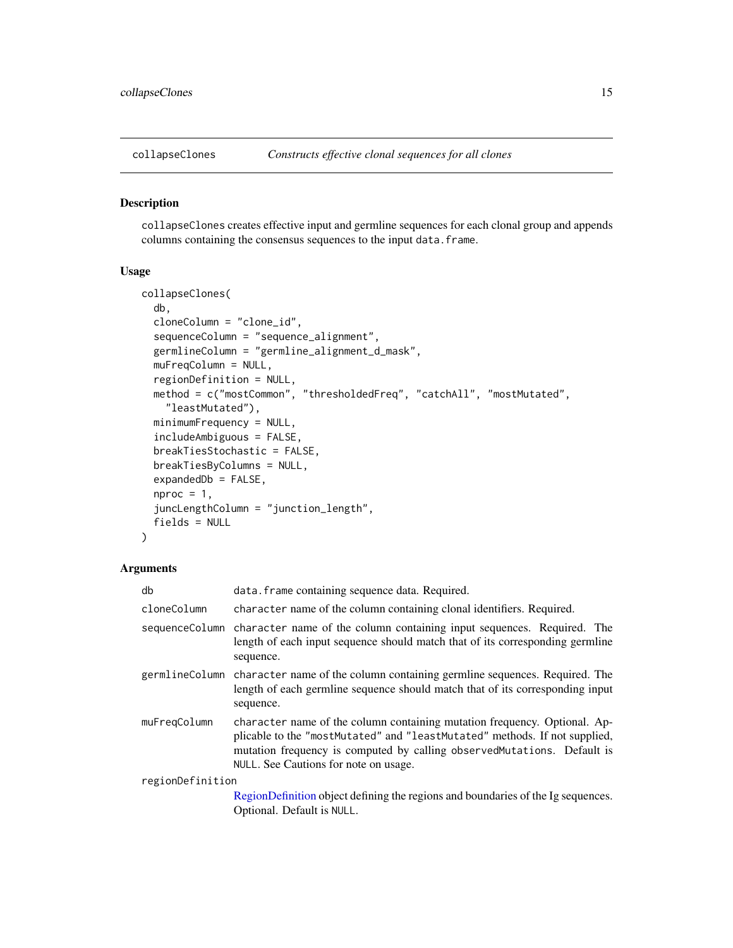<span id="page-14-1"></span><span id="page-14-0"></span>

#### Description

collapseClones creates effective input and germline sequences for each clonal group and appends columns containing the consensus sequences to the input data. frame.

## Usage

```
collapseClones(
  db,
  cloneColumn = "clone_id",
  sequenceColumn = "sequence_alignment",
  germlineColumn = "germline_alignment_d_mask",
 muFreqColumn = NULL,
  regionDefinition = NULL,
  method = c("mostCommon", "thresholdedFreq", "catchAll", "mostMutated",
    "leastMutated"),
  minimumFrequency = NULL,
  includeAmbiguous = FALSE,
  breakTiesStochastic = FALSE,
  breakTiesByColumns = NULL,
  expandedDb = FALSE,
  nproc = 1,juncLengthColumn = "junction_length",
  fields = NULL
)
```
## Arguments

| db               | data. frame containing sequence data. Required.                                                                                                                                                                                                                              |
|------------------|------------------------------------------------------------------------------------------------------------------------------------------------------------------------------------------------------------------------------------------------------------------------------|
| cloneColumn      | character name of the column containing clonal identifiers. Required.                                                                                                                                                                                                        |
|                  | sequence Column character name of the column containing input sequences. Required. The<br>length of each input sequence should match that of its corresponding germline<br>sequence.                                                                                         |
|                  | germline Column character name of the column containing germline sequences. Required. The<br>length of each germline sequence should match that of its corresponding input<br>sequence.                                                                                      |
| muFreqColumn     | character name of the column containing mutation frequency. Optional. Ap-<br>plicable to the "mostMutated" and "leastMutated" methods. If not supplied,<br>mutation frequency is computed by calling observed Mutations. Default is<br>NULL. See Cautions for note on usage. |
| regionDefinition |                                                                                                                                                                                                                                                                              |
|                  | RegionDefinition object defining the regions and boundaries of the Ig sequences.<br>Optional. Default is NULL.                                                                                                                                                               |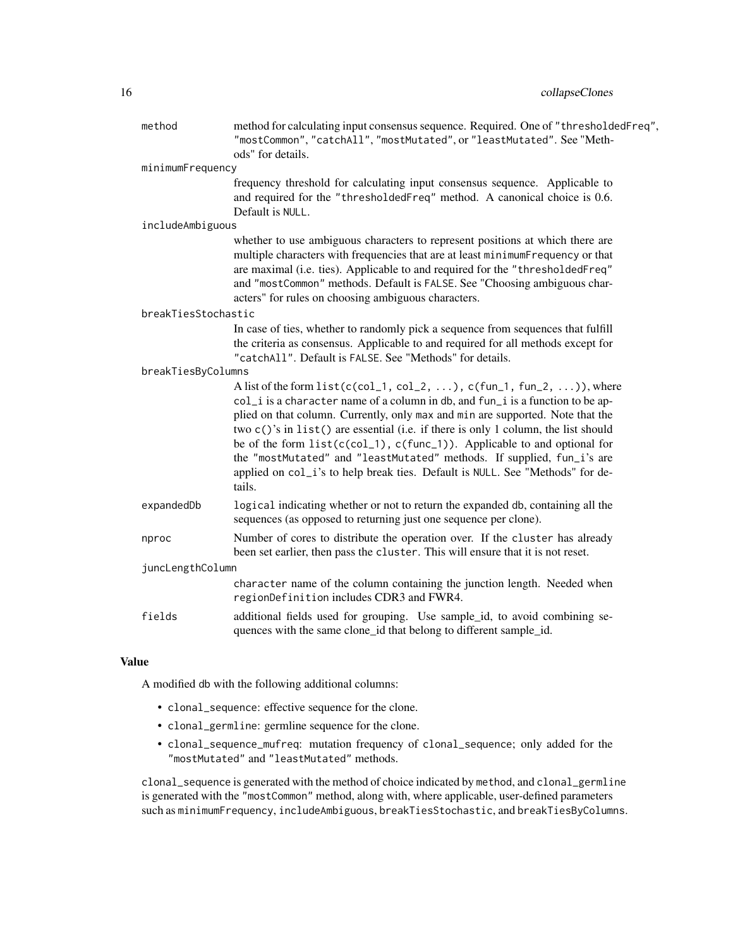| method              | method for calculating input consensus sequence. Required. One of "thresholdedFreq",<br>"mostCommon", "catchAll", "mostMutated", or "leastMutated". See "Meth-<br>ods" for details.                                                                                                                                                                                                                                                                                                                                                                                                        |  |
|---------------------|--------------------------------------------------------------------------------------------------------------------------------------------------------------------------------------------------------------------------------------------------------------------------------------------------------------------------------------------------------------------------------------------------------------------------------------------------------------------------------------------------------------------------------------------------------------------------------------------|--|
| minimumFrequency    |                                                                                                                                                                                                                                                                                                                                                                                                                                                                                                                                                                                            |  |
|                     | frequency threshold for calculating input consensus sequence. Applicable to<br>and required for the "thresholdedFreq" method. A canonical choice is 0.6.<br>Default is NULL.                                                                                                                                                                                                                                                                                                                                                                                                               |  |
| includeAmbiguous    |                                                                                                                                                                                                                                                                                                                                                                                                                                                                                                                                                                                            |  |
|                     | whether to use ambiguous characters to represent positions at which there are<br>multiple characters with frequencies that are at least minimumFrequency or that<br>are maximal (i.e. ties). Applicable to and required for the "thresholdedFreq"<br>and "mostCommon" methods. Default is FALSE. See "Choosing ambiguous char-<br>acters" for rules on choosing ambiguous characters.                                                                                                                                                                                                      |  |
| breakTiesStochastic |                                                                                                                                                                                                                                                                                                                                                                                                                                                                                                                                                                                            |  |
|                     | In case of ties, whether to randomly pick a sequence from sequences that fulfill<br>the criteria as consensus. Applicable to and required for all methods except for<br>"catchAll". Default is FALSE. See "Methods" for details.                                                                                                                                                                                                                                                                                                                                                           |  |
| breakTiesByColumns  |                                                                                                                                                                                                                                                                                                                                                                                                                                                                                                                                                                                            |  |
|                     | A list of the form $list(c(col_1, col_2, )$ , $c(fun_1, fun_2, )$ , where<br>col_i is a character name of a column in db, and fun_i is a function to be ap-<br>plied on that column. Currently, only max and min are supported. Note that the<br>two $c()$ 's in list $()$ are essential (i.e. if there is only 1 column, the list should<br>be of the form list(c(col_1), c(func_1)). Applicable to and optional for<br>the "mostMutated" and "leastMutated" methods. If supplied, fun_i's are<br>applied on col_i's to help break ties. Default is NULL. See "Methods" for de-<br>tails. |  |
| expandedDb          | logical indicating whether or not to return the expanded db, containing all the<br>sequences (as opposed to returning just one sequence per clone).                                                                                                                                                                                                                                                                                                                                                                                                                                        |  |
| nproc               | Number of cores to distribute the operation over. If the cluster has already<br>been set earlier, then pass the cluster. This will ensure that it is not reset.                                                                                                                                                                                                                                                                                                                                                                                                                            |  |
| juncLengthColumn    |                                                                                                                                                                                                                                                                                                                                                                                                                                                                                                                                                                                            |  |
|                     | character name of the column containing the junction length. Needed when<br>regionDefinition includes CDR3 and FWR4.                                                                                                                                                                                                                                                                                                                                                                                                                                                                       |  |
| fields              | additional fields used for grouping. Use sample_id, to avoid combining se-<br>quences with the same clone_id that belong to different sample_id.                                                                                                                                                                                                                                                                                                                                                                                                                                           |  |

## Value

A modified db with the following additional columns:

- clonal\_sequence: effective sequence for the clone.
- clonal\_germline: germline sequence for the clone.
- clonal\_sequence\_mufreq: mutation frequency of clonal\_sequence; only added for the "mostMutated" and "leastMutated" methods.

clonal\_sequence is generated with the method of choice indicated by method, and clonal\_germline is generated with the "mostCommon" method, along with, where applicable, user-defined parameters such as minimumFrequency, includeAmbiguous, breakTiesStochastic, and breakTiesByColumns.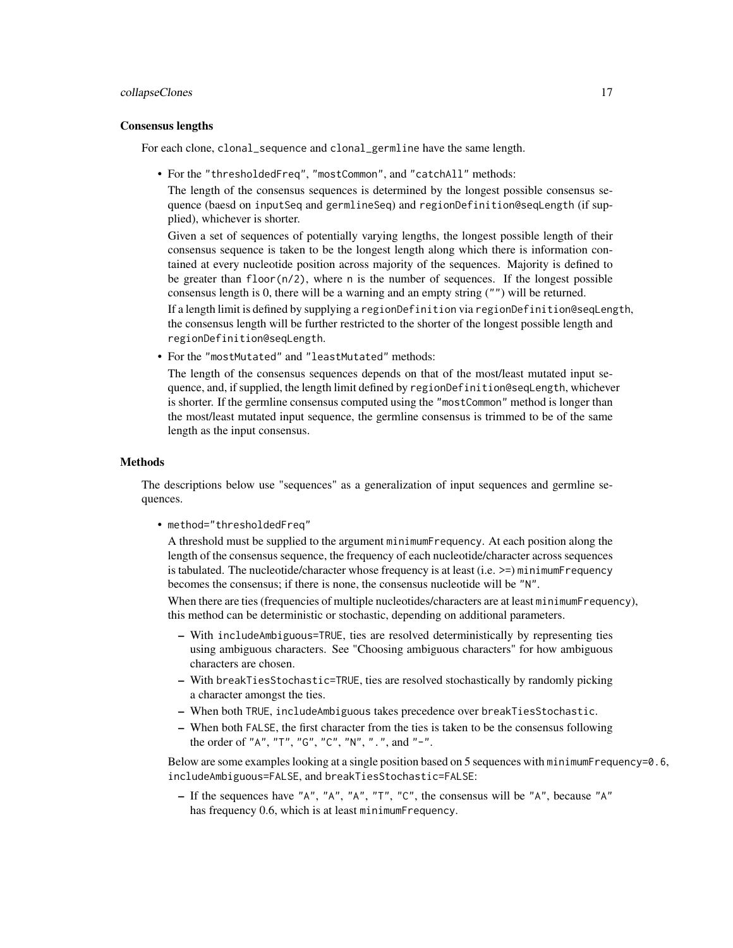## collapseClones 17

#### Consensus lengths

For each clone, clonal\_sequence and clonal\_germline have the same length.

• For the "thresholdedFreq", "mostCommon", and "catchAll" methods:

The length of the consensus sequences is determined by the longest possible consensus sequence (baesd on inputSeq and germlineSeq) and regionDefinition@seqLength (if supplied), whichever is shorter.

Given a set of sequences of potentially varying lengths, the longest possible length of their consensus sequence is taken to be the longest length along which there is information contained at every nucleotide position across majority of the sequences. Majority is defined to be greater than  $floor(n/2)$ , where n is the number of sequences. If the longest possible consensus length is 0, there will be a warning and an empty string ("") will be returned. If a length limit is defined by supplying a regionDefinition via regionDefinition@seqLength, the consensus length will be further restricted to the shorter of the longest possible length and regionDefinition@seqLength.

• For the "mostMutated" and "leastMutated" methods:

The length of the consensus sequences depends on that of the most/least mutated input sequence, and, if supplied, the length limit defined by regionDefinition@seqLength, whichever is shorter. If the germline consensus computed using the "mostCommon" method is longer than the most/least mutated input sequence, the germline consensus is trimmed to be of the same length as the input consensus.

## Methods

The descriptions below use "sequences" as a generalization of input sequences and germline sequences.

• method="thresholdedFreq"

A threshold must be supplied to the argument minimumFrequency. At each position along the length of the consensus sequence, the frequency of each nucleotide/character across sequences is tabulated. The nucleotide/character whose frequency is at least (i.e.  $>=$ ) minimumFrequency becomes the consensus; if there is none, the consensus nucleotide will be "N".

When there are ties (frequencies of multiple nucleotides/characters are at least minimumFrequency), this method can be deterministic or stochastic, depending on additional parameters.

- With includeAmbiguous=TRUE, ties are resolved deterministically by representing ties using ambiguous characters. See "Choosing ambiguous characters" for how ambiguous characters are chosen.
- With breakTiesStochastic=TRUE, ties are resolved stochastically by randomly picking a character amongst the ties.
- When both TRUE, includeAmbiguous takes precedence over breakTiesStochastic.
- When both FALSE, the first character from the ties is taken to be the consensus following the order of "A", "T", "G", "C", "N", ".", and "-".

Below are some examples looking at a single position based on 5 sequences with minimumFrequency=0.6, includeAmbiguous=FALSE, and breakTiesStochastic=FALSE:

– If the sequences have "A", "A", "A", "T", "C", the consensus will be "A", because "A" has frequency 0.6, which is at least minimumFrequency.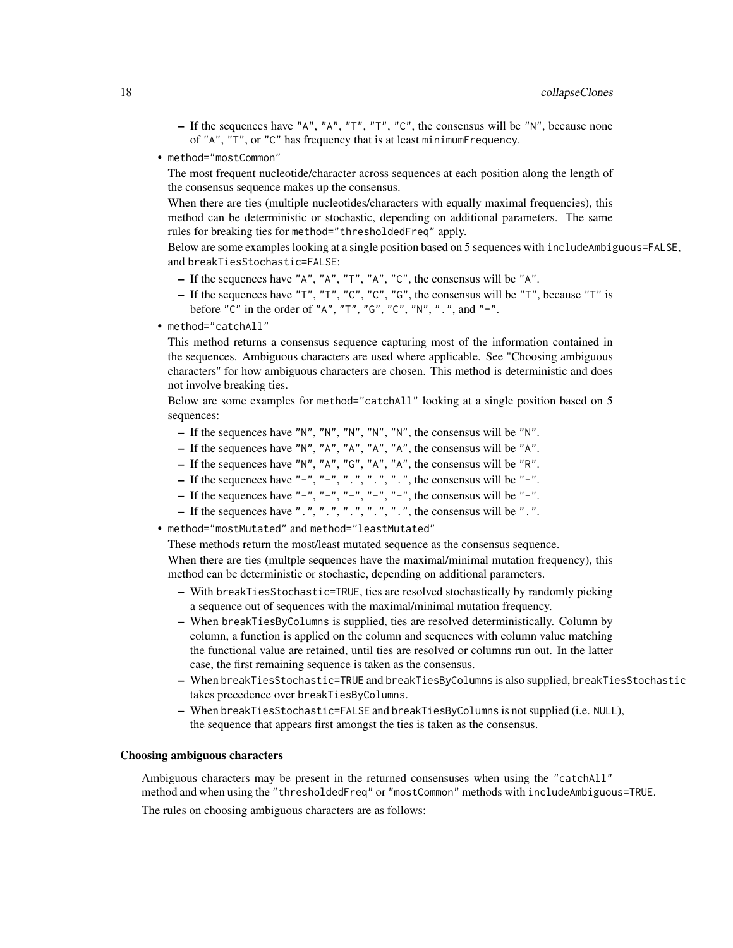- If the sequences have "A", "A", "T", "T", "C", the consensus will be "N", because none of "A", "T", or "C" has frequency that is at least minimumFrequency.
- method="mostCommon"

The most frequent nucleotide/character across sequences at each position along the length of the consensus sequence makes up the consensus.

When there are ties (multiple nucleotides/characters with equally maximal frequencies), this method can be deterministic or stochastic, depending on additional parameters. The same rules for breaking ties for method="thresholdedFreq" apply.

Below are some examples looking at a single position based on 5 sequences with includeAmbiguous=FALSE, and breakTiesStochastic=FALSE:

- If the sequences have "A", "A", "T", "A", "C", the consensus will be "A".
- If the sequences have "T", "T", "C", "C", "G", the consensus will be "T", because "T" is before "C" in the order of "A", "T", "G", "C", "N", ".", and "-".
- method="catchAll"

This method returns a consensus sequence capturing most of the information contained in the sequences. Ambiguous characters are used where applicable. See "Choosing ambiguous characters" for how ambiguous characters are chosen. This method is deterministic and does not involve breaking ties.

Below are some examples for method="catchAll" looking at a single position based on 5 sequences:

- If the sequences have "N", "N", "N", "N", "N", the consensus will be "N".
- If the sequences have "N", "A", "A", "A", "A", the consensus will be "A".
- If the sequences have "N", "A", "G", "A", "A", the consensus will be "R".
- If the sequences have "-", "-", ".", ".", ".", ".", the consensus will be "-".
- If the sequences have "-", "-", "-", "-", "-", the consensus will be "-".
- If the sequences have ".", ".", ".", ".", ".", ".", the consensus will be ".".
- method="mostMutated" and method="leastMutated"

These methods return the most/least mutated sequence as the consensus sequence.

When there are ties (multple sequences have the maximal/minimal mutation frequency), this method can be deterministic or stochastic, depending on additional parameters.

- With breakTiesStochastic=TRUE, ties are resolved stochastically by randomly picking a sequence out of sequences with the maximal/minimal mutation frequency.
- When breakTiesByColumns is supplied, ties are resolved deterministically. Column by column, a function is applied on the column and sequences with column value matching the functional value are retained, until ties are resolved or columns run out. In the latter case, the first remaining sequence is taken as the consensus.
- When breakTiesStochastic=TRUE and breakTiesByColumns is also supplied, breakTiesStochastic takes precedence over breakTiesByColumns.
- When breakTiesStochastic=FALSE and breakTiesByColumns is not supplied (i.e. NULL), the sequence that appears first amongst the ties is taken as the consensus.

## Choosing ambiguous characters

Ambiguous characters may be present in the returned consensuses when using the "catchAll" method and when using the "thresholdedFreq" or "mostCommon" methods with includeAmbiguous=TRUE. The rules on choosing ambiguous characters are as follows: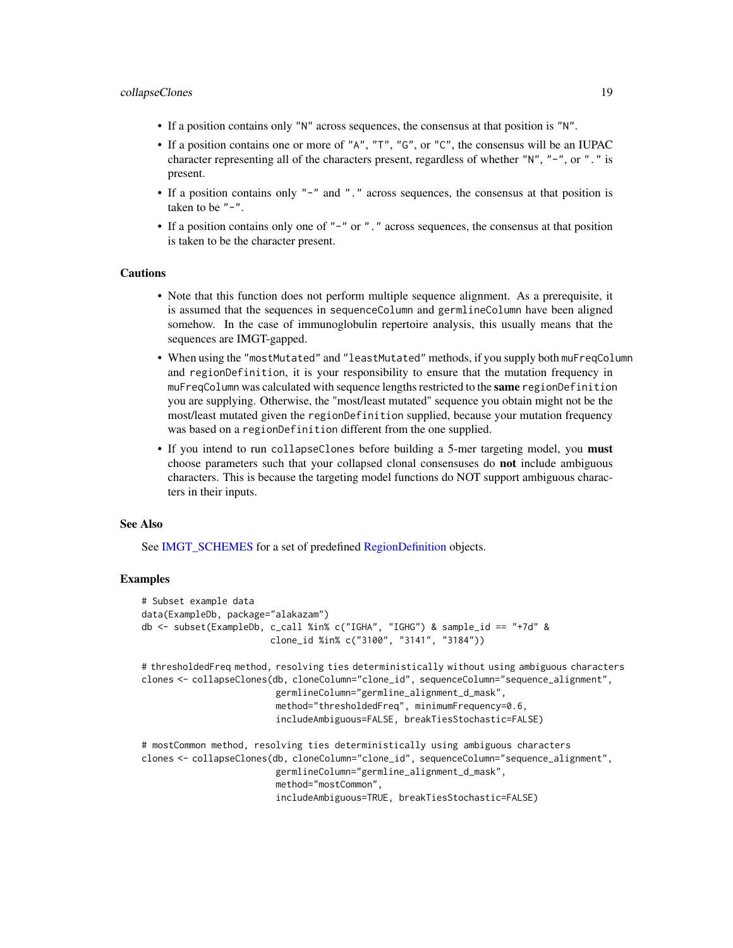- If a position contains only "N" across sequences, the consensus at that position is "N".
- If a position contains one or more of "A", "T", "G", or "C", the consensus will be an IUPAC character representing all of the characters present, regardless of whether "N", "-", or "." is present.
- If a position contains only "-" and "." across sequences, the consensus at that position is taken to be  $"$ - $"$ .
- If a position contains only one of "-" or "." across sequences, the consensus at that position is taken to be the character present.

#### Cautions

- Note that this function does not perform multiple sequence alignment. As a prerequisite, it is assumed that the sequences in sequenceColumn and germlineColumn have been aligned somehow. In the case of immunoglobulin repertoire analysis, this usually means that the sequences are IMGT-gapped.
- When using the "mostMutated" and "leastMutated" methods, if you supply both muFreqColumn and regionDefinition, it is your responsibility to ensure that the mutation frequency in muFreqColumn was calculated with sequence lengths restricted to the same regionDefinition you are supplying. Otherwise, the "most/least mutated" sequence you obtain might not be the most/least mutated given the regionDefinition supplied, because your mutation frequency was based on a regionDefinition different from the one supplied.
- If you intend to run collapseClones before building a 5-mer targeting model, you **must** choose parameters such that your collapsed clonal consensuses do not include ambiguous characters. This is because the targeting model functions do NOT support ambiguous characters in their inputs.

#### See Also

See [IMGT\\_SCHEMES](#page-52-2) for a set of predefined [RegionDefinition](#page-78-1) objects.

## Examples

```
# Subset example data
data(ExampleDb, package="alakazam")
db <- subset(ExampleDb, c_call %in% c("IGHA", "IGHG") & sample_id == "+7d" &
                        clone_id %in% c("3100", "3141", "3184"))
# thresholdedFreq method, resolving ties deterministically without using ambiguous characters
clones <- collapseClones(db, cloneColumn="clone_id", sequenceColumn="sequence_alignment",
                         germlineColumn="germline_alignment_d_mask",
                         method="thresholdedFreq", minimumFrequency=0.6,
                         includeAmbiguous=FALSE, breakTiesStochastic=FALSE)
# mostCommon method, resolving ties deterministically using ambiguous characters
clones <- collapseClones(db, cloneColumn="clone_id", sequenceColumn="sequence_alignment",
                         germlineColumn="germline_alignment_d_mask",
                         method="mostCommon",
                         includeAmbiguous=TRUE, breakTiesStochastic=FALSE)
```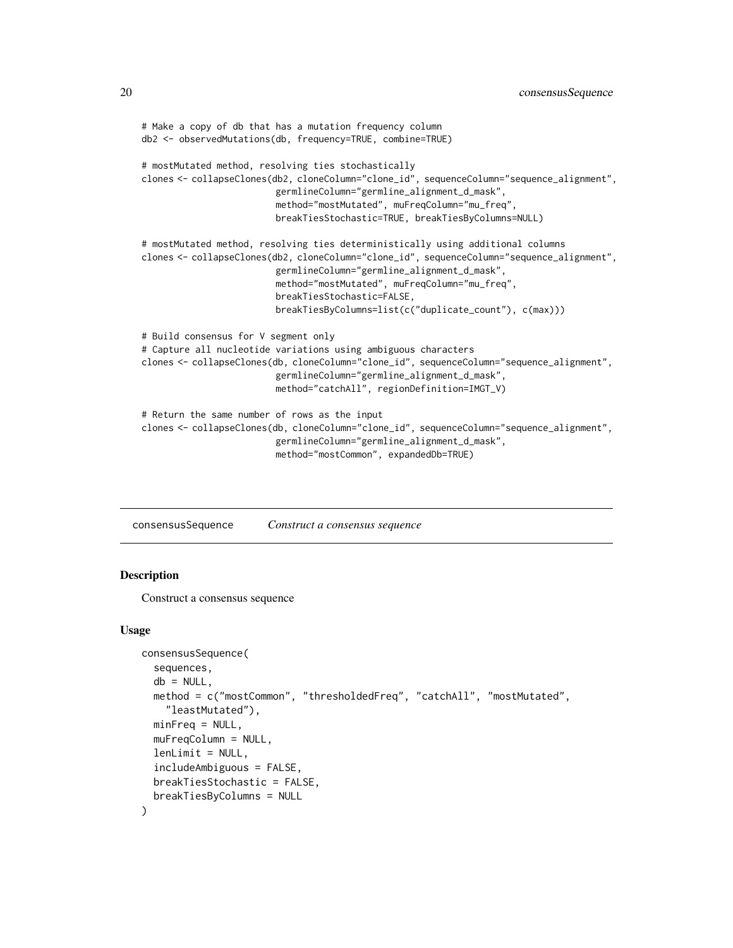```
# Make a copy of db that has a mutation frequency column
db2 <- observedMutations(db, frequency=TRUE, combine=TRUE)
# mostMutated method, resolving ties stochastically
clones <- collapseClones(db2, cloneColumn="clone_id", sequenceColumn="sequence_alignment",
                         germlineColumn="germline_alignment_d_mask",
                         method="mostMutated", muFreqColumn="mu_freq",
                         breakTiesStochastic=TRUE, breakTiesByColumns=NULL)
# mostMutated method, resolving ties deterministically using additional columns
clones <- collapseClones(db2, cloneColumn="clone_id", sequenceColumn="sequence_alignment",
                         germlineColumn="germline_alignment_d_mask",
                         method="mostMutated", muFreqColumn="mu_freq",
                         breakTiesStochastic=FALSE,
                         breakTiesByColumns=list(c("duplicate_count"), c(max)))
# Build consensus for V segment only
# Capture all nucleotide variations using ambiguous characters
clones <- collapseClones(db, cloneColumn="clone_id", sequenceColumn="sequence_alignment",
                         germlineColumn="germline_alignment_d_mask",
                         method="catchAll", regionDefinition=IMGT_V)
# Return the same number of rows as the input
clones <- collapseClones(db, cloneColumn="clone_id", sequenceColumn="sequence_alignment",
                         germlineColumn="germline_alignment_d_mask",
                         method="mostCommon", expandedDb=TRUE)
```
consensusSequence *Construct a consensus sequence*

## Description

Construct a consensus sequence

#### Usage

```
consensusSequence(
  sequences,
  db = NULL,method = c("mostCommon", "thresholdedFreq", "catchAll", "mostMutated",
    "leastMutated"),
  minFreq = NULL,
  muFreqColumn = NULL,
  lenLimit = NULL,includeAmbiguous = FALSE,
  breakTiesStochastic = FALSE,
  breakTiesByColumns = NULL
)
```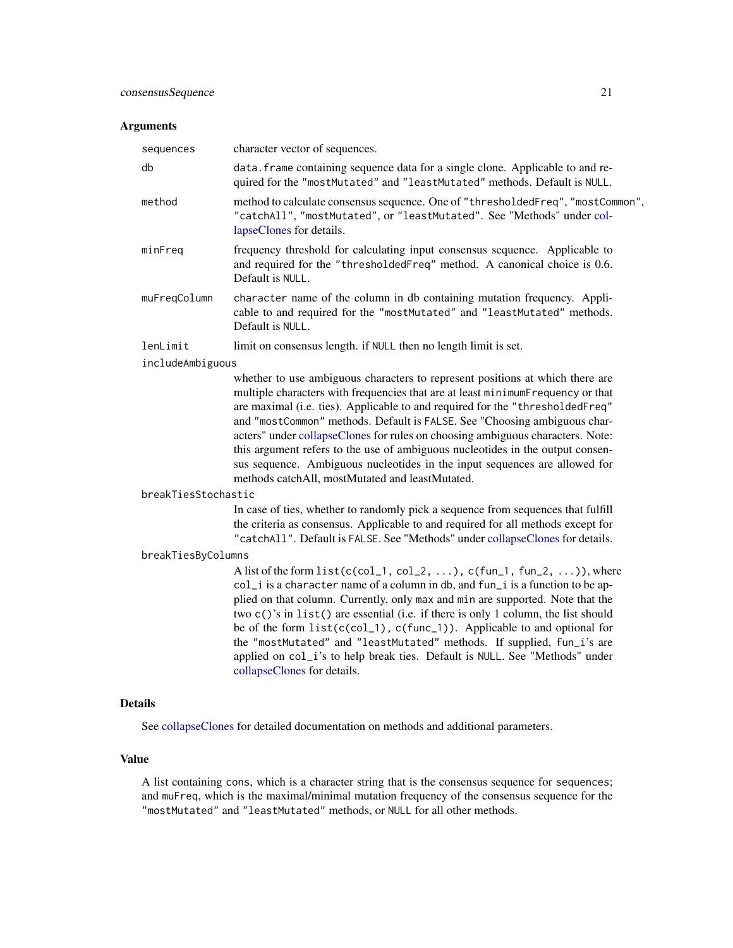#### **Arguments**

| sequences     | character vector of sequences.                                                                                                                                                          |
|---------------|-----------------------------------------------------------------------------------------------------------------------------------------------------------------------------------------|
| db            | data. Frame containing sequence data for a single clone. Applicable to and re-<br>quired for the "mostMutated" and "leastMutated" methods. Default is NULL.                             |
| method        | method to calculate consensus sequence. One of "thresholded Freq", "most Common",<br>"catchAll", "mostMutated", or "leastMutated". See "Methods" under col-<br>lapseClones for details. |
| minFreq       | frequency threshold for calculating input consensus sequence. Applicable to<br>and required for the "thresholdedFreq" method. A canonical choice is 0.6.<br>Default is NULL.            |
| muFregColumn  | character name of the column in db containing mutation frequency. Appli-<br>cable to and required for the "mostMutated" and "leastMutated" methods.<br>Default is NULL.                 |
| lenLimit      | limit on consensus length. if NULL then no length limit is set.                                                                                                                         |
| indichmhiminu |                                                                                                                                                                                         |

includeAmbiguous

whether to use ambiguous characters to represent positions at which there are multiple characters with frequencies that are at least minimumFrequency or that are maximal (i.e. ties). Applicable to and required for the "thresholdedFreq" and "mostCommon" methods. Default is FALSE. See "Choosing ambiguous characters" under [collapseClones](#page-14-1) for rules on choosing ambiguous characters. Note: this argument refers to the use of ambiguous nucleotides in the output consensus sequence. Ambiguous nucleotides in the input sequences are allowed for methods catchAll, mostMutated and leastMutated.

#### breakTiesStochastic

In case of ties, whether to randomly pick a sequence from sequences that fulfill the criteria as consensus. Applicable to and required for all methods except for "catchAll". Default is FALSE. See "Methods" under [collapseClones](#page-14-1) for details.

#### breakTiesByColumns

A list of the form  $list(c(col_1, col_2, ...)$ ,  $c(fun_1, fun_2, ...)$ , where col\_i is a character name of a column in db, and fun\_i is a function to be applied on that column. Currently, only max and min are supported. Note that the two c()'s in list() are essential (i.e. if there is only 1 column, the list should be of the form  $list(c(col_1), c(func_1))$ . Applicable to and optional for the "mostMutated" and "leastMutated" methods. If supplied, fun\_i's are applied on col\_i's to help break ties. Default is NULL. See "Methods" under [collapseClones](#page-14-1) for details.

## Details

See [collapseClones](#page-14-1) for detailed documentation on methods and additional parameters.

## Value

A list containing cons, which is a character string that is the consensus sequence for sequences; and muFreq, which is the maximal/minimal mutation frequency of the consensus sequence for the "mostMutated" and "leastMutated" methods, or NULL for all other methods.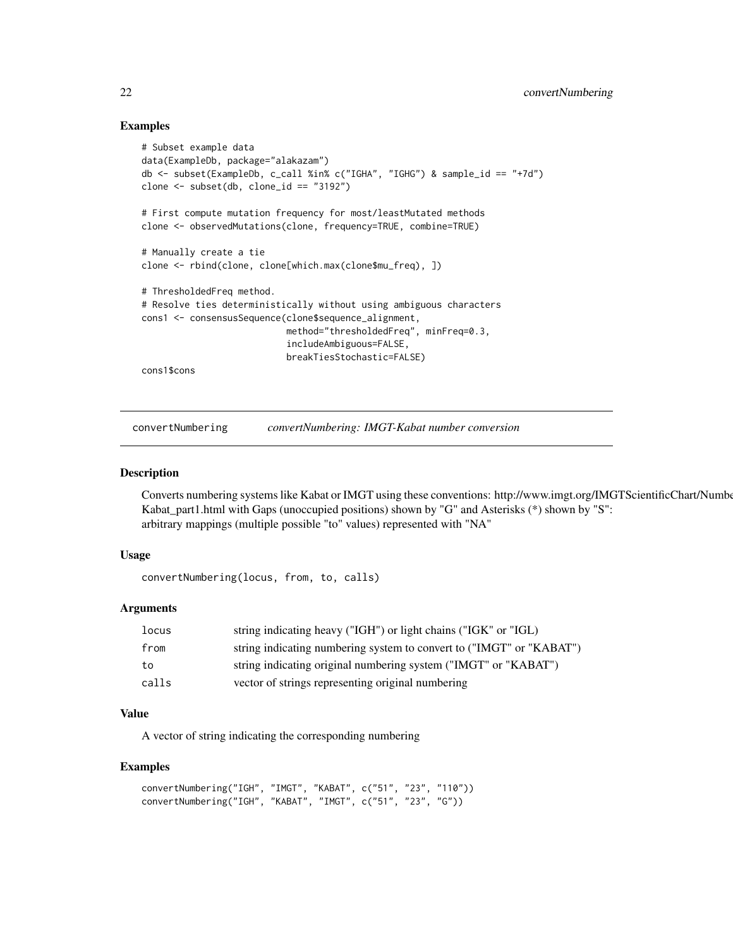## Examples

```
# Subset example data
data(ExampleDb, package="alakazam")
db <- subset(ExampleDb, c_call %in% c("IGHA", "IGHG") & sample_id == "+7d")
clone <- subset(db, clone_id == "3192")
# First compute mutation frequency for most/leastMutated methods
clone <- observedMutations(clone, frequency=TRUE, combine=TRUE)
# Manually create a tie
clone <- rbind(clone, clone[which.max(clone$mu_freq), ])
# ThresholdedFreq method.
# Resolve ties deterministically without using ambiguous characters
cons1 <- consensusSequence(clone$sequence_alignment,
                           method="thresholdedFreq", minFreq=0.3,
                           includeAmbiguous=FALSE,
                           breakTiesStochastic=FALSE)
cons1$cons
```
convertNumbering *convertNumbering: IMGT-Kabat number conversion*

#### Description

Converts numbering systems like Kabat or IMGT using these conventions: http://www.imgt.org/IMGTScientificChart/Number Kabat\_part1.html with Gaps (unoccupied positions) shown by "G" and Asterisks (\*) shown by "S": arbitrary mappings (multiple possible "to" values) represented with "NA"

#### Usage

convertNumbering(locus, from, to, calls)

#### Arguments

| <b>locus</b> | string indicating heavy ("IGH") or light chains ("IGK" or "IGL)      |
|--------------|----------------------------------------------------------------------|
| from         | string indicating numbering system to convert to ("IMGT" or "KABAT") |
| to           | string indicating original numbering system ("IMGT" or "KABAT")      |
| calls        | vector of strings representing original numbering                    |

## Value

A vector of string indicating the corresponding numbering

#### Examples

```
convertNumbering("IGH", "IMGT", "KABAT", c("51", "23", "110"))
convertNumbering("IGH", "KABAT", "IMGT", c("51", "23", "G"))
```
<span id="page-21-0"></span>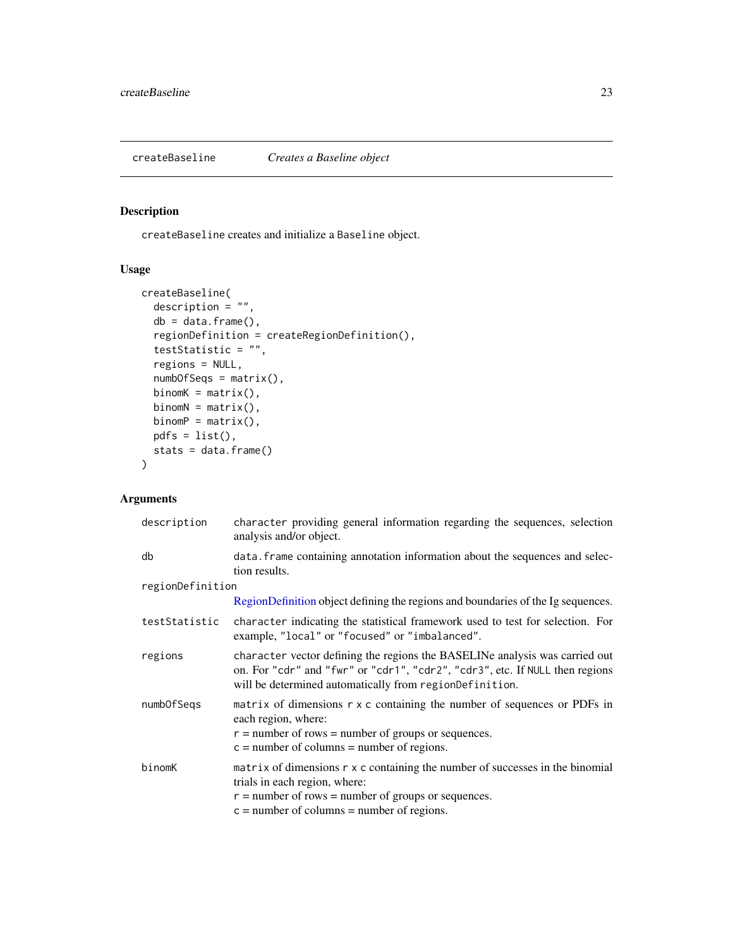<span id="page-22-0"></span>createBaseline *Creates a Baseline object*

## Description

createBaseline creates and initialize a Baseline object.

## Usage

```
createBaseline(
 description = ",
 db = data.frame(),
 regionDefinition = createRegionDefinition(),
 testStatistic = "",
 regions = NULL,
 numbOfSeqs = matrix(),
 binomK = matrix(),
 binomN = matrix(),
 binomP = matrix(),
 pdfs = list(),stats = data.frame()
)
```
## Arguments

| description      | character providing general information regarding the sequences, selection<br>analysis and/or object.                                                                                                                          |
|------------------|--------------------------------------------------------------------------------------------------------------------------------------------------------------------------------------------------------------------------------|
| db               | data. Frame containing annotation information about the sequences and selec-<br>tion results.                                                                                                                                  |
| regionDefinition |                                                                                                                                                                                                                                |
|                  | RegionDefinition object defining the regions and boundaries of the Ig sequences.                                                                                                                                               |
| testStatistic    | character indicating the statistical framework used to test for selection. For<br>example, "local" or "focused" or "imbalanced".                                                                                               |
| regions          | character vector defining the regions the BASELINe analysis was carried out<br>on. For "cdr" and "fwr" or "cdr1", "cdr2", "cdr3", etc. If NULL then regions<br>will be determined automatically from regionDefinition.         |
| numbOfSegs       | matrix of dimensions r x c containing the number of sequences or PDFs in<br>each region, where:<br>$r =$ number of rows = number of groups or sequences.<br>$c =$ number of columns = number of regions.                       |
| binomK           | matrix of dimensions $r \times c$ containing the number of successes in the binomial<br>trials in each region, where:<br>$r =$ number of rows = number of groups or sequences.<br>$c =$ number of columns = number of regions. |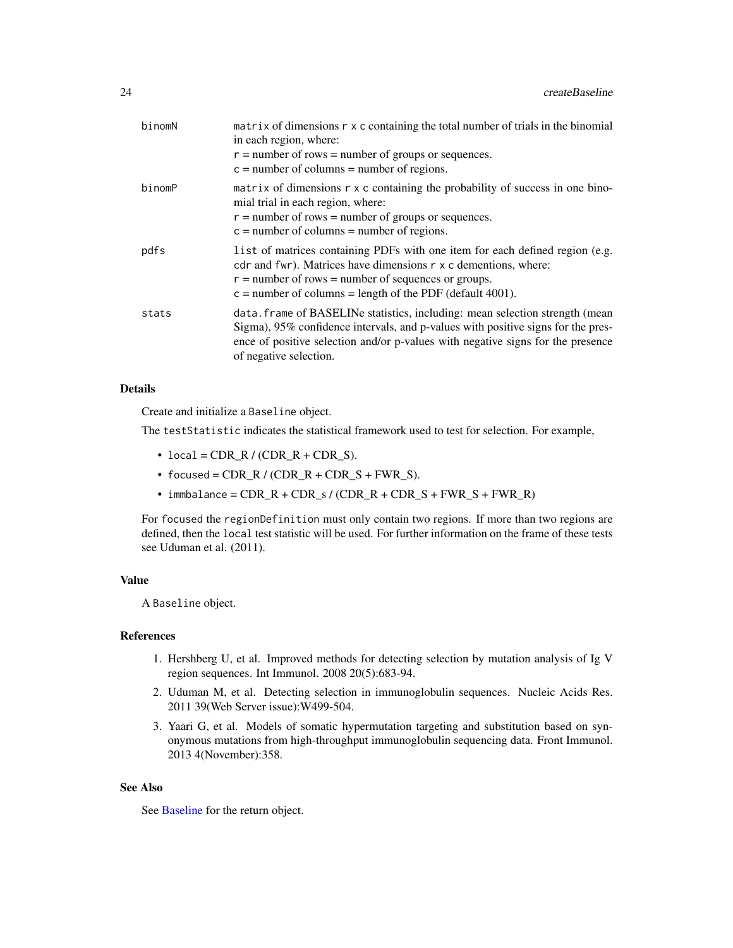| binomN | matrix of dimensions r x c containing the total number of trials in the binomial<br>in each region, where:<br>$r =$ number of rows = number of groups or sequences.<br>$c =$ number of columns = number of regions.                                                           |
|--------|-------------------------------------------------------------------------------------------------------------------------------------------------------------------------------------------------------------------------------------------------------------------------------|
| binomP | matrix of dimensions $r \times c$ containing the probability of success in one bino-<br>mial trial in each region, where:<br>$r =$ number of rows = number of groups or sequences.<br>$c =$ number of columns = number of regions.                                            |
| pdfs   | list of matrices containing PDFs with one item for each defined region (e.g.<br>cdr and fwr). Matrices have dimensions r x c dementions, where:<br>$r =$ number of rows = number of sequences or groups.<br>$c =$ number of columns = length of the PDF (default 4001).       |
| stats  | data. frame of BASELINe statistics, including: mean selection strength (mean<br>Sigma), 95% confidence intervals, and p-values with positive signs for the pres-<br>ence of positive selection and/or p-values with negative signs for the presence<br>of negative selection. |

## Details

Create and initialize a Baseline object.

The testStatistic indicates the statistical framework used to test for selection. For example,

- $\bullet$  local = CDR\_R / (CDR\_R + CDR\_S).
- focused =  $CDR/R / (CDR_R + CDR_S + FWR_S)$ .
- immbalance =  $CDR_R + CDR_S / (CDR_R + CDR_S + FWR_S + FWR_S + FWR_R)$

For focused the regionDefinition must only contain two regions. If more than two regions are defined, then the local test statistic will be used. For further information on the frame of these tests see Uduman et al. (2011).

## Value

A Baseline object.

## References

- 1. Hershberg U, et al. Improved methods for detecting selection by mutation analysis of Ig V region sequences. Int Immunol. 2008 20(5):683-94.
- 2. Uduman M, et al. Detecting selection in immunoglobulin sequences. Nucleic Acids Res. 2011 39(Web Server issue):W499-504.
- 3. Yaari G, et al. Models of somatic hypermutation targeting and substitution based on synonymous mutations from high-throughput immunoglobulin sequencing data. Front Immunol. 2013 4(November):358.

## See Also

See [Baseline](#page-3-1) for the return object.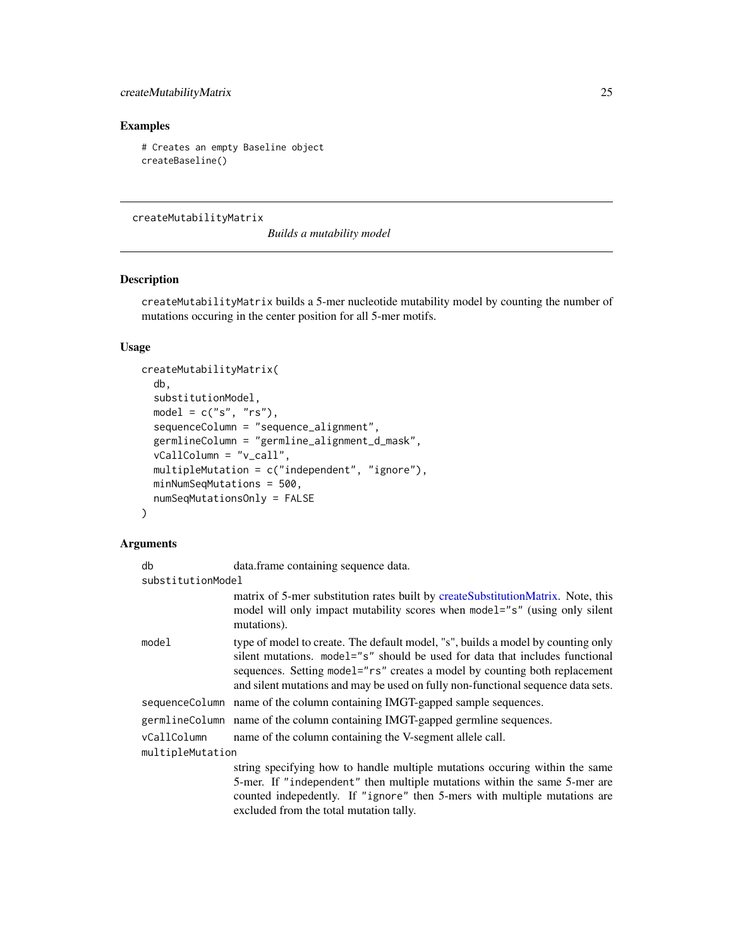## <span id="page-24-0"></span>createMutabilityMatrix 25

## Examples

# Creates an empty Baseline object createBaseline()

<span id="page-24-1"></span>createMutabilityMatrix

*Builds a mutability model*

## Description

createMutabilityMatrix builds a 5-mer nucleotide mutability model by counting the number of mutations occuring in the center position for all 5-mer motifs.

## Usage

```
createMutabilityMatrix(
  db,
  substitutionModel,
  model = c("s", "rs"),
  sequenceColumn = "sequence_alignment",
  germlineColumn = "germline_alignment_d_mask",
  vCallColumn = "v_call",
  multipleMutation = c("independent", "ignore"),
 minNumSeqMutations = 500,
  numSeqMutationsOnly = FALSE
\mathcal{E}
```
## Arguments

| db                | data.frame containing sequence data.                                                                                                                                                                                                                                                                                               |  |
|-------------------|------------------------------------------------------------------------------------------------------------------------------------------------------------------------------------------------------------------------------------------------------------------------------------------------------------------------------------|--|
| substitutionModel |                                                                                                                                                                                                                                                                                                                                    |  |
|                   | matrix of 5-mer substitution rates built by createSubstitutionMatrix. Note, this<br>model will only impact mutability scores when model="s" (using only silent<br>mutations).                                                                                                                                                      |  |
| model             | type of model to create. The default model, "s", builds a model by counting only<br>silent mutations. model="s" should be used for data that includes functional<br>sequences. Setting model="rs" creates a model by counting both replacement<br>and silent mutations and may be used on fully non-functional sequence data sets. |  |
|                   | sequence Column name of the column containing IMGT-gapped sample sequences.                                                                                                                                                                                                                                                        |  |
|                   | germlineColumn name of the column containing IMGT-gapped germline sequences.                                                                                                                                                                                                                                                       |  |
| vCallColumn       | name of the column containing the V-segment allele call.                                                                                                                                                                                                                                                                           |  |
| multipleMutation  |                                                                                                                                                                                                                                                                                                                                    |  |
|                   | string specifying how to handle multiple mutations occuring within the same<br>5-mer. If "independent" then multiple mutations within the same 5-mer are<br>counted indepedently. If "ignore" then 5-mers with multiple mutations are<br>excluded from the total mutation tally.                                                   |  |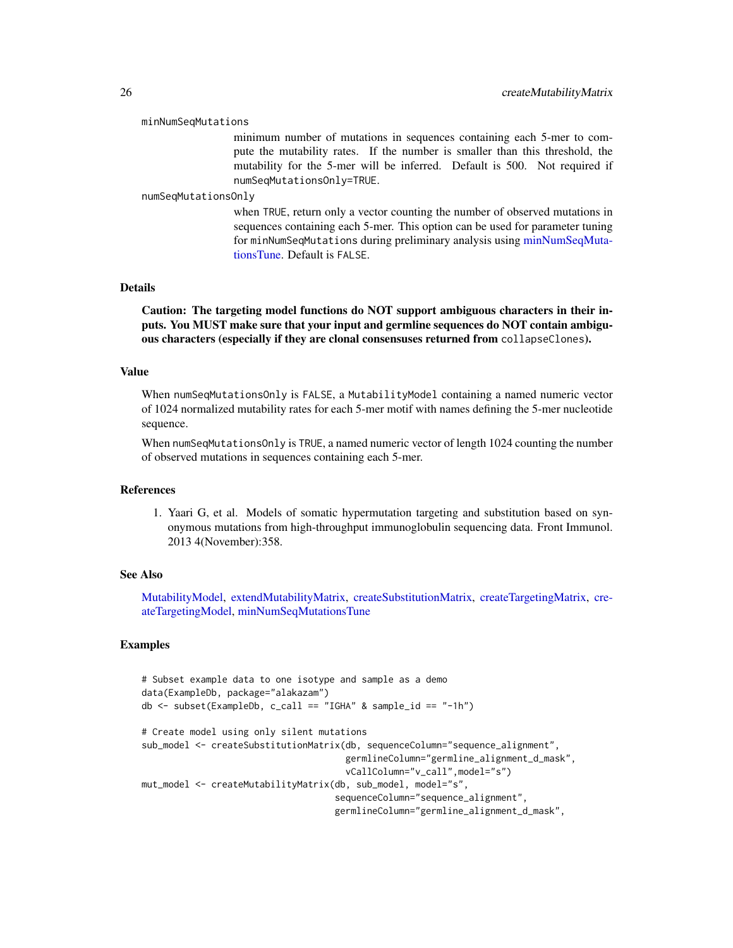#### minNumSeqMutations

minimum number of mutations in sequences containing each 5-mer to compute the mutability rates. If the number is smaller than this threshold, the mutability for the 5-mer will be inferred. Default is 500. Not required if numSeqMutationsOnly=TRUE.

#### numSeqMutationsOnly

when TRUE, return only a vector counting the number of observed mutations in sequences containing each 5-mer. This option can be used for parameter tuning for minNumSeqMutations during preliminary analysis using [minNumSeqMuta](#page-59-1)[tionsTune.](#page-59-1) Default is FALSE.

## Details

Caution: The targeting model functions do NOT support ambiguous characters in their inputs. You MUST make sure that your input and germline sequences do NOT contain ambiguous characters (especially if they are clonal consensuses returned from collapseClones).

#### Value

When numSeqMutationsOnly is FALSE, a MutabilityModel containing a named numeric vector of 1024 normalized mutability rates for each 5-mer motif with names defining the 5-mer nucleotide sequence.

When numSeqMutationsOnly is TRUE, a named numeric vector of length 1024 counting the number of observed mutations in sequences containing each 5-mer.

#### References

1. Yaari G, et al. Models of somatic hypermutation targeting and substitution based on synonymous mutations from high-throughput immunoglobulin sequencing data. Front Immunol. 2013 4(November):358.

#### See Also

[MutabilityModel,](#page-62-1) [extendMutabilityMatrix,](#page-42-1) [createSubstitutionMatrix,](#page-28-1) [createTargetingMatrix,](#page-30-1) [cre](#page-32-1)[ateTargetingModel,](#page-32-1) [minNumSeqMutationsTune](#page-59-1)

## Examples

```
# Subset example data to one isotype and sample as a demo
data(ExampleDb, package="alakazam")
db <- subset(ExampleDb, c_call == "IGHA" & sample_id == "-1h")
# Create model using only silent mutations
sub_model <- createSubstitutionMatrix(db, sequenceColumn="sequence_alignment",
                                      germlineColumn="germline_alignment_d_mask",
                                      vCallColumn="v_call",model="s")
mut_model <- createMutabilityMatrix(db, sub_model, model="s",
                                    sequenceColumn="sequence_alignment",
                                    germlineColumn="germline_alignment_d_mask",
```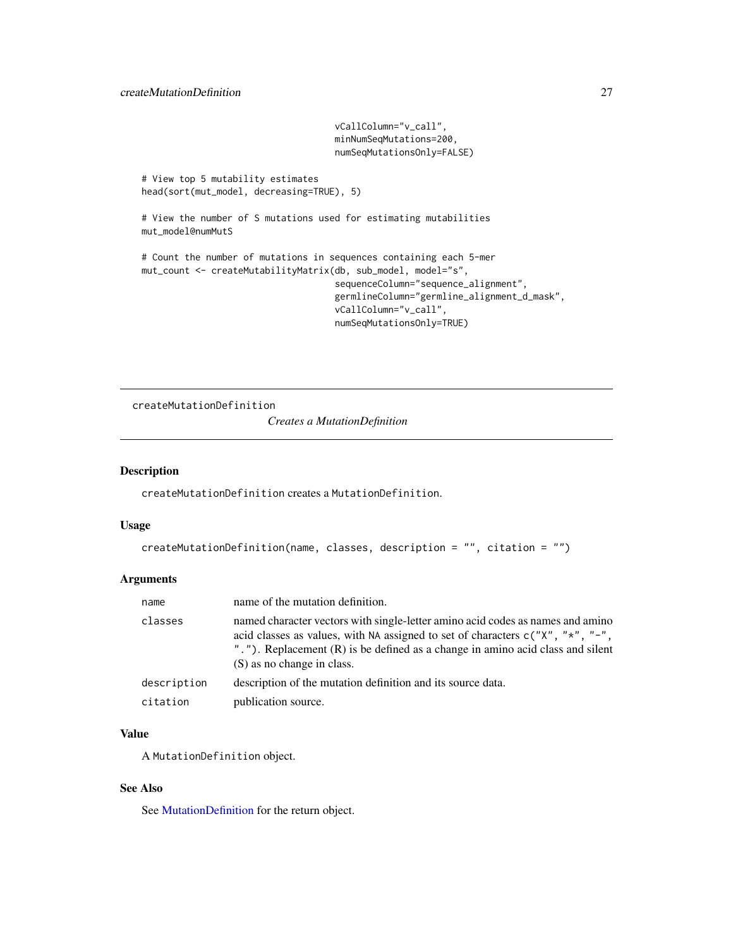```
vCallColumn="v_call",
                                    minNumSeqMutations=200,
                                    numSeqMutationsOnly=FALSE)
# View top 5 mutability estimates
head(sort(mut_model, decreasing=TRUE), 5)
# View the number of S mutations used for estimating mutabilities
mut_model@numMutS
# Count the number of mutations in sequences containing each 5-mer
mut_count <- createMutabilityMatrix(db, sub_model, model="s",
                                    sequenceColumn="sequence_alignment",
                                    germlineColumn="germline_alignment_d_mask",
                                    vCallColumn="v_call",
                                    numSeqMutationsOnly=TRUE)
```
createMutationDefinition

*Creates a MutationDefinition*

#### Description

createMutationDefinition creates a MutationDefinition.

#### Usage

```
createMutationDefinition(name, classes, description = "", citation = "")
```
## Arguments

| name        | name of the mutation definition.                                                                                                                                                                                                                                                   |
|-------------|------------------------------------------------------------------------------------------------------------------------------------------------------------------------------------------------------------------------------------------------------------------------------------|
| classes     | named character vectors with single-letter amino acid codes as names and amino<br>acid classes as values, with NA assigned to set of characters $c("X", "*", "-",$<br>"."). Replacement (R) is be defined as a change in amino acid class and silent<br>(S) as no change in class. |
| description | description of the mutation definition and its source data.                                                                                                                                                                                                                        |
| citation    | publication source.                                                                                                                                                                                                                                                                |

## Value

A MutationDefinition object.

## See Also

See [MutationDefinition](#page-63-1) for the return object.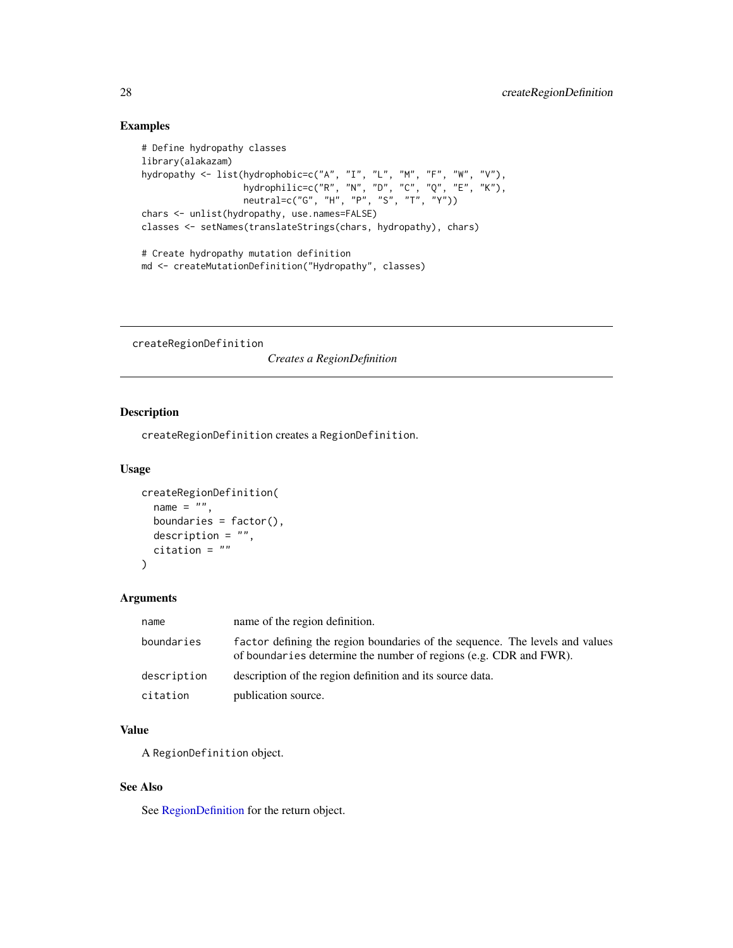## Examples

```
# Define hydropathy classes
library(alakazam)
hydropathy <- list(hydrophobic=c("A", "I", "L", "M", "F", "W", "V"),
                   hydrophilic=c("R", "N", "D", "C", "Q", "E", "K"),
                   neutral=c("G", "H", "P", "S", "T", "Y"))
chars <- unlist(hydropathy, use.names=FALSE)
classes <- setNames(translateStrings(chars, hydropathy), chars)
# Create hydropathy mutation definition
```

```
md <- createMutationDefinition("Hydropathy", classes)
```
createRegionDefinition

*Creates a RegionDefinition*

## Description

createRegionDefinition creates a RegionDefinition.

## Usage

```
createRegionDefinition(
 name = ",
 boundaries = factor(),description = "",
 citation = ""
)
```
## Arguments

| name        | name of the region definition.                                                                                                                    |
|-------------|---------------------------------------------------------------------------------------------------------------------------------------------------|
| boundaries  | factor defining the region boundaries of the sequence. The levels and values<br>of boundaries determine the number of regions (e.g. CDR and FWR). |
| description | description of the region definition and its source data.                                                                                         |
| citation    | publication source.                                                                                                                               |

## Value

A RegionDefinition object.

## See Also

See [RegionDefinition](#page-78-1) for the return object.

<span id="page-27-0"></span>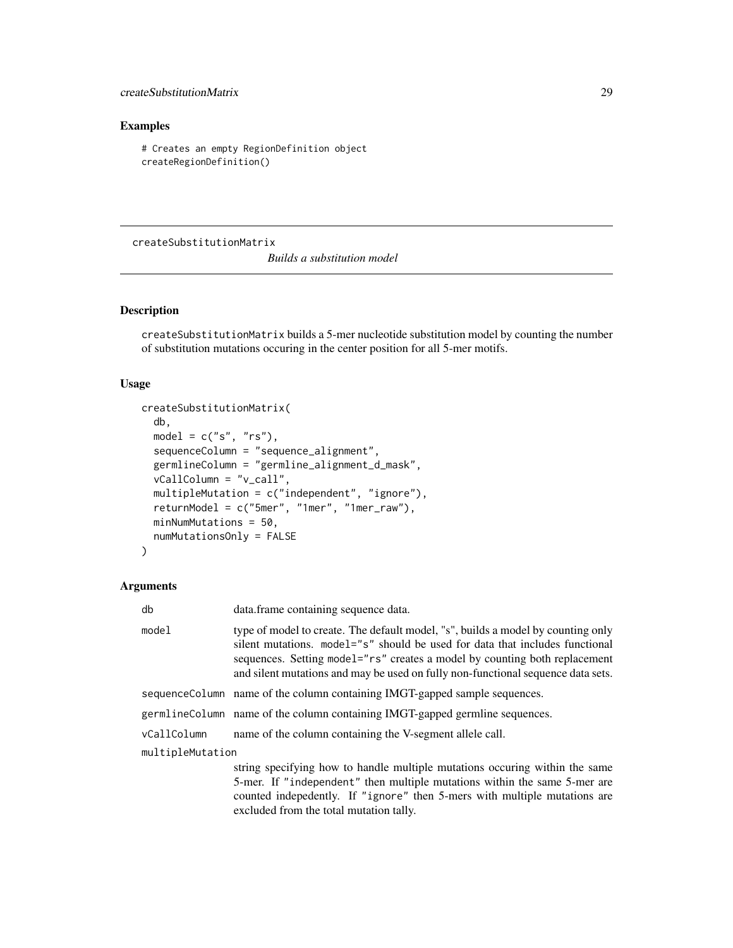## <span id="page-28-0"></span>Examples

# Creates an empty RegionDefinition object createRegionDefinition()

<span id="page-28-1"></span>createSubstitutionMatrix

*Builds a substitution model*

## Description

createSubstitutionMatrix builds a 5-mer nucleotide substitution model by counting the number of substitution mutations occuring in the center position for all 5-mer motifs.

## Usage

```
createSubstitutionMatrix(
  db,
 model = c("s", "rs"),sequenceColumn = "sequence_alignment",
 germlineColumn = "germline_alignment_d_mask",
  vCallColumn = "v_call",
 multipleMutation = c("independent", "ignore"),
 returnModel = c("5mer", "1mer", "1mer_raw"),
 minNumMutations = 50,
 numMutationsOnly = FALSE
)
```
## Arguments

| db               | data.frame containing sequence data.                                                                                                                                                                                                                                                                                               |
|------------------|------------------------------------------------------------------------------------------------------------------------------------------------------------------------------------------------------------------------------------------------------------------------------------------------------------------------------------|
| model            | type of model to create. The default model, "s", builds a model by counting only<br>silent mutations. model="s" should be used for data that includes functional<br>sequences. Setting model="rs" creates a model by counting both replacement<br>and silent mutations and may be used on fully non-functional sequence data sets. |
|                  | sequenceColumn name of the column containing IMGT-gapped sample sequences.                                                                                                                                                                                                                                                         |
|                  | germlineColumn name of the column containing IMGT-gapped germline sequences.                                                                                                                                                                                                                                                       |
| vCallColumn      | name of the column containing the V-segment allele call.                                                                                                                                                                                                                                                                           |
| multipleMutation |                                                                                                                                                                                                                                                                                                                                    |
|                  | string specifying how to handle multiple mutations occuring within the same                                                                                                                                                                                                                                                        |
|                  | 5-mer. If "independent" then multiple mutations within the same 5-mer are                                                                                                                                                                                                                                                          |
|                  | counted indepedently. If "ignore" then 5-mers with multiple mutations are                                                                                                                                                                                                                                                          |
|                  | excluded from the total mutation tally.                                                                                                                                                                                                                                                                                            |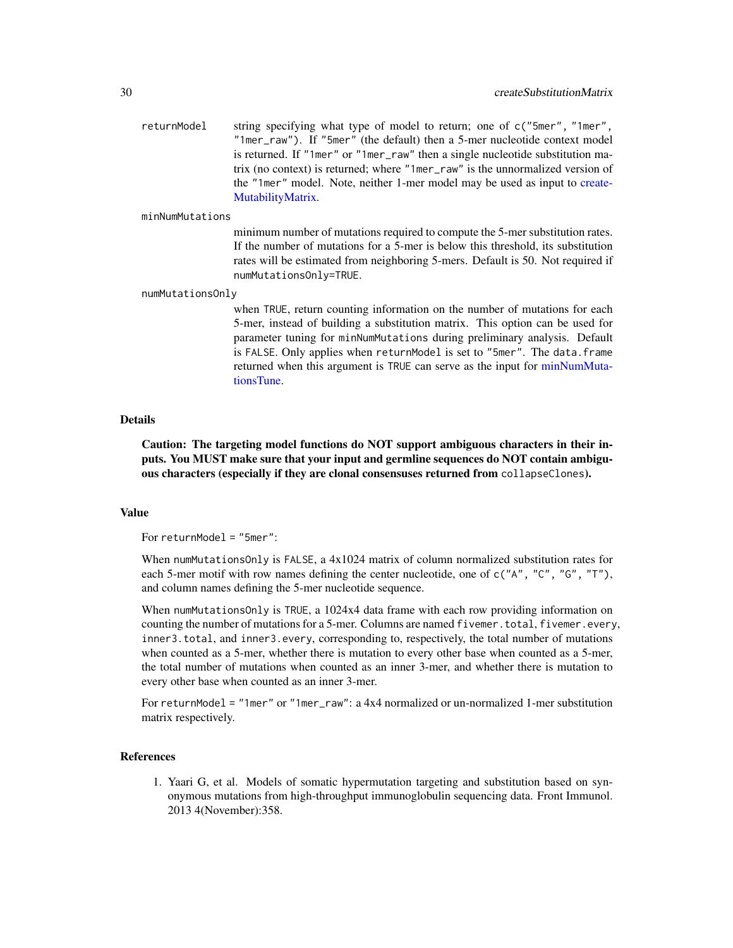returnModel string specifying what type of model to return; one of c("5mer", "1mer", "1mer\_raw"). If "5mer" (the default) then a 5-mer nucleotide context model is returned. If "1mer" or "1mer\_raw" then a single nucleotide substitution matrix (no context) is returned; where "1mer\_raw" is the unnormalized version of the "1mer" model. Note, neither 1-mer model may be used as input to [create-](#page-24-1)[MutabilityMatrix.](#page-24-1)

## minNumMutations

minimum number of mutations required to compute the 5-mer substitution rates. If the number of mutations for a 5-mer is below this threshold, its substitution rates will be estimated from neighboring 5-mers. Default is 50. Not required if numMutationsOnly=TRUE.

#### numMutationsOnly

when TRUE, return counting information on the number of mutations for each 5-mer, instead of building a substitution matrix. This option can be used for parameter tuning for minNumMutations during preliminary analysis. Default is FALSE. Only applies when returnModel is set to "5mer". The data.frame returned when this argument is TRUE can serve as the input for [minNumMuta](#page-58-1)[tionsTune.](#page-58-1)

#### Details

Caution: The targeting model functions do NOT support ambiguous characters in their inputs. You MUST make sure that your input and germline sequences do NOT contain ambiguous characters (especially if they are clonal consensuses returned from collapseClones).

## Value

For returnModel = "5mer":

When numMutationsOnly is FALSE, a 4x1024 matrix of column normalized substitution rates for each 5-mer motif with row names defining the center nucleotide, one of  $c("A", "C", "G", "T"),$ and column names defining the 5-mer nucleotide sequence.

When numMutationsOnly is TRUE, a 1024x4 data frame with each row providing information on counting the number of mutations for a 5-mer. Columns are named fivemer.total, fivemer.every, inner3.total, and inner3.every, corresponding to, respectively, the total number of mutations when counted as a 5-mer, whether there is mutation to every other base when counted as a 5-mer, the total number of mutations when counted as an inner 3-mer, and whether there is mutation to every other base when counted as an inner 3-mer.

For returnModel = "1mer" or "1mer\_raw": a 4x4 normalized or un-normalized 1-mer substitution matrix respectively.

## References

1. Yaari G, et al. Models of somatic hypermutation targeting and substitution based on synonymous mutations from high-throughput immunoglobulin sequencing data. Front Immunol. 2013 4(November):358.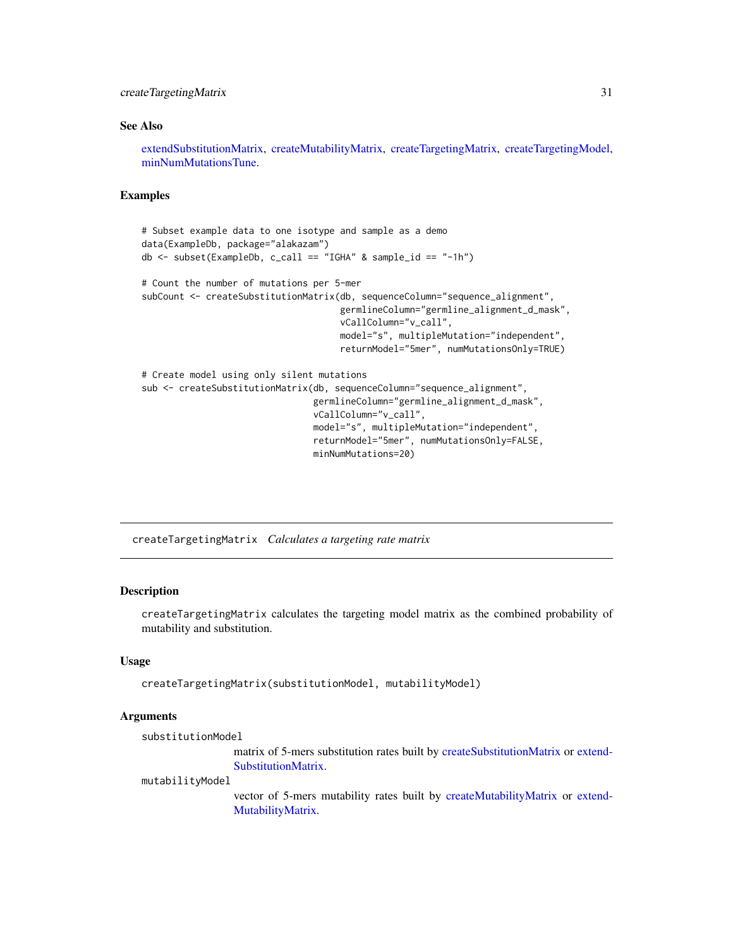## <span id="page-30-0"></span>createTargetingMatrix 31

#### See Also

[extendSubstitutionMatrix,](#page-43-1) [createMutabilityMatrix,](#page-24-1) [createTargetingMatrix,](#page-30-1) [createTargetingModel,](#page-32-1) [minNumMutationsTune.](#page-58-1)

## Examples

```
# Subset example data to one isotype and sample as a demo
data(ExampleDb, package="alakazam")
db <- subset(ExampleDb, c_call == "IGHA" & sample_id == "-1h")
# Count the number of mutations per 5-mer
subCount <- createSubstitutionMatrix(db, sequenceColumn="sequence_alignment",
                                     germlineColumn="germline_alignment_d_mask",
                                     vCallColumn="v_call",
                                     model="s", multipleMutation="independent",
                                     returnModel="5mer", numMutationsOnly=TRUE)
# Create model using only silent mutations
sub <- createSubstitutionMatrix(db, sequenceColumn="sequence_alignment",
                                germlineColumn="germline_alignment_d_mask",
                                vCallColumn="v_call",
                                model="s", multipleMutation="independent",
                                returnModel="5mer", numMutationsOnly=FALSE,
                                minNumMutations=20)
```
<span id="page-30-1"></span>createTargetingMatrix *Calculates a targeting rate matrix*

## Description

createTargetingMatrix calculates the targeting model matrix as the combined probability of mutability and substitution.

## Usage

```
createTargetingMatrix(substitutionModel, mutabilityModel)
```
#### Arguments

```
substitutionModel
```
matrix of 5-mers substitution rates built by [createSubstitutionMatrix](#page-28-1) or [extend-](#page-43-1)[SubstitutionMatrix.](#page-43-1)

mutabilityModel

vector of 5-mers mutability rates built by [createMutabilityMatrix](#page-24-1) or [extend-](#page-42-1)[MutabilityMatrix.](#page-42-1)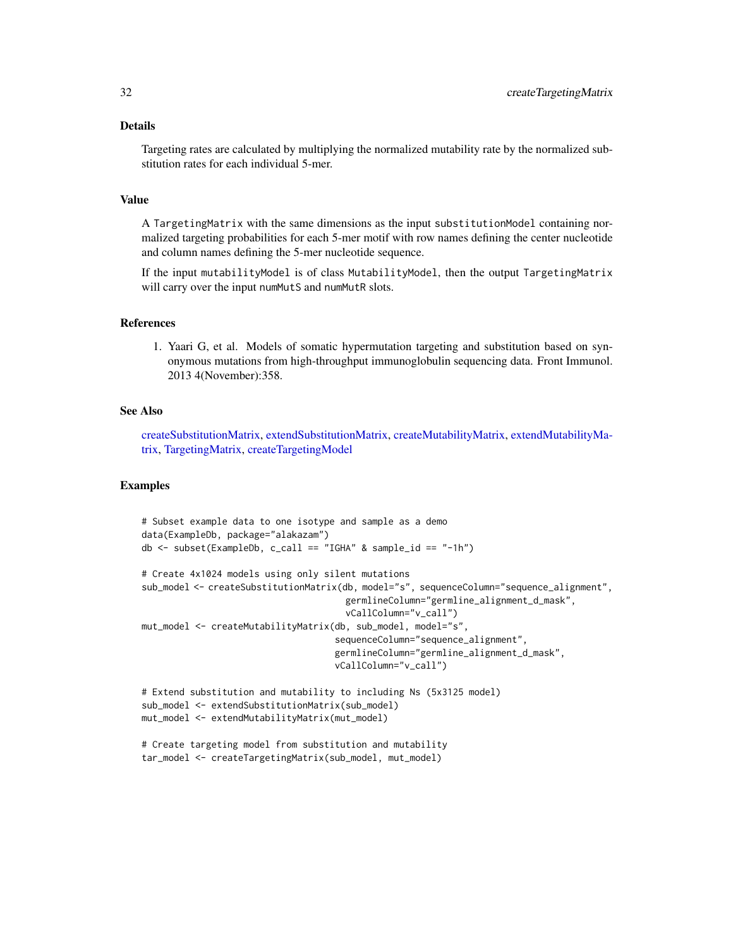## Details

Targeting rates are calculated by multiplying the normalized mutability rate by the normalized substitution rates for each individual 5-mer.

## Value

A TargetingMatrix with the same dimensions as the input substitutionModel containing normalized targeting probabilities for each 5-mer motif with row names defining the center nucleotide and column names defining the 5-mer nucleotide sequence.

If the input mutabilityModel is of class MutabilityModel, then the output TargetingMatrix will carry over the input numMutS and numMutR slots.

## References

1. Yaari G, et al. Models of somatic hypermutation targeting and substitution based on synonymous mutations from high-throughput immunoglobulin sequencing data. Front Immunol. 2013 4(November):358.

## See Also

[createSubstitutionMatrix,](#page-28-1) [extendSubstitutionMatrix,](#page-43-1) [createMutabilityMatrix,](#page-24-1) [extendMutabilityMa](#page-42-1)[trix,](#page-42-1) [TargetingMatrix,](#page-92-1) [createTargetingModel](#page-32-1)

## Examples

```
# Subset example data to one isotype and sample as a demo
data(ExampleDb, package="alakazam")
db <- subset(ExampleDb, c_call == "IGHA" & sample_id == "-1h")
# Create 4x1024 models using only silent mutations
sub_model <- createSubstitutionMatrix(db, model="s", sequenceColumn="sequence_alignment",
                                      germlineColumn="germline_alignment_d_mask",
                                      vCallColumn="v_call")
mut_model <- createMutabilityMatrix(db, sub_model, model="s",
                                    sequenceColumn="sequence_alignment",
                                    germlineColumn="germline_alignment_d_mask",
                                    vCallColumn="v_call")
# Extend substitution and mutability to including Ns (5x3125 model)
sub_model <- extendSubstitutionMatrix(sub_model)
mut_model <- extendMutabilityMatrix(mut_model)
# Create targeting model from substitution and mutability
```
tar\_model <- createTargetingMatrix(sub\_model, mut\_model)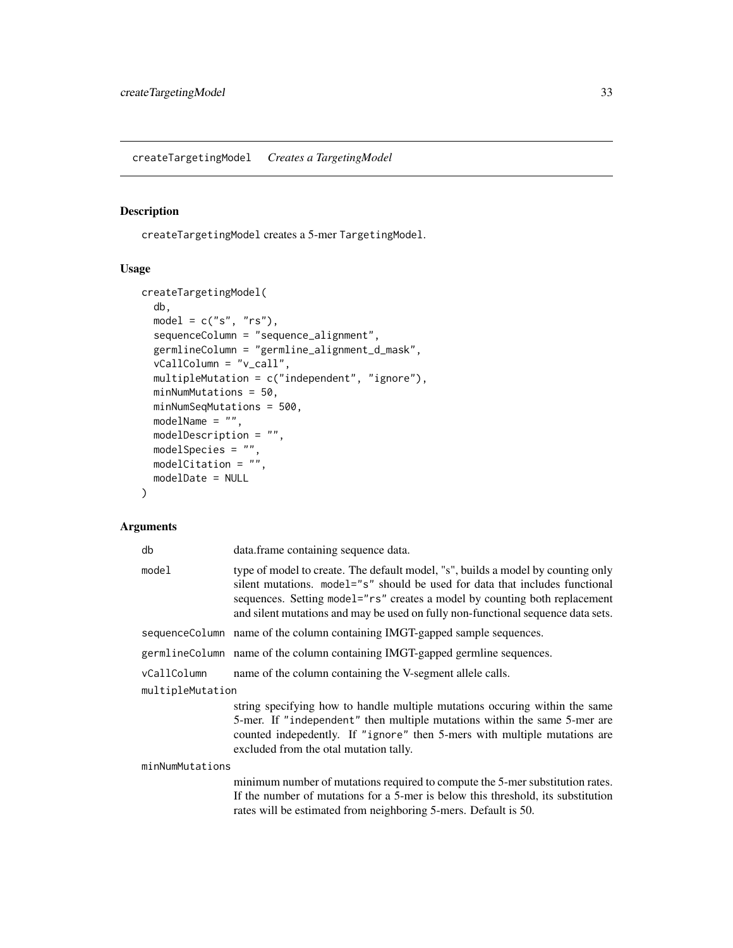## <span id="page-32-1"></span><span id="page-32-0"></span>Description

createTargetingModel creates a 5-mer TargetingModel.

## Usage

```
createTargetingModel(
  db,
 model = c("s", "rs"),sequenceColumn = "sequence_alignment",
  germlineColumn = "germline_alignment_d_mask",
 vCallColumn = "v_call",
 multipleMutation = c("independent", "ignore"),
 minNumMutations = 50,
 minNumSeqMutations = 500,
 modelName = ",
 modelDescription = "",
 modelSpecies = "",
 modelCitation = "",
 modelDate = NULL
)
```
## Arguments

| db               | data.frame containing sequence data.                                                                                                                                                                                                                                                                                               |
|------------------|------------------------------------------------------------------------------------------------------------------------------------------------------------------------------------------------------------------------------------------------------------------------------------------------------------------------------------|
| model            | type of model to create. The default model, "s", builds a model by counting only<br>silent mutations. model="s" should be used for data that includes functional<br>sequences. Setting model="rs" creates a model by counting both replacement<br>and silent mutations and may be used on fully non-functional sequence data sets. |
|                  | sequenceColumn name of the column containing IMGT-gapped sample sequences.                                                                                                                                                                                                                                                         |
|                  | germlineColumn name of the column containing IMGT-gapped germline sequences.                                                                                                                                                                                                                                                       |
| vCallColumn      | name of the column containing the V-segment allele calls.                                                                                                                                                                                                                                                                          |
| multipleMutation |                                                                                                                                                                                                                                                                                                                                    |
|                  | string specifying how to handle multiple mutations occuring within the same<br>5-mer. If "independent" then multiple mutations within the same 5-mer are<br>counted indepedently. If "ignore" then 5-mers with multiple mutations are<br>excluded from the otal mutation tally.                                                    |
| minNumMutations  |                                                                                                                                                                                                                                                                                                                                    |
|                  | minimum number of mutations required to compute the 5-mer substitution rates.<br>If the number of mutations for a 5-mer is below this threshold, its substitution<br>rates will be estimated from neighboring 5-mers. Default is 50.                                                                                               |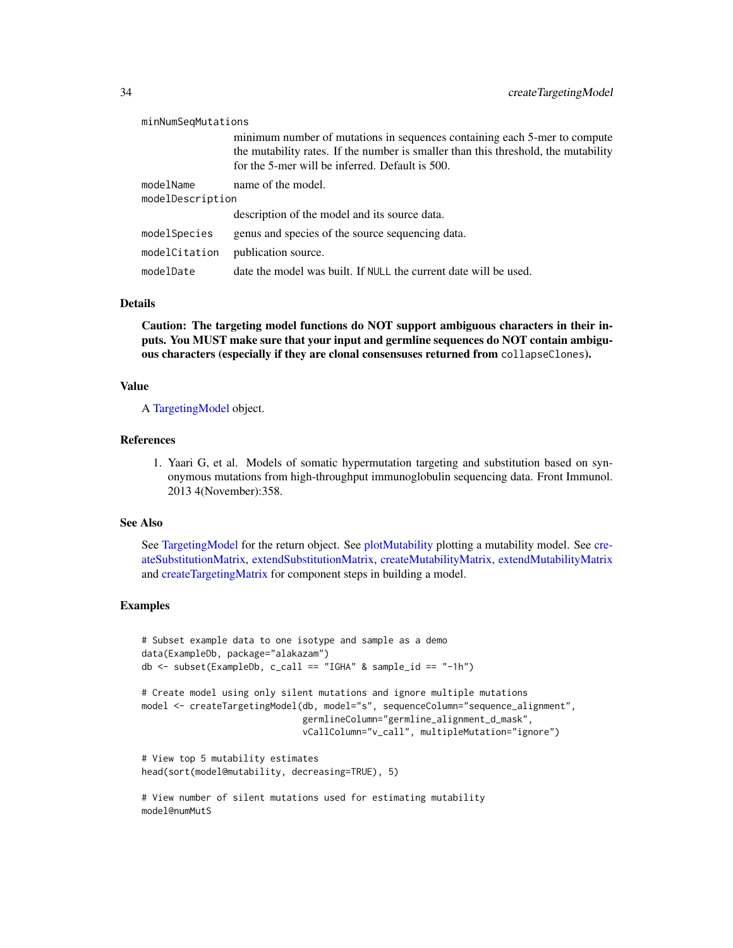| minNumSeqMutations            |                                                                                                                                                                                                                    |
|-------------------------------|--------------------------------------------------------------------------------------------------------------------------------------------------------------------------------------------------------------------|
|                               | minimum number of mutations in sequences containing each 5-mer to compute<br>the mutability rates. If the number is smaller than this threshold, the mutability<br>for the 5-mer will be inferred. Default is 500. |
| modelName<br>modelDescription | name of the model.<br>description of the model and its source data.                                                                                                                                                |
|                               |                                                                                                                                                                                                                    |
| modelSpecies                  | genus and species of the source sequencing data.                                                                                                                                                                   |
| modelCitation                 | publication source.                                                                                                                                                                                                |
| modelDate                     | date the model was built. If NULL the current date will be used.                                                                                                                                                   |

#### Details

Caution: The targeting model functions do NOT support ambiguous characters in their inputs. You MUST make sure that your input and germline sequences do NOT contain ambiguous characters (especially if they are clonal consensuses returned from collapseClones).

#### Value

A [TargetingModel](#page-93-1) object.

## References

1. Yaari G, et al. Models of somatic hypermutation targeting and substitution based on synonymous mutations from high-throughput immunoglobulin sequencing data. Front Immunol. 2013 4(November):358.

#### See Also

See [TargetingModel](#page-93-1) for the return object. See [plotMutability](#page-74-1) plotting a mutability model. See [cre](#page-28-1)[ateSubstitutionMatrix,](#page-28-1) [extendSubstitutionMatrix,](#page-43-1) [createMutabilityMatrix,](#page-24-1) [extendMutabilityMatrix](#page-42-1) and [createTargetingMatrix](#page-30-1) for component steps in building a model.

## Examples

```
# Subset example data to one isotype and sample as a demo
data(ExampleDb, package="alakazam")
db \le - subset(ExampleDb, c_call == "IGHA" & sample_id == "-1h")
# Create model using only silent mutations and ignore multiple mutations
model <- createTargetingModel(db, model="s", sequenceColumn="sequence_alignment",
                              germlineColumn="germline_alignment_d_mask",
                              vCallColumn="v_call", multipleMutation="ignore")
# View top 5 mutability estimates
head(sort(model@mutability, decreasing=TRUE), 5)
# View number of silent mutations used for estimating mutability
model@numMutS
```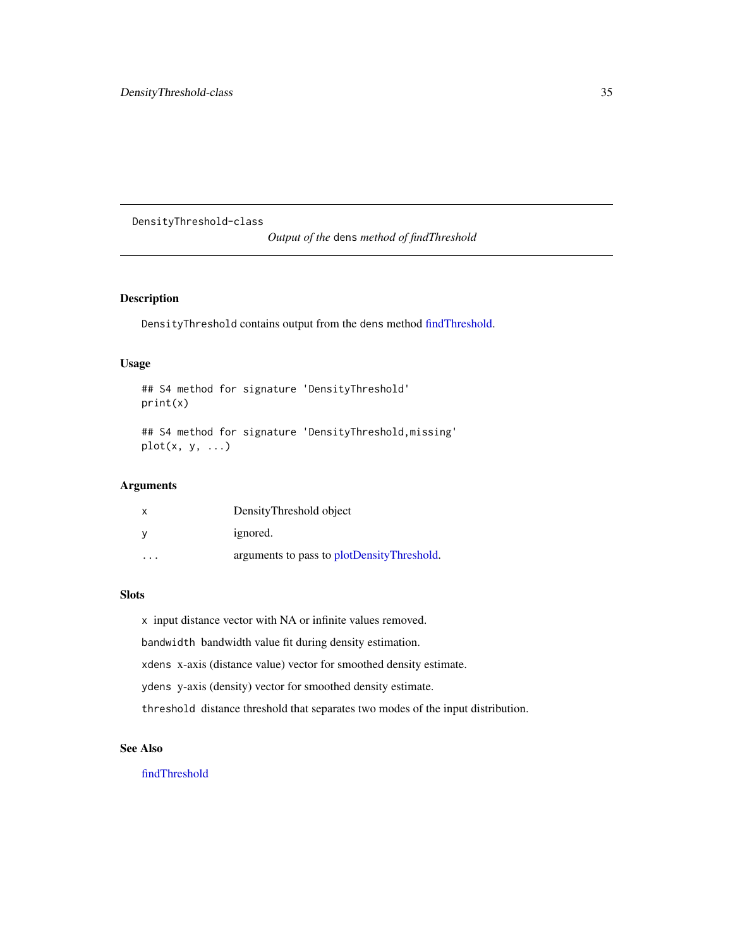<span id="page-34-0"></span>DensityThreshold-class

*Output of the* dens *method of findThreshold*

## Description

DensityThreshold contains output from the dens method [findThreshold.](#page-44-1)

## Usage

## S4 method for signature 'DensityThreshold' print(x)

## S4 method for signature 'DensityThreshold,missing'  $plot(x, y, ...)$ 

## Arguments

| x                       | DensityThreshold object                    |
|-------------------------|--------------------------------------------|
| ۷                       | ignored.                                   |
| $\cdot$ $\cdot$ $\cdot$ | arguments to pass to plotDensityThreshold. |

## **Slots**

x input distance vector with NA or infinite values removed. bandwidth bandwidth value fit during density estimation. xdens x-axis (distance value) vector for smoothed density estimate. ydens y-axis (density) vector for smoothed density estimate. threshold distance threshold that separates two modes of the input distribution.

## See Also

[findThreshold](#page-44-1)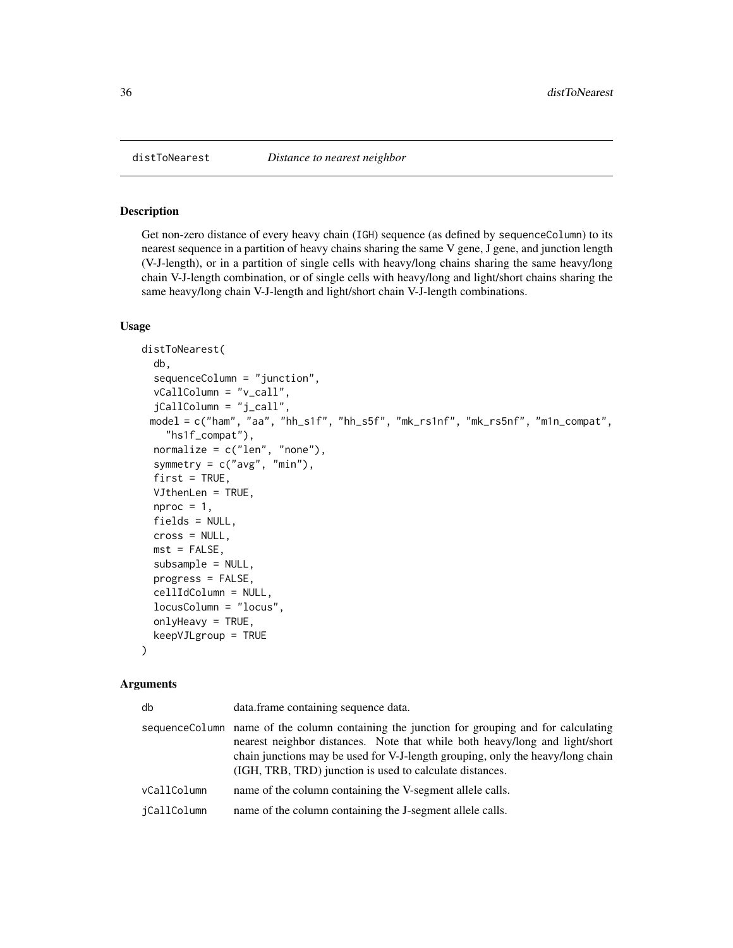<span id="page-35-0"></span>

## Description

Get non-zero distance of every heavy chain (IGH) sequence (as defined by sequenceColumn) to its nearest sequence in a partition of heavy chains sharing the same V gene, J gene, and junction length (V-J-length), or in a partition of single cells with heavy/long chains sharing the same heavy/long chain V-J-length combination, or of single cells with heavy/long and light/short chains sharing the same heavy/long chain V-J-length and light/short chain V-J-length combinations.

#### Usage

```
distToNearest(
  db,
  sequenceColumn = "junction",
  vCallColumn = "v_call",
  jCallColumn = "j_call",
 model = c("ham", "aa", "hh_s1f", "hh_s5f", "mk_rs1nf", "mk_rs5nf", "m1n_compat",
    "hs1f_compat"),
 normalize = c("len", "none"),
  symmetry = c("avg", "min"),
  first = TRUE,VJthenLen = TRUE,
  nproc = 1,fields = NULL,
  cross = NULL,
 mst = FALSE,subsample = NULL,
 progress = FALSE,
  cellIdColumn = NULL,
  locusColumn = "locus",
  onlyHeavy = TRUE,
  keepVJLgroup = TRUE
)
```
#### **Arguments**

| db          | data. frame containing sequence data.                                                                                                                                                                                                                                                                                    |
|-------------|--------------------------------------------------------------------------------------------------------------------------------------------------------------------------------------------------------------------------------------------------------------------------------------------------------------------------|
|             | sequence Column name of the column containing the junction for grouping and for calculating<br>nearest neighbor distances. Note that while both heavy/long and light/short<br>chain junctions may be used for V-J-length grouping, only the heavy/long chain<br>(IGH, TRB, TRD) junction is used to calculate distances. |
| vCallColumn | name of the column containing the V-segment allele calls.                                                                                                                                                                                                                                                                |
| iCallColumn | name of the column containing the J-segment allele calls.                                                                                                                                                                                                                                                                |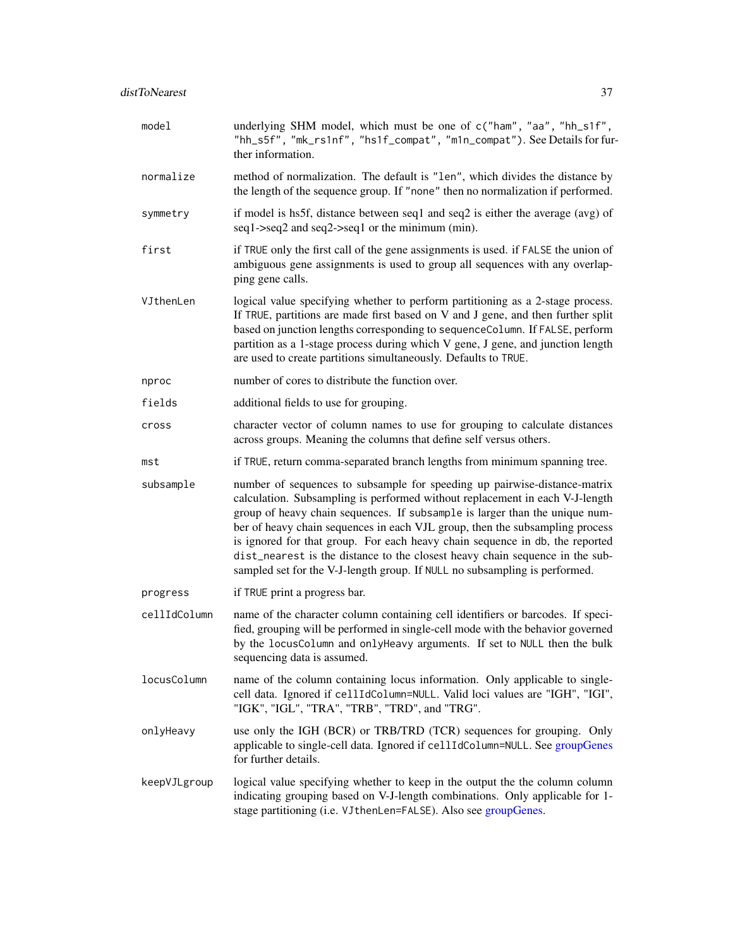| model        | underlying SHM model, which must be one of c("ham", "aa", "hh_s1f",<br>"hh_s5f", "mk_rs1nf", "hs1f_compat", "m1n_compat"). See Details for fur-<br>ther information.                                                                                                                                                                                                                                                                                                                                                                                                   |
|--------------|------------------------------------------------------------------------------------------------------------------------------------------------------------------------------------------------------------------------------------------------------------------------------------------------------------------------------------------------------------------------------------------------------------------------------------------------------------------------------------------------------------------------------------------------------------------------|
| normalize    | method of normalization. The default is "len", which divides the distance by<br>the length of the sequence group. If "none" then no normalization if performed.                                                                                                                                                                                                                                                                                                                                                                                                        |
| symmetry     | if model is hs5f, distance between seq1 and seq2 is either the average (avg) of<br>seq1->seq2 and seq2->seq1 or the minimum (min).                                                                                                                                                                                                                                                                                                                                                                                                                                     |
| first        | if TRUE only the first call of the gene assignments is used. if FALSE the union of<br>ambiguous gene assignments is used to group all sequences with any overlap-<br>ping gene calls.                                                                                                                                                                                                                                                                                                                                                                                  |
| VJthenLen    | logical value specifying whether to perform partitioning as a 2-stage process.<br>If TRUE, partitions are made first based on V and J gene, and then further split<br>based on junction lengths corresponding to sequenceColumn. If FALSE, perform<br>partition as a 1-stage process during which V gene, J gene, and junction length<br>are used to create partitions simultaneously. Defaults to TRUE.                                                                                                                                                               |
| nproc        | number of cores to distribute the function over.                                                                                                                                                                                                                                                                                                                                                                                                                                                                                                                       |
| fields       | additional fields to use for grouping.                                                                                                                                                                                                                                                                                                                                                                                                                                                                                                                                 |
| cross        | character vector of column names to use for grouping to calculate distances<br>across groups. Meaning the columns that define self versus others.                                                                                                                                                                                                                                                                                                                                                                                                                      |
| mst          | if TRUE, return comma-separated branch lengths from minimum spanning tree.                                                                                                                                                                                                                                                                                                                                                                                                                                                                                             |
| subsample    | number of sequences to subsample for speeding up pairwise-distance-matrix<br>calculation. Subsampling is performed without replacement in each V-J-length<br>group of heavy chain sequences. If subsample is larger than the unique num-<br>ber of heavy chain sequences in each VJL group, then the subsampling process<br>is ignored for that group. For each heavy chain sequence in db, the reported<br>dist_nearest is the distance to the closest heavy chain sequence in the sub-<br>sampled set for the V-J-length group. If NULL no subsampling is performed. |
| progress     | if TRUE print a progress bar.                                                                                                                                                                                                                                                                                                                                                                                                                                                                                                                                          |
| cellIdColumn | name of the character column containing cell identifiers or barcodes. If speci-<br>fied, grouping will be performed in single-cell mode with the behavior governed<br>by the locusColumn and onlyHeavy arguments. If set to NULL then the bulk<br>sequencing data is assumed.                                                                                                                                                                                                                                                                                          |
| locusColumn  | name of the column containing locus information. Only applicable to single-<br>cell data. Ignored if cellIdColumn=NULL. Valid loci values are "IGH", "IGI",<br>"IGK", "IGL", "TRA", "TRB", "TRD", and "TRG".                                                                                                                                                                                                                                                                                                                                                           |
| onlyHeavy    | use only the IGH (BCR) or TRB/TRD (TCR) sequences for grouping. Only<br>applicable to single-cell data. Ignored if cellIdColumn=NULL. See groupGenes<br>for further details.                                                                                                                                                                                                                                                                                                                                                                                           |
| keepVJLgroup | logical value specifying whether to keep in the output the the column column<br>indicating grouping based on V-J-length combinations. Only applicable for 1-<br>stage partitioning (i.e. VJthenLen=FALSE). Also see groupGenes.                                                                                                                                                                                                                                                                                                                                        |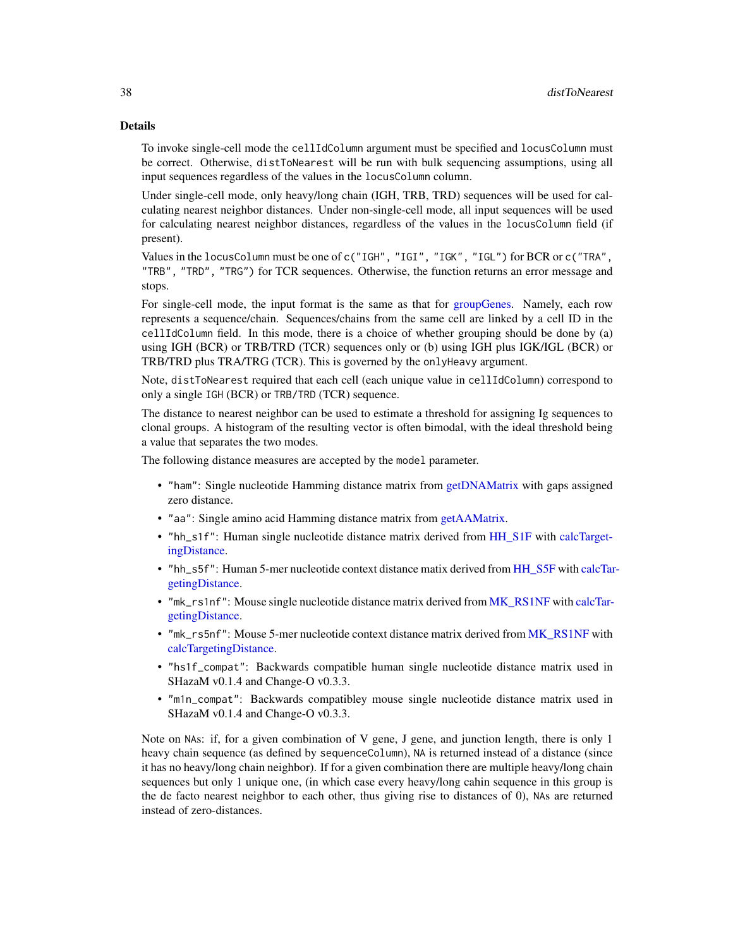#### Details

To invoke single-cell mode the cellIdColumn argument must be specified and locusColumn must be correct. Otherwise, distToNearest will be run with bulk sequencing assumptions, using all input sequences regardless of the values in the locusColumn column.

Under single-cell mode, only heavy/long chain (IGH, TRB, TRD) sequences will be used for calculating nearest neighbor distances. Under non-single-cell mode, all input sequences will be used for calculating nearest neighbor distances, regardless of the values in the locusColumn field (if present).

Values in the locusColumn must be one of c("IGH", "IGI", "IGK", "IGL") for BCR or c("TRA", "TRB", "TRD", "TRG") for TCR sequences. Otherwise, the function returns an error message and stops.

For single-cell mode, the input format is the same as that for [groupGenes.](#page-0-0) Namely, each row represents a sequence/chain. Sequences/chains from the same cell are linked by a cell ID in the cellIdColumn field. In this mode, there is a choice of whether grouping should be done by (a) using IGH (BCR) or TRB/TRD (TCR) sequences only or (b) using IGH plus IGK/IGL (BCR) or TRB/TRD plus TRA/TRG (TCR). This is governed by the onlyHeavy argument.

Note, distToNearest required that each cell (each unique value in cellIdColumn) correspond to only a single IGH (BCR) or TRB/TRD (TCR) sequence.

The distance to nearest neighbor can be used to estimate a threshold for assigning Ig sequences to clonal groups. A histogram of the resulting vector is often bimodal, with the ideal threshold being a value that separates the two modes.

The following distance measures are accepted by the model parameter.

- "ham": Single nucleotide Hamming distance matrix from [getDNAMatrix](#page-0-0) with gaps assigned zero distance.
- "aa": Single amino acid Hamming distance matrix from [getAAMatrix.](#page-0-0)
- "hh\_s1f": Human single nucleotide distance matrix derived from [HH\\_S1F](#page-49-0) with [calcTarget](#page-12-0)[ingDistance.](#page-12-0)
- "hh\_s5f": Human 5-mer nucleotide context distance matix derived from [HH\\_S5F](#page-50-0) with [calcTar](#page-12-0)[getingDistance.](#page-12-0)
- "mk\_rs1nf": Mouse single nucleotide distance matrix derived from [MK\\_RS1NF](#page-61-0) with [calcTar](#page-12-0)[getingDistance.](#page-12-0)
- "mk\_rs5nf": Mouse 5-mer nucleotide context distance matrix derived from [MK\\_RS1NF](#page-61-0) with [calcTargetingDistance.](#page-12-0)
- "hs1f\_compat": Backwards compatible human single nucleotide distance matrix used in SHazaM v0.1.4 and Change-O v0.3.3.
- "m1n\_compat": Backwards compatibley mouse single nucleotide distance matrix used in SHazaM v0.1.4 and Change-O v0.3.3.

Note on NAs: if, for a given combination of V gene, J gene, and junction length, there is only 1 heavy chain sequence (as defined by sequenceColumn), NA is returned instead of a distance (since it has no heavy/long chain neighbor). If for a given combination there are multiple heavy/long chain sequences but only 1 unique one, (in which case every heavy/long cahin sequence in this group is the de facto nearest neighbor to each other, thus giving rise to distances of 0), NAs are returned instead of zero-distances.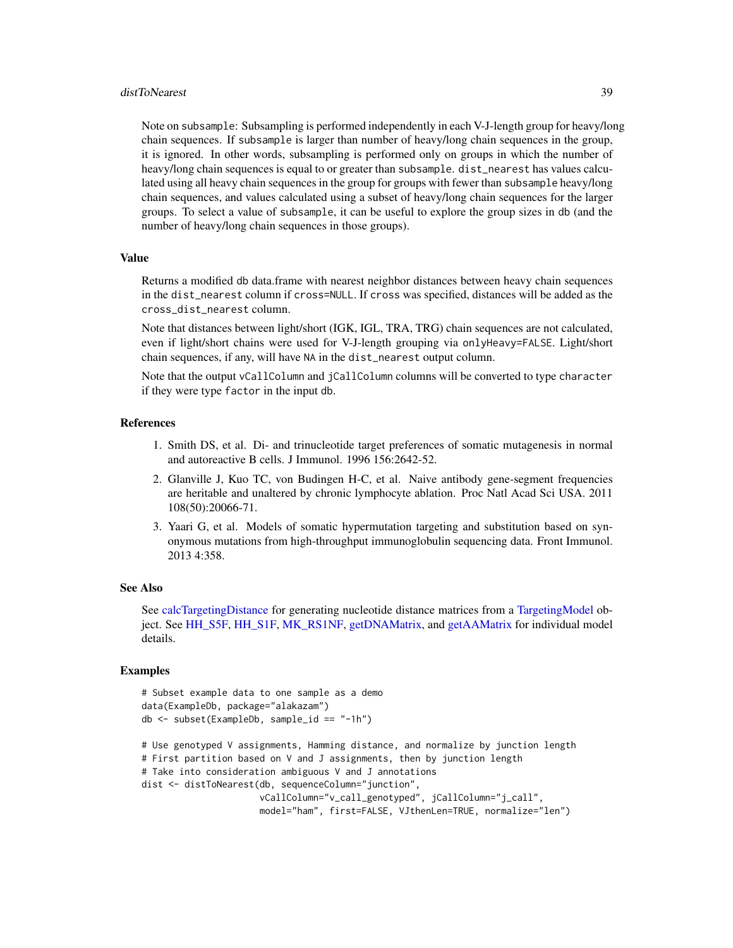#### distToNearest 39

Note on subsample: Subsampling is performed independently in each V-J-length group for heavy/long chain sequences. If subsample is larger than number of heavy/long chain sequences in the group, it is ignored. In other words, subsampling is performed only on groups in which the number of heavy/long chain sequences is equal to or greater than subsample. dist\_nearest has values calculated using all heavy chain sequences in the group for groups with fewer than subsample heavy/long chain sequences, and values calculated using a subset of heavy/long chain sequences for the larger groups. To select a value of subsample, it can be useful to explore the group sizes in db (and the number of heavy/long chain sequences in those groups).

#### Value

Returns a modified db data.frame with nearest neighbor distances between heavy chain sequences in the dist\_nearest column if cross=NULL. If cross was specified, distances will be added as the cross\_dist\_nearest column.

Note that distances between light/short (IGK, IGL, TRA, TRG) chain sequences are not calculated, even if light/short chains were used for V-J-length grouping via onlyHeavy=FALSE. Light/short chain sequences, if any, will have NA in the dist\_nearest output column.

Note that the output vCallColumn and jCallColumn columns will be converted to type character if they were type factor in the input db.

## References

- 1. Smith DS, et al. Di- and trinucleotide target preferences of somatic mutagenesis in normal and autoreactive B cells. J Immunol. 1996 156:2642-52.
- 2. Glanville J, Kuo TC, von Budingen H-C, et al. Naive antibody gene-segment frequencies are heritable and unaltered by chronic lymphocyte ablation. Proc Natl Acad Sci USA. 2011 108(50):20066-71.
- 3. Yaari G, et al. Models of somatic hypermutation targeting and substitution based on synonymous mutations from high-throughput immunoglobulin sequencing data. Front Immunol. 2013 4:358.

#### See Also

See [calcTargetingDistance](#page-12-0) for generating nucleotide distance matrices from a [TargetingModel](#page-93-0) object. See [HH\\_S5F,](#page-50-0) [HH\\_S1F,](#page-49-0) [MK\\_RS1NF,](#page-61-0) [getDNAMatrix,](#page-0-0) and [getAAMatrix](#page-0-0) for individual model details.

```
# Subset example data to one sample as a demo
data(ExampleDb, package="alakazam")
db <- subset(ExampleDb, sample_id == "-1h")
# Use genotyped V assignments, Hamming distance, and normalize by junction length
# First partition based on V and J assignments, then by junction length
# Take into consideration ambiguous V and J annotations
dist <- distToNearest(db, sequenceColumn="junction",
                     vCallColumn="v_call_genotyped", jCallColumn="j_call",
                     model="ham", first=FALSE, VJthenLen=TRUE, normalize="len")
```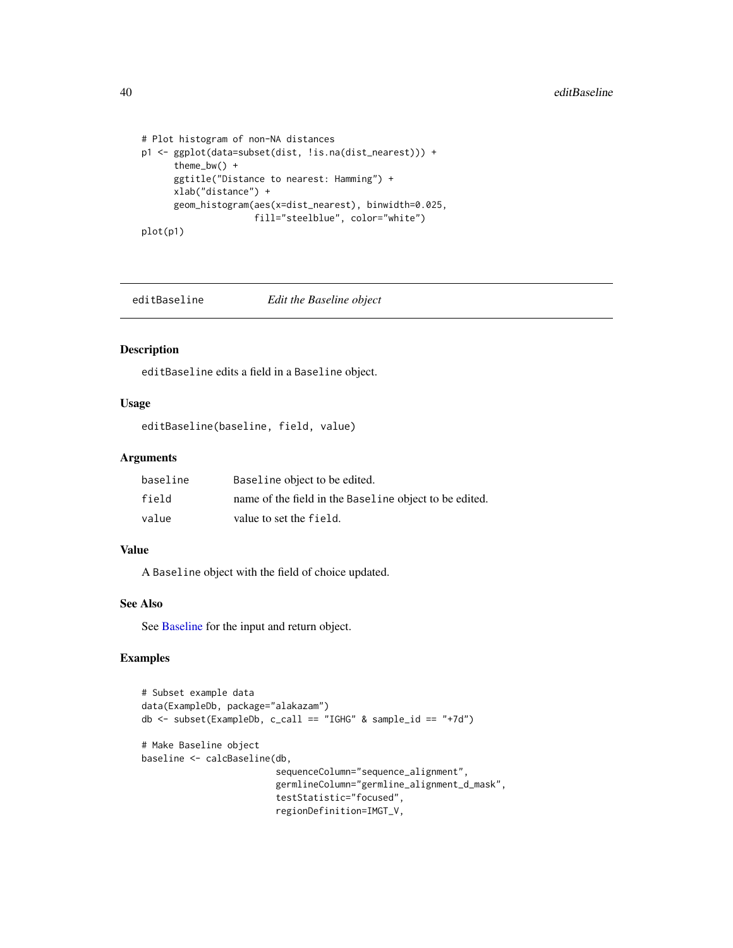```
# Plot histogram of non-NA distances
p1 <- ggplot(data=subset(dist, !is.na(dist_nearest))) +
     theme_bw() +
     ggtitle("Distance to nearest: Hamming") +
     xlab("distance") +
     geom_histogram(aes(x=dist_nearest), binwidth=0.025,
                     fill="steelblue", color="white")
plot(p1)
```
editBaseline *Edit the Baseline object*

# Description

editBaseline edits a field in a Baseline object.

# Usage

editBaseline(baseline, field, value)

## Arguments

| baseline | Baseline object to be edited.                          |
|----------|--------------------------------------------------------|
| field    | name of the field in the Baseline object to be edited. |
| value    | value to set the field.                                |

### Value

A Baseline object with the field of choice updated.

#### See Also

See [Baseline](#page-3-0) for the input and return object.

```
# Subset example data
data(ExampleDb, package="alakazam")
db \leftarrow subset(ExampleDb, c_call == "IGHG" & sample_id == "+7d")# Make Baseline object
baseline <- calcBaseline(db,
                          sequenceColumn="sequence_alignment",
                         germlineColumn="germline_alignment_d_mask",
                         testStatistic="focused",
                         regionDefinition=IMGT_V,
```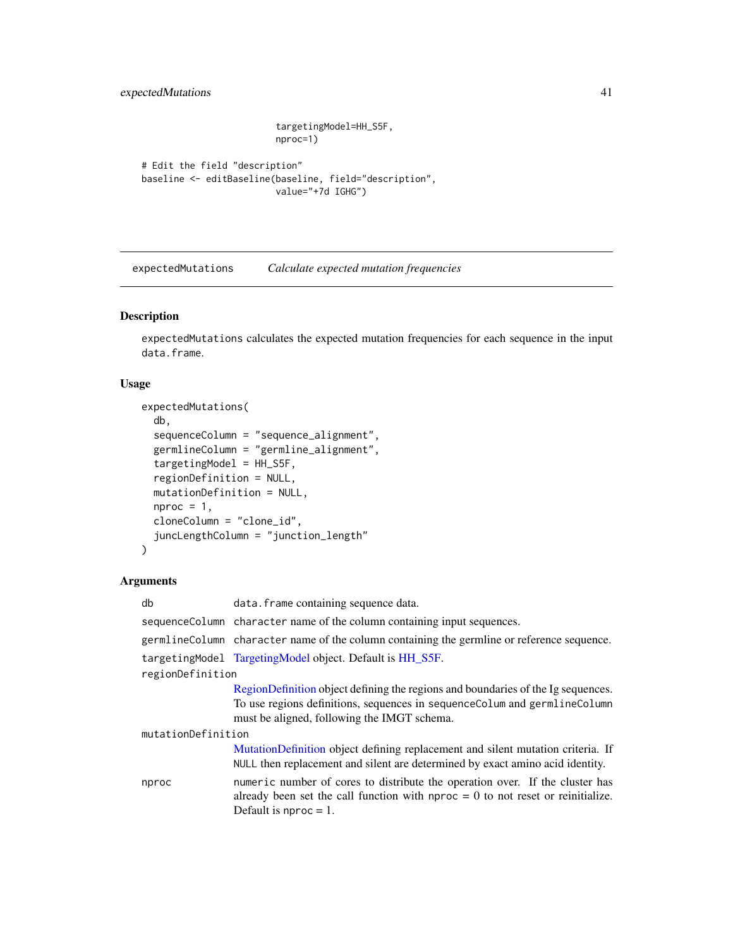expectedMutations 41

```
targetingModel=HH_S5F,
nproc=1)
```

```
# Edit the field "description"
baseline <- editBaseline(baseline, field="description",
                        value="+7d IGHG")
```
<span id="page-40-0"></span>expectedMutations *Calculate expected mutation frequencies*

# Description

expectedMutations calculates the expected mutation frequencies for each sequence in the input data.frame.

# Usage

```
expectedMutations(
 db,
 sequenceColumn = "sequence_alignment",
 germlineColumn = "germline_alignment",
 targetingModel = HH_S5F,
 regionDefinition = NULL,
 mutationDefinition = NULL,
 nproc = 1,cloneColumn = "clone_id",
  juncLengthColumn = "junction_length"
)
```
## Arguments

| db                 | data. frame containing sequence data.                                                                                                                                                         |  |
|--------------------|-----------------------------------------------------------------------------------------------------------------------------------------------------------------------------------------------|--|
|                    | sequenceColumn character name of the column containing input sequences.                                                                                                                       |  |
|                    | germlineColumn character name of the column containing the germline or reference sequence.                                                                                                    |  |
|                    | targetingModel TargetingModel object. Default is HH_S5F.                                                                                                                                      |  |
| regionDefinition   |                                                                                                                                                                                               |  |
|                    | RegionDefinition object defining the regions and boundaries of the Ig sequences.                                                                                                              |  |
|                    | To use regions definitions, sequences in sequenceColum and germlineColumn<br>must be aligned, following the IMGT schema.                                                                      |  |
| mutationDefinition |                                                                                                                                                                                               |  |
|                    | MutationDefinition object defining replacement and silent mutation criteria. If<br>NULL then replacement and silent are determined by exact amino acid identity.                              |  |
| nproc              | numeric number of cores to distribute the operation over. If the cluster has<br>already been set the call function with $nproc = 0$ to not reset or reinitialize.<br>Default is nproc $= 1$ . |  |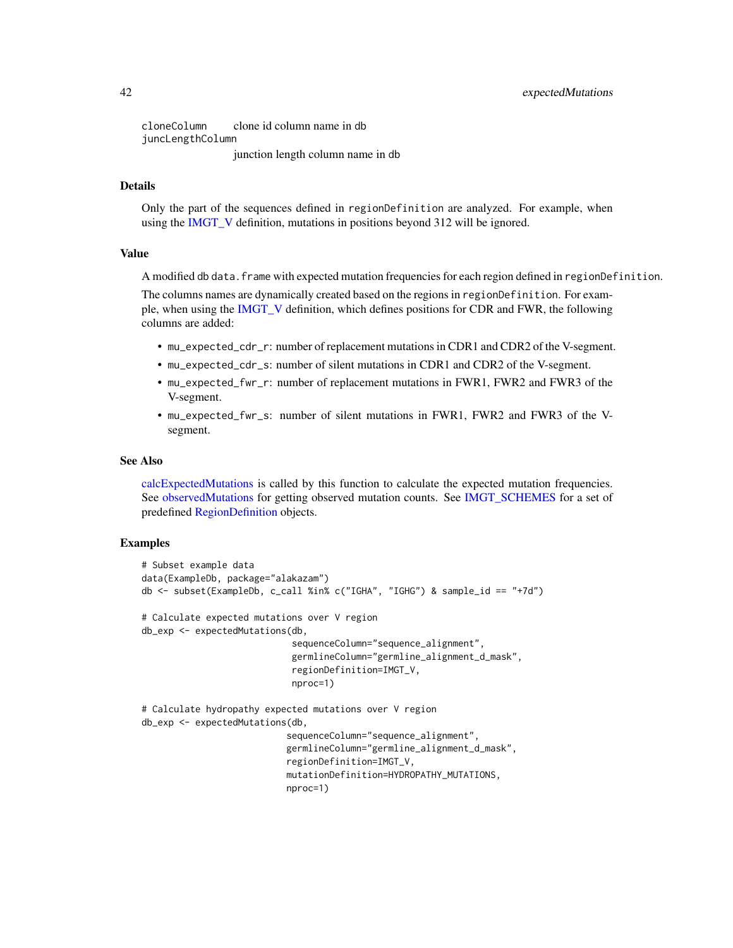cloneColumn clone id column name in db juncLengthColumn junction length column name in db

# Details

Only the part of the sequences defined in regionDefinition are analyzed. For example, when using the [IMGT\\_V](#page-52-0) definition, mutations in positions beyond 312 will be ignored.

#### Value

A modified db data.frame with expected mutation frequencies for each region defined in regionDefinition.

The columns names are dynamically created based on the regions in regionDefinition. For example, when using the [IMGT\\_V](#page-52-0) definition, which defines positions for CDR and FWR, the following columns are added:

- mu\_expected\_cdr\_r: number of replacement mutations in CDR1 and CDR2 of the V-segment.
- mu\_expected\_cdr\_s: number of silent mutations in CDR1 and CDR2 of the V-segment.
- mu\_expected\_fwr\_r: number of replacement mutations in FWR1, FWR2 and FWR3 of the V-segment.
- mu\_expected\_fwr\_s: number of silent mutations in FWR1, FWR2 and FWR3 of the Vsegment.

### See Also

[calcExpectedMutations](#page-7-0) is called by this function to calculate the expected mutation frequencies. See [observedMutations](#page-64-0) for getting observed mutation counts. See [IMGT\\_SCHEMES](#page-52-1) for a set of predefined [RegionDefinition](#page-78-0) objects.

```
# Subset example data
data(ExampleDb, package="alakazam")
db <- subset(ExampleDb, c_call %in% c("IGHA", "IGHG") & sample_id == "+7d")
# Calculate expected mutations over V region
db_exp <- expectedMutations(db,
                            sequenceColumn="sequence_alignment",
                            germlineColumn="germline_alignment_d_mask",
                            regionDefinition=IMGT_V,
                            nproc=1)
# Calculate hydropathy expected mutations over V region
db_exp <- expectedMutations(db,
                           sequenceColumn="sequence_alignment",
                           germlineColumn="germline_alignment_d_mask",
                           regionDefinition=IMGT_V,
                           mutationDefinition=HYDROPATHY_MUTATIONS,
                           nproc=1)
```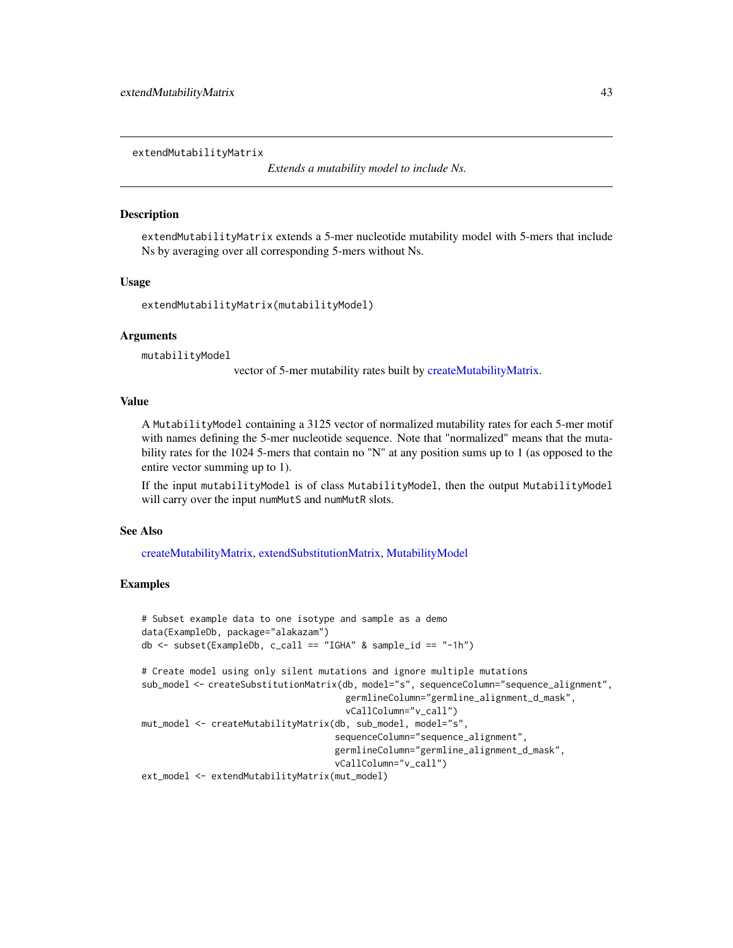<span id="page-42-0"></span>extendMutabilityMatrix

*Extends a mutability model to include Ns.*

#### **Description**

extendMutabilityMatrix extends a 5-mer nucleotide mutability model with 5-mers that include Ns by averaging over all corresponding 5-mers without Ns.

## Usage

```
extendMutabilityMatrix(mutabilityModel)
```
# Arguments

mutabilityModel

vector of 5-mer mutability rates built by [createMutabilityMatrix.](#page-24-0)

# Value

A MutabilityModel containing a 3125 vector of normalized mutability rates for each 5-mer motif with names defining the 5-mer nucleotide sequence. Note that "normalized" means that the mutability rates for the 1024 5-mers that contain no "N" at any position sums up to 1 (as opposed to the entire vector summing up to 1).

If the input mutabilityModel is of class MutabilityModel, then the output MutabilityModel will carry over the input numMutS and numMutR slots.

#### See Also

[createMutabilityMatrix,](#page-24-0) [extendSubstitutionMatrix,](#page-43-0) [MutabilityModel](#page-62-0)

```
# Subset example data to one isotype and sample as a demo
data(ExampleDb, package="alakazam")
db <- subset(ExampleDb, c_call == "IGHA" & sample_id == "-1h")
# Create model using only silent mutations and ignore multiple mutations
sub_model <- createSubstitutionMatrix(db, model="s", sequenceColumn="sequence_alignment",
                                      germlineColumn="germline_alignment_d_mask",
                                      vCallColumn="v_call")
mut_model <- createMutabilityMatrix(db, sub_model, model="s",
                                    sequenceColumn="sequence_alignment",
                                    germlineColumn="germline_alignment_d_mask",
                                    vCallColumn="v_call")
ext_model <- extendMutabilityMatrix(mut_model)
```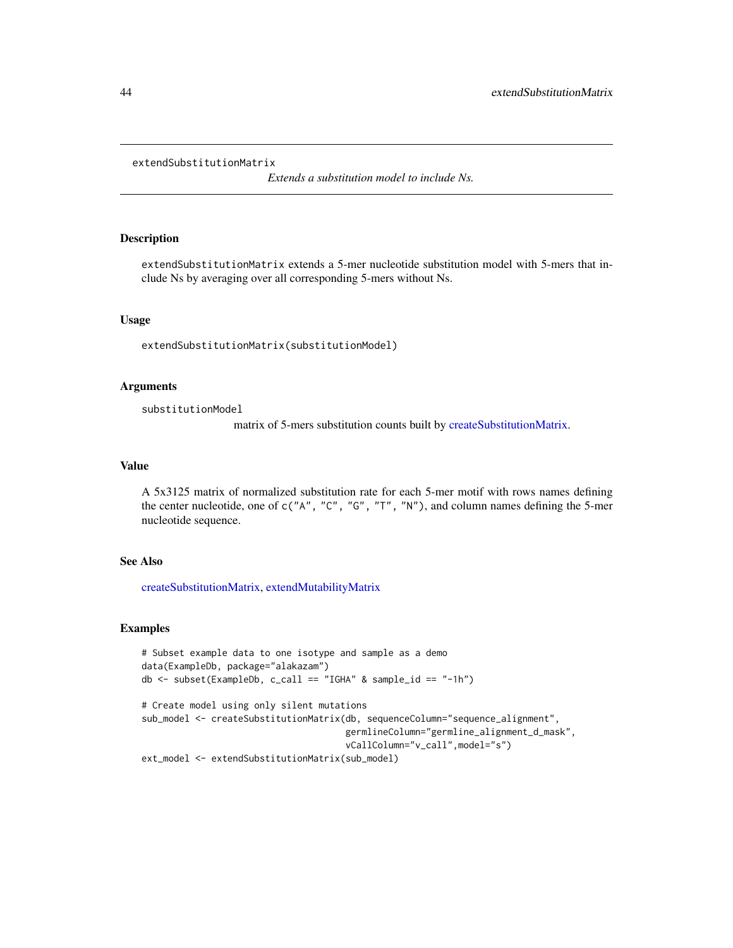#### <span id="page-43-0"></span>extendSubstitutionMatrix

*Extends a substitution model to include Ns.*

# Description

extendSubstitutionMatrix extends a 5-mer nucleotide substitution model with 5-mers that include Ns by averaging over all corresponding 5-mers without Ns.

#### Usage

extendSubstitutionMatrix(substitutionModel)

#### Arguments

substitutionModel

matrix of 5-mers substitution counts built by [createSubstitutionMatrix.](#page-28-0)

## Value

A 5x3125 matrix of normalized substitution rate for each 5-mer motif with rows names defining the center nucleotide, one of c("A", "C", "G", "T", "N"), and column names defining the 5-mer nucleotide sequence.

# See Also

[createSubstitutionMatrix,](#page-28-0) [extendMutabilityMatrix](#page-42-0)

```
# Subset example data to one isotype and sample as a demo
data(ExampleDb, package="alakazam")
db \leq -\text{subset}(\text{ExampleDb}, \text{c}_\text{call} == \text{"IGHA"} \& \text{sample_id} == \text{"-1h"})# Create model using only silent mutations
sub_model <- createSubstitutionMatrix(db, sequenceColumn="sequence_alignment",
                                           germlineColumn="germline_alignment_d_mask",
                                           vCallColumn="v_call",model="s")
ext_model <- extendSubstitutionMatrix(sub_model)
```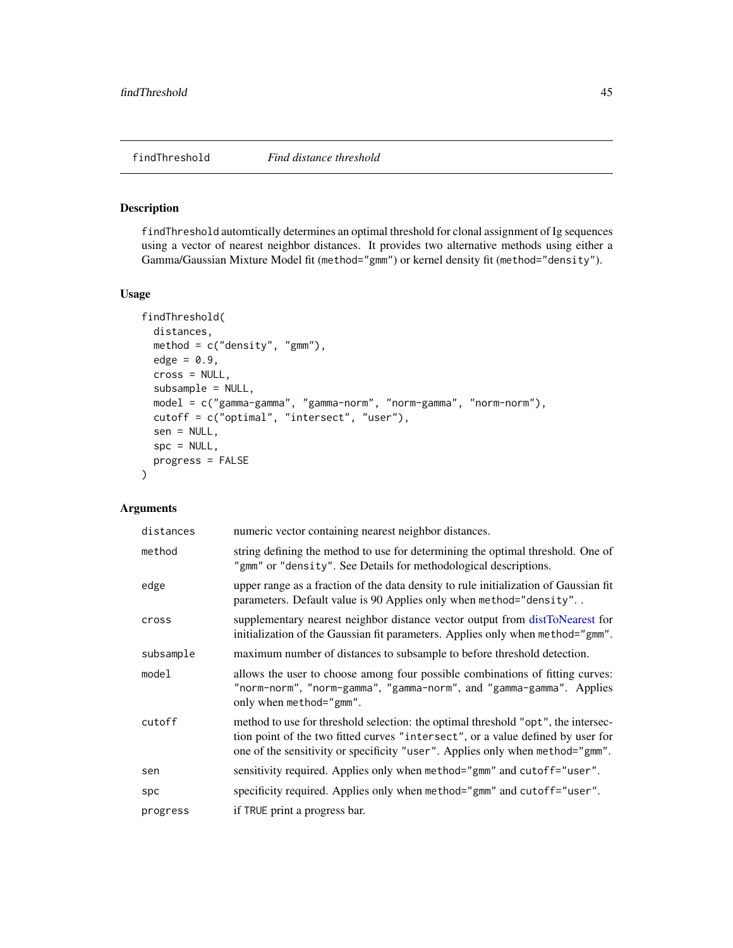#### <span id="page-44-0"></span>Description

findThreshold automtically determines an optimal threshold for clonal assignment of Ig sequences using a vector of nearest neighbor distances. It provides two alternative methods using either a Gamma/Gaussian Mixture Model fit (method="gmm") or kernel density fit (method="density").

#### Usage

```
findThreshold(
 distances,
 method = c("density", "gmm"),
 edge = 0.9,
 cross = NULL,
  subsample = NULL,
 model = c("gamma-gamma", "gamma-norm", "norm-gamma", "norm-norm"),
 cutoff = c("optimal", "intersect", "user"),
  sen = NULL,
  spc = NULL,progress = FALSE
)
```
## Arguments

| distances | numeric vector containing nearest neighbor distances.                                                                                                                                                                                                 |
|-----------|-------------------------------------------------------------------------------------------------------------------------------------------------------------------------------------------------------------------------------------------------------|
| method    | string defining the method to use for determining the optimal threshold. One of<br>"gmm" or "density". See Details for methodological descriptions.                                                                                                   |
| edge      | upper range as a fraction of the data density to rule initialization of Gaussian fit<br>parameters. Default value is 90 Applies only when method="density"                                                                                            |
| cross     | supplementary nearest neighbor distance vector output from distronearest for<br>initialization of the Gaussian fit parameters. Applies only when method="gmm".                                                                                        |
| subsample | maximum number of distances to subsample to before threshold detection.                                                                                                                                                                               |
| model     | allows the user to choose among four possible combinations of fitting curves:<br>"norm-norm", "norm-gamma", "gamma-norm", and "gamma-gamma". Applies<br>only when method="gmm".                                                                       |
| cutoff    | method to use for threshold selection: the optimal threshold "opt", the intersec-<br>tion point of the two fitted curves "intersect", or a value defined by user for<br>one of the sensitivity or specificity "user". Applies only when method="gmm". |
| sen       | sensitivity required. Applies only when method="gmm" and cutoff="user".                                                                                                                                                                               |
| spc       | specificity required. Applies only when method="gmm" and cutoff="user".                                                                                                                                                                               |
| progress  | if TRUE print a progress bar.                                                                                                                                                                                                                         |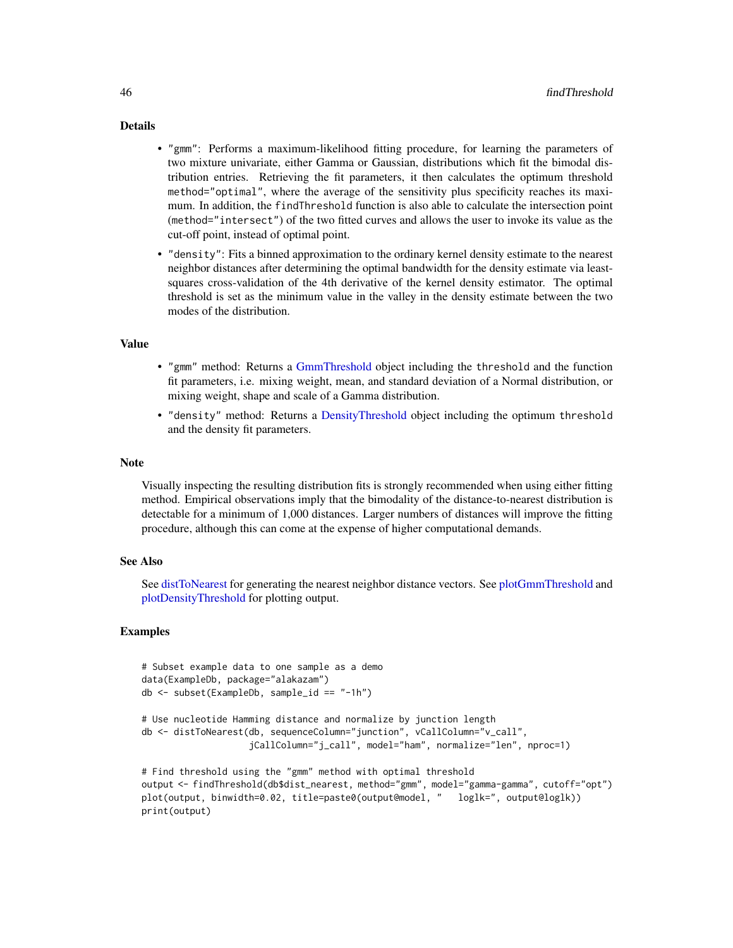## Details

- "gmm": Performs a maximum-likelihood fitting procedure, for learning the parameters of two mixture univariate, either Gamma or Gaussian, distributions which fit the bimodal distribution entries. Retrieving the fit parameters, it then calculates the optimum threshold method="optimal", where the average of the sensitivity plus specificity reaches its maximum. In addition, the findThreshold function is also able to calculate the intersection point (method="intersect") of the two fitted curves and allows the user to invoke its value as the cut-off point, instead of optimal point.
- "density": Fits a binned approximation to the ordinary kernel density estimate to the nearest neighbor distances after determining the optimal bandwidth for the density estimate via leastsquares cross-validation of the 4th derivative of the kernel density estimator. The optimal threshold is set as the minimum value in the valley in the density estimate between the two modes of the distribution.

## Value

- "gmm" method: Returns a [GmmThreshold](#page-46-0) object including the threshold and the function fit parameters, i.e. mixing weight, mean, and standard deviation of a Normal distribution, or mixing weight, shape and scale of a Gamma distribution.
- "density" method: Returns a [DensityThreshold](#page-34-0) object including the optimum threshold and the density fit parameters.

# **Note**

Visually inspecting the resulting distribution fits is strongly recommended when using either fitting method. Empirical observations imply that the bimodality of the distance-to-nearest distribution is detectable for a minimum of 1,000 distances. Larger numbers of distances will improve the fitting procedure, although this can come at the expense of higher computational demands.

#### See Also

See [distToNearest](#page-35-0) for generating the nearest neighbor distance vectors. See [plotGmmThreshold](#page-73-0) and [plotDensityThreshold](#page-71-0) for plotting output.

```
# Subset example data to one sample as a demo
data(ExampleDb, package="alakazam")
db <- subset(ExampleDb, sample_id == "-1h")
# Use nucleotide Hamming distance and normalize by junction length
db <- distToNearest(db, sequenceColumn="junction", vCallColumn="v_call",
                    jCallColumn="j_call", model="ham", normalize="len", nproc=1)
# Find threshold using the "gmm" method with optimal threshold
output <- findThreshold(db$dist_nearest, method="gmm", model="gamma-gamma", cutoff="opt")
plot(output, binwidth=0.02, title=paste0(output@model, " loglk=", output@loglk))
print(output)
```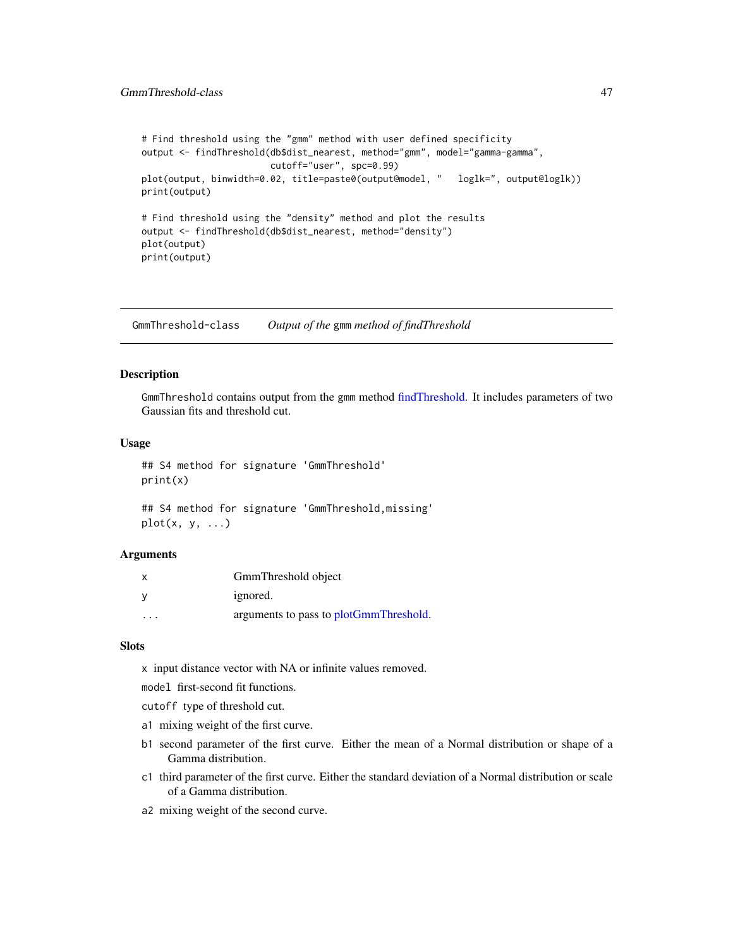```
# Find threshold using the "gmm" method with user defined specificity
output <- findThreshold(db$dist_nearest, method="gmm", model="gamma-gamma",
                       cutoff="user", spc=0.99)
plot(output, binwidth=0.02, title=paste0(output@model, " loglk=", output@loglk))
print(output)
# Find threshold using the "density" method and plot the results
output <- findThreshold(db$dist_nearest, method="density")
plot(output)
print(output)
```
GmmThreshold-class *Output of the* gmm *method of findThreshold*

# <span id="page-46-0"></span>Description

GmmThreshold contains output from the gmm method [findThreshold.](#page-44-0) It includes parameters of two Gaussian fits and threshold cut.

#### Usage

```
## S4 method for signature 'GmmThreshold'
print(x)
```

```
## S4 method for signature 'GmmThreshold,missing'
plot(x, y, \ldots)
```
#### Arguments

| $\boldsymbol{\mathsf{x}}$ | GmmThreshold object                    |
|---------------------------|----------------------------------------|
| - V                       | ignored.                               |
| $\cdot$ $\cdot$ $\cdot$   | arguments to pass to plotGmmThreshold. |

## Slots

x input distance vector with NA or infinite values removed.

model first-second fit functions.

- cutoff type of threshold cut.
- a1 mixing weight of the first curve.
- b1 second parameter of the first curve. Either the mean of a Normal distribution or shape of a Gamma distribution.
- c1 third parameter of the first curve. Either the standard deviation of a Normal distribution or scale of a Gamma distribution.
- a2 mixing weight of the second curve.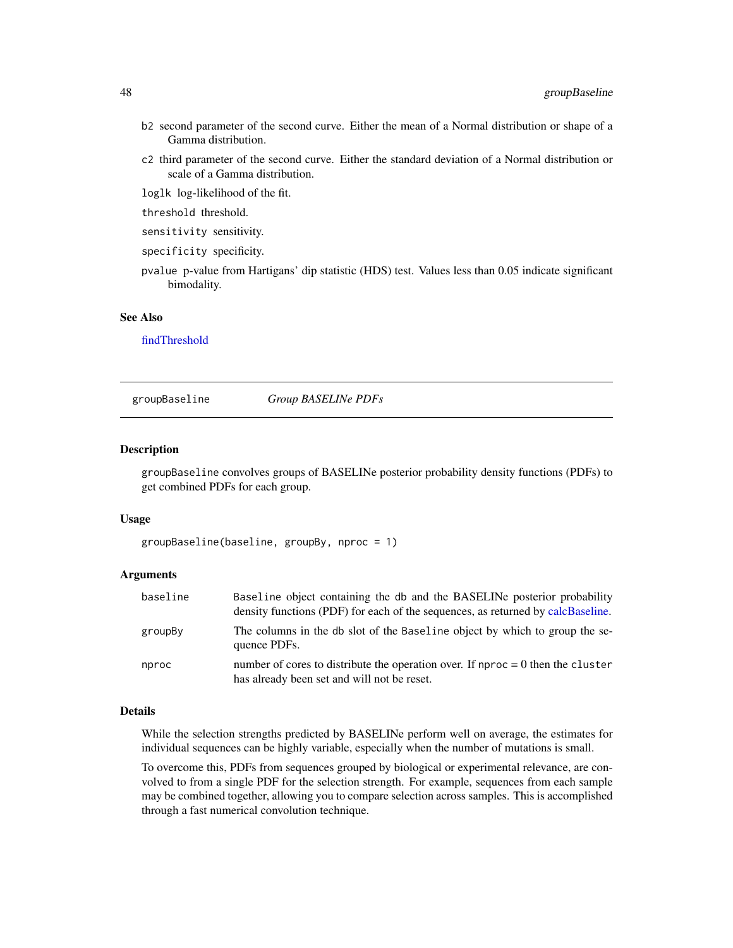- b2 second parameter of the second curve. Either the mean of a Normal distribution or shape of a Gamma distribution.
- c2 third parameter of the second curve. Either the standard deviation of a Normal distribution or scale of a Gamma distribution.
- loglk log-likelihood of the fit.
- threshold threshold.
- sensitivity sensitivity.
- specificity specificity.
- pvalue p-value from Hartigans' dip statistic (HDS) test. Values less than 0.05 indicate significant bimodality.

## See Also

[findThreshold](#page-44-0)

<span id="page-47-0"></span>groupBaseline *Group BASELINe PDFs*

#### **Description**

groupBaseline convolves groups of BASELINe posterior probability density functions (PDFs) to get combined PDFs for each group.

# Usage

groupBaseline(baseline, groupBy, nproc = 1)

#### Arguments

| baseline | Baseline object containing the db and the BASELINe posterior probability<br>density functions (PDF) for each of the sequences, as returned by calcBaseline. |
|----------|-------------------------------------------------------------------------------------------------------------------------------------------------------------|
| groupBy  | The columns in the db slot of the Baseline object by which to group the se-<br>quence PDFs.                                                                 |
| nproc    | number of cores to distribute the operation over. If $nproc = 0$ then the cluster<br>has already been set and will not be reset.                            |

# Details

While the selection strengths predicted by BASELINe perform well on average, the estimates for individual sequences can be highly variable, especially when the number of mutations is small.

To overcome this, PDFs from sequences grouped by biological or experimental relevance, are convolved to from a single PDF for the selection strength. For example, sequences from each sample may be combined together, allowing you to compare selection across samples. This is accomplished through a fast numerical convolution technique.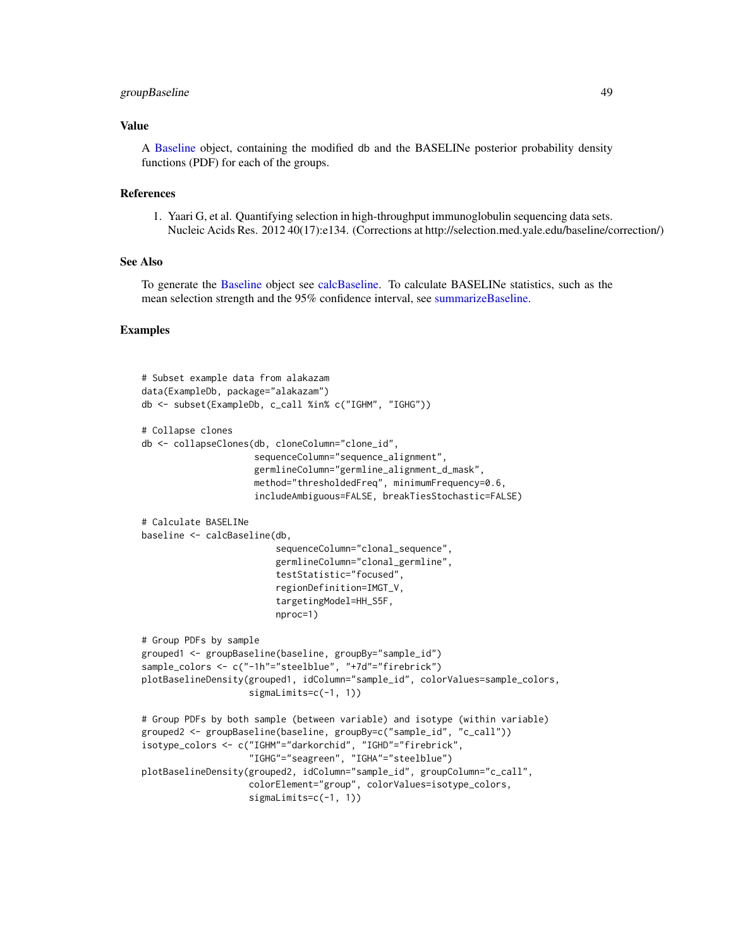# groupBaseline 49

# Value

A [Baseline](#page-3-0) object, containing the modified db and the BASELINe posterior probability density functions (PDF) for each of the groups.

#### References

1. Yaari G, et al. Quantifying selection in high-throughput immunoglobulin sequencing data sets. Nucleic Acids Res. 2012 40(17):e134. (Corrections at http://selection.med.yale.edu/baseline/correction/)

# See Also

To generate the [Baseline](#page-3-0) object see [calcBaseline.](#page-4-0) To calculate BASELINe statistics, such as the mean selection strength and the 95% confidence interval, see [summarizeBaseline.](#page-91-0)

```
# Subset example data from alakazam
data(ExampleDb, package="alakazam")
db <- subset(ExampleDb, c_call %in% c("IGHM", "IGHG"))
# Collapse clones
db <- collapseClones(db, cloneColumn="clone_id",
                     sequenceColumn="sequence_alignment",
                     germlineColumn="germline_alignment_d_mask",
                     method="thresholdedFreq", minimumFrequency=0.6,
                     includeAmbiguous=FALSE, breakTiesStochastic=FALSE)
# Calculate BASELINe
baseline <- calcBaseline(db,
                         sequenceColumn="clonal_sequence",
                         germlineColumn="clonal_germline",
                         testStatistic="focused",
                         regionDefinition=IMGT_V,
                         targetingModel=HH_S5F,
                         nproc=1)
# Group PDFs by sample
grouped1 <- groupBaseline(baseline, groupBy="sample_id")
sample_colors <- c("-1h"="steelblue", "+7d"="firebrick")
plotBaselineDensity(grouped1, idColumn="sample_id", colorValues=sample_colors,
                    sigmaLimits=c(-1, 1))
# Group PDFs by both sample (between variable) and isotype (within variable)
grouped2 <- groupBaseline(baseline, groupBy=c("sample_id", "c_call"))
isotype_colors <- c("IGHM"="darkorchid", "IGHD"="firebrick",
                    "IGHG"="seagreen", "IGHA"="steelblue")
plotBaselineDensity(grouped2, idColumn="sample_id", groupColumn="c_call",
                    colorElement="group", colorValues=isotype_colors,
                    sigmaLimits=c(-1, 1))
```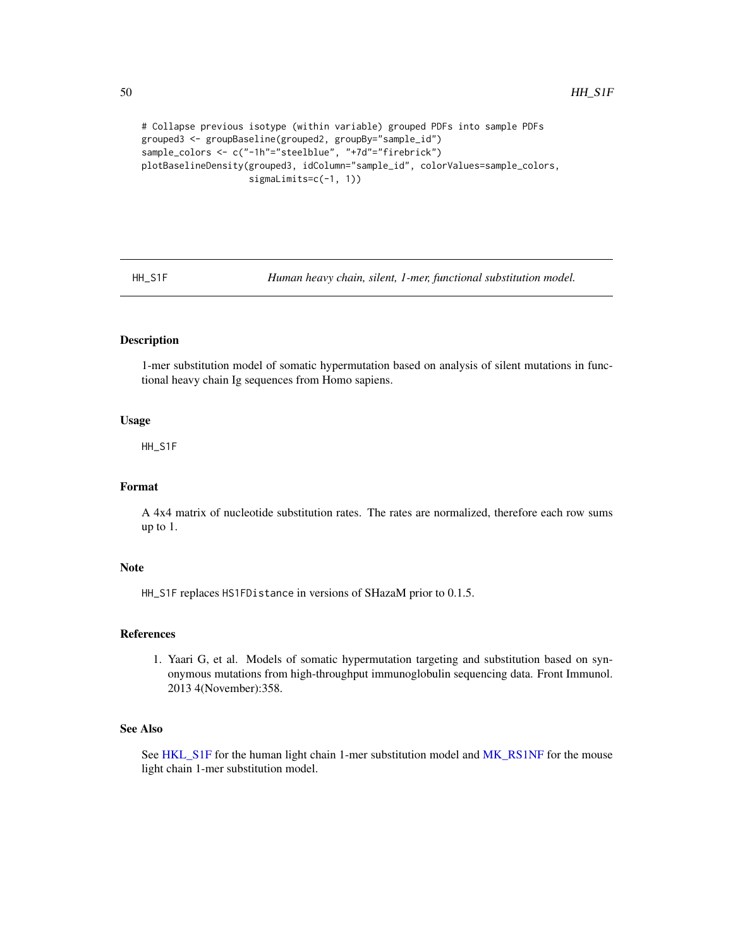```
# Collapse previous isotype (within variable) grouped PDFs into sample PDFs
grouped3 <- groupBaseline(grouped2, groupBy="sample_id")
sample_colors <- c("-1h"="steelblue", "+7d"="firebrick")
plotBaselineDensity(grouped3, idColumn="sample_id", colorValues=sample_colors,
                    sigmaLimits=c(-1, 1))
```
<span id="page-49-0"></span>

HH\_S1F *Human heavy chain, silent, 1-mer, functional substitution model.*

## Description

1-mer substitution model of somatic hypermutation based on analysis of silent mutations in functional heavy chain Ig sequences from Homo sapiens.

## Usage

HH\_S1F

# Format

A 4x4 matrix of nucleotide substitution rates. The rates are normalized, therefore each row sums up to 1.

# Note

HH\_S1F replaces HS1FDistance in versions of SHazaM prior to 0.1.5.

#### References

1. Yaari G, et al. Models of somatic hypermutation targeting and substitution based on synonymous mutations from high-throughput immunoglobulin sequencing data. Front Immunol. 2013 4(November):358.

# See Also

See [HKL\\_S1F](#page-50-1) for the human light chain 1-mer substitution model and [MK\\_RS1NF](#page-61-0) for the mouse light chain 1-mer substitution model.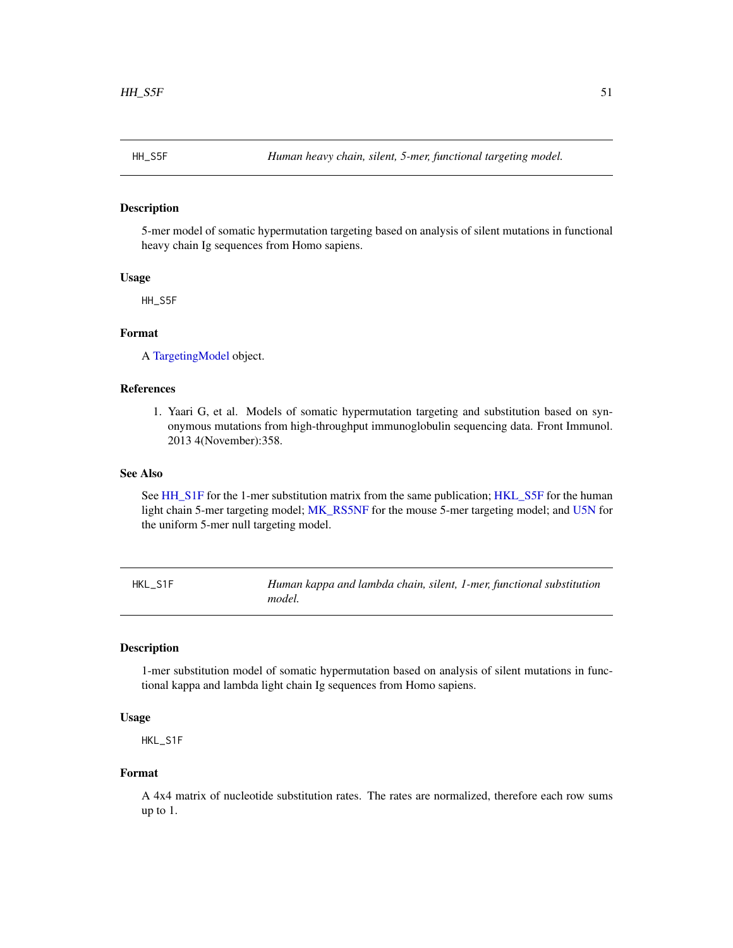<span id="page-50-0"></span>

# Description

5-mer model of somatic hypermutation targeting based on analysis of silent mutations in functional heavy chain Ig sequences from Homo sapiens.

#### Usage

HH\_S5F

# Format

A [TargetingModel](#page-93-0) object.

# References

1. Yaari G, et al. Models of somatic hypermutation targeting and substitution based on synonymous mutations from high-throughput immunoglobulin sequencing data. Front Immunol. 2013 4(November):358.

#### See Also

See [HH\\_S1F](#page-49-0) for the 1-mer substitution matrix from the same publication; [HKL\\_S5F](#page-51-0) for the human light chain 5-mer targeting model; [MK\\_RS5NF](#page-62-1) for the mouse 5-mer targeting model; and [U5N](#page-95-0) for the uniform 5-mer null targeting model.

<span id="page-50-1"></span>HKL\_S1F *Human kappa and lambda chain, silent, 1-mer, functional substitution model.*

# Description

1-mer substitution model of somatic hypermutation based on analysis of silent mutations in functional kappa and lambda light chain Ig sequences from Homo sapiens.

# Usage

HKL\_S1F

## Format

A 4x4 matrix of nucleotide substitution rates. The rates are normalized, therefore each row sums up to 1.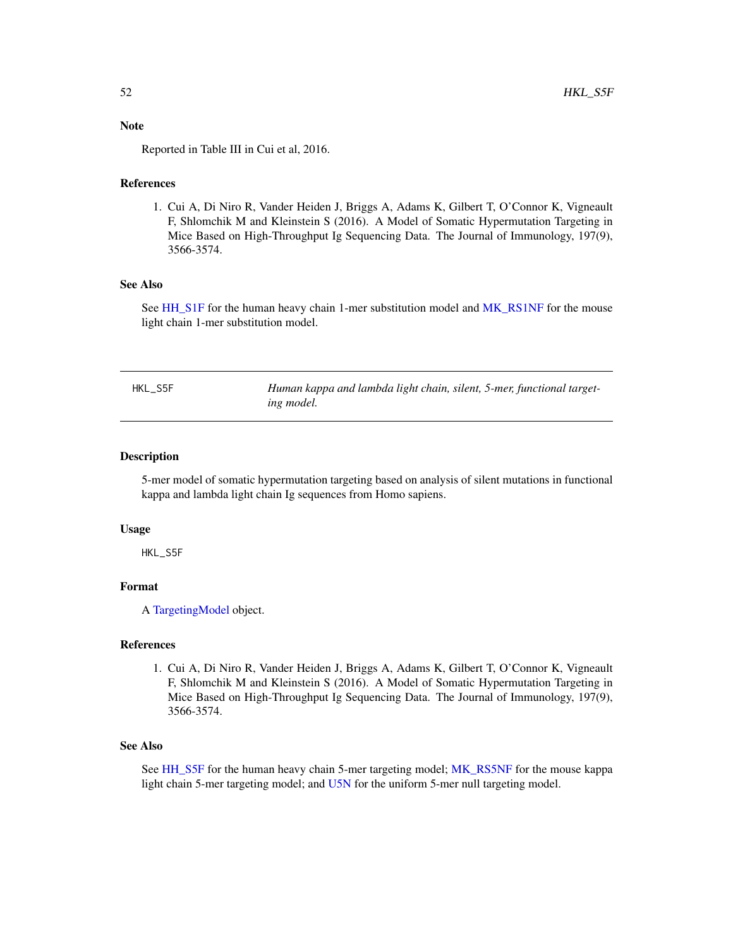# Note

Reported in Table III in Cui et al, 2016.

# References

1. Cui A, Di Niro R, Vander Heiden J, Briggs A, Adams K, Gilbert T, O'Connor K, Vigneault F, Shlomchik M and Kleinstein S (2016). A Model of Somatic Hypermutation Targeting in Mice Based on High-Throughput Ig Sequencing Data. The Journal of Immunology, 197(9), 3566-3574.

# See Also

See [HH\\_S1F](#page-49-0) for the human heavy chain 1-mer substitution model and [MK\\_RS1NF](#page-61-0) for the mouse light chain 1-mer substitution model.

<span id="page-51-0"></span>

| HKL S5F | Human kappa and lambda light chain, silent, 5-mer, functional target- |
|---------|-----------------------------------------------------------------------|
|         | ing model.                                                            |

## Description

5-mer model of somatic hypermutation targeting based on analysis of silent mutations in functional kappa and lambda light chain Ig sequences from Homo sapiens.

#### Usage

HKL\_S5F

# Format

A [TargetingModel](#page-93-0) object.

# References

1. Cui A, Di Niro R, Vander Heiden J, Briggs A, Adams K, Gilbert T, O'Connor K, Vigneault F, Shlomchik M and Kleinstein S (2016). A Model of Somatic Hypermutation Targeting in Mice Based on High-Throughput Ig Sequencing Data. The Journal of Immunology, 197(9), 3566-3574.

## See Also

See [HH\\_S5F](#page-50-0) for the human heavy chain 5-mer targeting model; [MK\\_RS5NF](#page-62-1) for the mouse kappa light chain 5-mer targeting model; and [U5N](#page-95-0) for the uniform 5-mer null targeting model.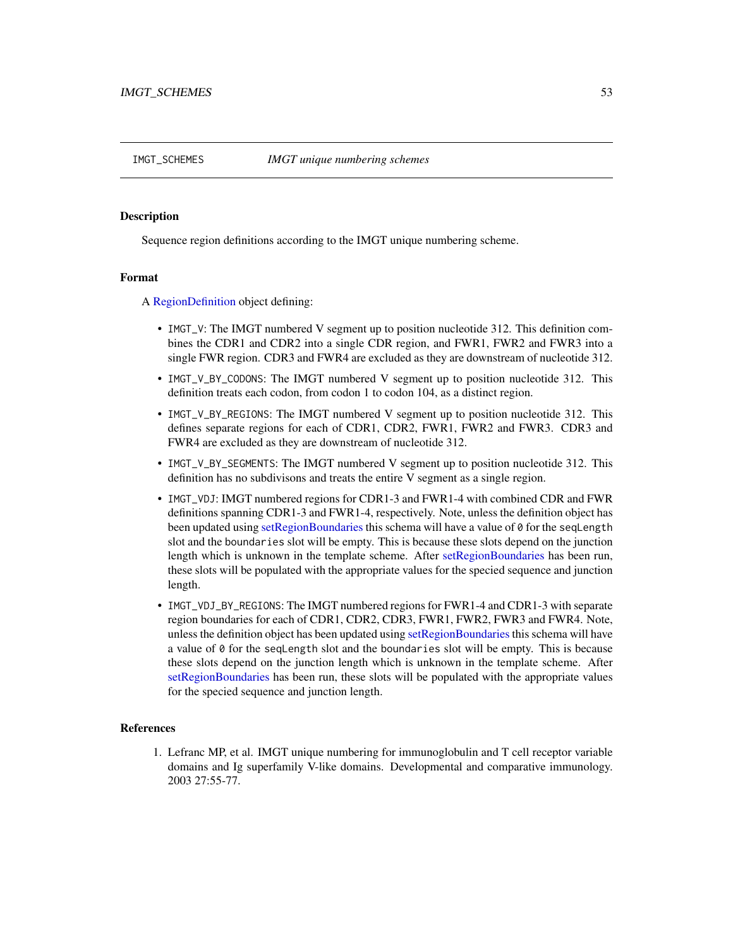<span id="page-52-1"></span>

# <span id="page-52-0"></span>Description

Sequence region definitions according to the IMGT unique numbering scheme.

#### Format

A [RegionDefinition](#page-78-0) object defining:

- IMGT\_V: The IMGT numbered V segment up to position nucleotide 312. This definition combines the CDR1 and CDR2 into a single CDR region, and FWR1, FWR2 and FWR3 into a single FWR region. CDR3 and FWR4 are excluded as they are downstream of nucleotide 312.
- IMGT\_V\_BY\_CODONS: The IMGT numbered V segment up to position nucleotide 312. This definition treats each codon, from codon 1 to codon 104, as a distinct region.
- IMGT\_V\_BY\_REGIONS: The IMGT numbered V segment up to position nucleotide 312. This defines separate regions for each of CDR1, CDR2, FWR1, FWR2 and FWR3. CDR3 and FWR4 are excluded as they are downstream of nucleotide 312.
- IMGT\_V\_BY\_SEGMENTS: The IMGT numbered V segment up to position nucleotide 312. This definition has no subdivisons and treats the entire V segment as a single region.
- IMGT\_VDJ: IMGT numbered regions for CDR1-3 and FWR1-4 with combined CDR and FWR definitions spanning CDR1-3 and FWR1-4, respectively. Note, unless the definition object has been updated using [setRegionBoundaries](#page-78-1) this schema will have a value of 0 for the seqLength slot and the boundaries slot will be empty. This is because these slots depend on the junction length which is unknown in the template scheme. After [setRegionBoundaries](#page-78-1) has been run, these slots will be populated with the appropriate values for the specied sequence and junction length.
- IMGT\_VDJ\_BY\_REGIONS: The IMGT numbered regions for FWR1-4 and CDR1-3 with separate region boundaries for each of CDR1, CDR2, CDR3, FWR1, FWR2, FWR3 and FWR4. Note, unless the definition object has been updated using [setRegionBoundaries](#page-78-1) this schema will have a value of 0 for the seqLength slot and the boundaries slot will be empty. This is because these slots depend on the junction length which is unknown in the template scheme. After [setRegionBoundaries](#page-78-1) has been run, these slots will be populated with the appropriate values for the specied sequence and junction length.

# References

1. Lefranc MP, et al. IMGT unique numbering for immunoglobulin and T cell receptor variable domains and Ig superfamily V-like domains. Developmental and comparative immunology. 2003 27:55-77.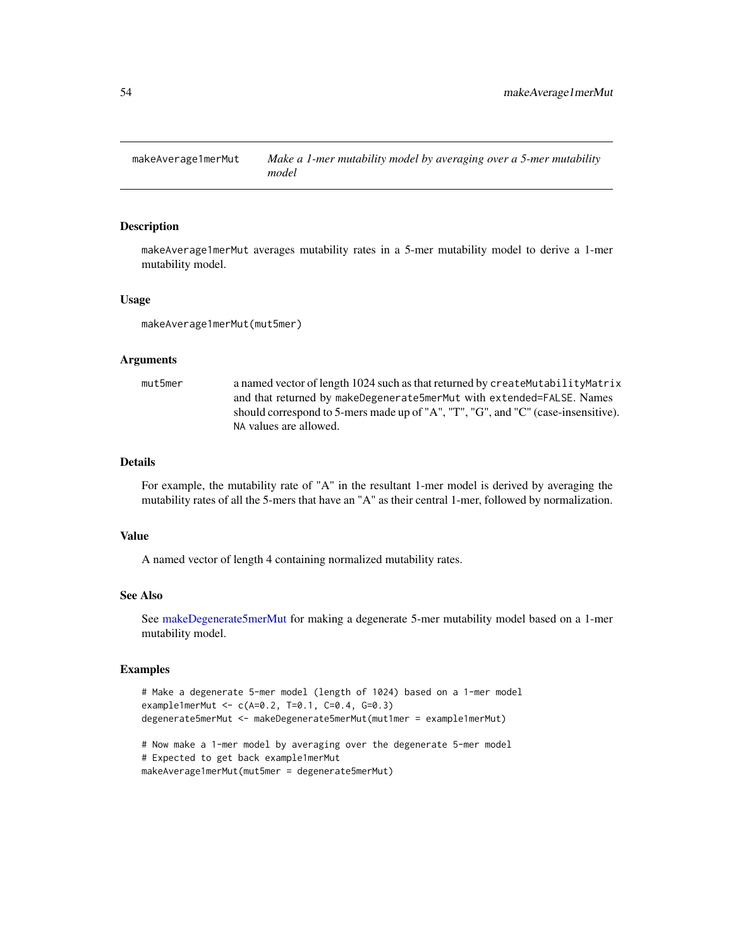<span id="page-53-0"></span>

#### Description

makeAverage1merMut averages mutability rates in a 5-mer mutability model to derive a 1-mer mutability model.

#### Usage

makeAverage1merMut(mut5mer)

#### Arguments

mut5mer a named vector of length 1024 such as that returned by createMutabilityMatrix and that returned by makeDegenerate5merMut with extended=FALSE. Names should correspond to 5-mers made up of "A", "T", "G", and "C" (case-insensitive). NA values are allowed.

# Details

For example, the mutability rate of "A" in the resultant 1-mer model is derived by averaging the mutability rates of all the 5-mers that have an "A" as their central 1-mer, followed by normalization.

#### Value

A named vector of length 4 containing normalized mutability rates.

#### See Also

See [makeDegenerate5merMut](#page-55-0) for making a degenerate 5-mer mutability model based on a 1-mer mutability model.

```
# Make a degenerate 5-mer model (length of 1024) based on a 1-mer model
example1merMut <- c(A=0.2, T=0.1, C=0.4, G=0.3)
degenerate5merMut <- makeDegenerate5merMut(mut1mer = example1merMut)
```

```
# Now make a 1-mer model by averaging over the degenerate 5-mer model
# Expected to get back example1merMut
makeAverage1merMut(mut5mer = degenerate5merMut)
```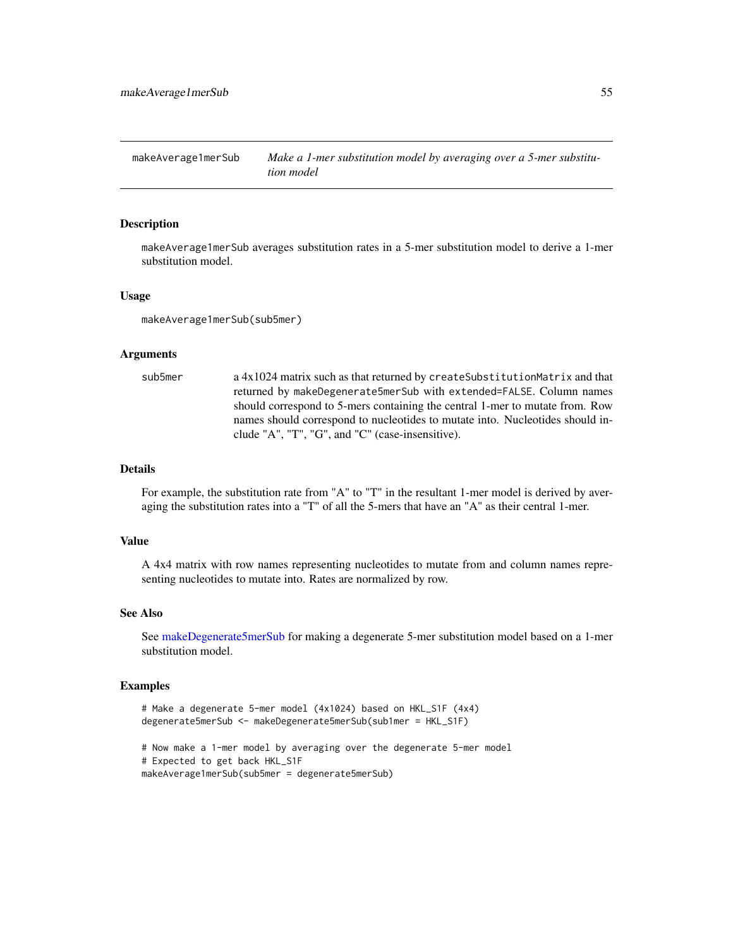<span id="page-54-0"></span>makeAverage1merSub Make a 1-mer substitution model by averaging over a 5-mer substitu*tion model*

## Description

makeAverage1merSub averages substitution rates in a 5-mer substitution model to derive a 1-mer substitution model.

#### Usage

makeAverage1merSub(sub5mer)

# Arguments

sub5mer a 4x1024 matrix such as that returned by createSubstitutionMatrix and that returned by makeDegenerate5merSub with extended=FALSE. Column names should correspond to 5-mers containing the central 1-mer to mutate from. Row names should correspond to nucleotides to mutate into. Nucleotides should include "A", "T", "G", and "C" (case-insensitive).

# Details

For example, the substitution rate from "A" to "T" in the resultant 1-mer model is derived by averaging the substitution rates into a "T" of all the 5-mers that have an "A" as their central 1-mer.

## Value

A 4x4 matrix with row names representing nucleotides to mutate from and column names representing nucleotides to mutate into. Rates are normalized by row.

## See Also

See [makeDegenerate5merSub](#page-56-0) for making a degenerate 5-mer substitution model based on a 1-mer substitution model.

#### Examples

```
# Make a degenerate 5-mer model (4x1024) based on HKL_S1F (4x4)
degenerate5merSub <- makeDegenerate5merSub(sub1mer = HKL_S1F)
# Now make a 1-mer model by averaging over the degenerate 5-mer model
# Expected to get back HKL_S1F
```
makeAverage1merSub(sub5mer = degenerate5merSub)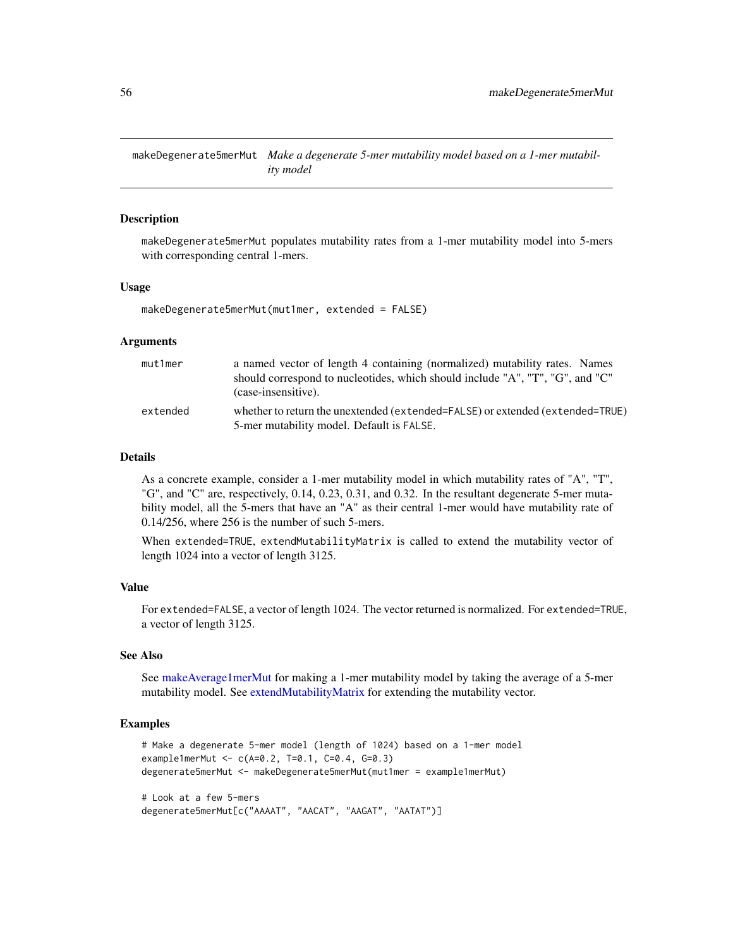<span id="page-55-0"></span>makeDegenerate5merMut *Make a degenerate 5-mer mutability model based on a 1-mer mutability model*

## **Description**

makeDegenerate5merMut populates mutability rates from a 1-mer mutability model into 5-mers with corresponding central 1-mers.

#### Usage

makeDegenerate5merMut(mut1mer, extended = FALSE)

## Arguments

| mut1mer  | a named vector of length 4 containing (normalized) mutability rates. Names                                                 |
|----------|----------------------------------------------------------------------------------------------------------------------------|
|          | should correspond to nucleotides, which should include "A", "T", "G", and "C"<br>(case-insensitive).                       |
| extended | whether to return the unextended (extended=FALSE) or extended (extended=TRUE)<br>5-mer mutability model. Default is FALSE. |

# Details

As a concrete example, consider a 1-mer mutability model in which mutability rates of "A", "T", "G", and "C" are, respectively, 0.14, 0.23, 0.31, and 0.32. In the resultant degenerate 5-mer mutability model, all the 5-mers that have an "A" as their central 1-mer would have mutability rate of 0.14/256, where 256 is the number of such 5-mers.

When extended=TRUE, extendMutabilityMatrix is called to extend the mutability vector of length 1024 into a vector of length 3125.

# Value

For extended=FALSE, a vector of length 1024. The vector returned is normalized. For extended=TRUE, a vector of length 3125.

#### See Also

See [makeAverage1merMut](#page-53-0) for making a 1-mer mutability model by taking the average of a 5-mer mutability model. See [extendMutabilityMatrix](#page-42-0) for extending the mutability vector.

```
# Make a degenerate 5-mer model (length of 1024) based on a 1-mer model
example1merMut <- c(A=0.2, T=0.1, C=0.4, G=0.3)
degenerate5merMut <- makeDegenerate5merMut(mut1mer = example1merMut)
# Look at a few 5-mers
degenerate5merMut[c("AAAAT", "AACAT", "AAGAT", "AATAT")]
```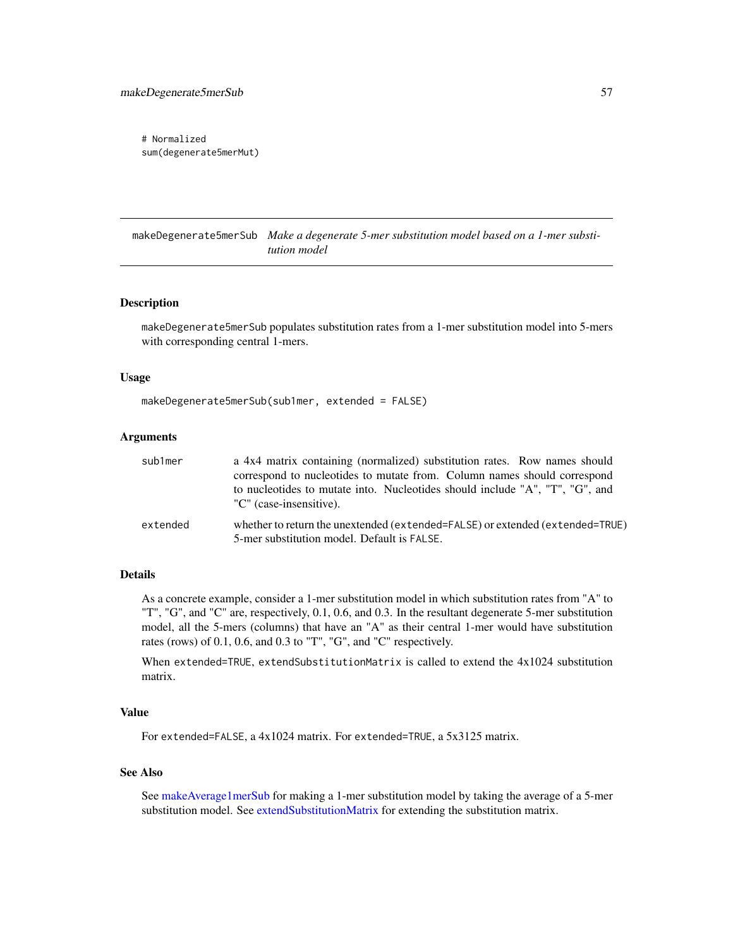```
# Normalized
sum(degenerate5merMut)
```
<span id="page-56-0"></span>makeDegenerate5merSub *Make a degenerate 5-mer substitution model based on a 1-mer substitution model*

#### Description

makeDegenerate5merSub populates substitution rates from a 1-mer substitution model into 5-mers with corresponding central 1-mers.

#### Usage

```
makeDegenerate5merSub(sub1mer, extended = FALSE)
```
## Arguments

| sub1mer  | a 4x4 matrix containing (normalized) substitution rates. Row names should                                                    |
|----------|------------------------------------------------------------------------------------------------------------------------------|
|          | correspond to nucleotides to mutate from. Column names should correspond                                                     |
|          | to nucleotides to mutate into. Nucleotides should include "A", "T", "G", and<br>"C" (case-insensitive).                      |
| extended | whether to return the unextended (extended=FALSE) or extended (extended=TRUE)<br>5-mer substitution model. Default is FALSE. |

#### Details

As a concrete example, consider a 1-mer substitution model in which substitution rates from "A" to "T", "G", and "C" are, respectively, 0.1, 0.6, and 0.3. In the resultant degenerate 5-mer substitution model, all the 5-mers (columns) that have an "A" as their central 1-mer would have substitution rates (rows) of 0.1, 0.6, and 0.3 to "T", "G", and "C" respectively.

When extended=TRUE, extendSubstitutionMatrix is called to extend the 4x1024 substitution matrix.

# Value

For extended=FALSE, a 4x1024 matrix. For extended=TRUE, a 5x3125 matrix.

#### See Also

See [makeAverage1merSub](#page-54-0) for making a 1-mer substitution model by taking the average of a 5-mer substitution model. See [extendSubstitutionMatrix](#page-43-0) for extending the substitution matrix.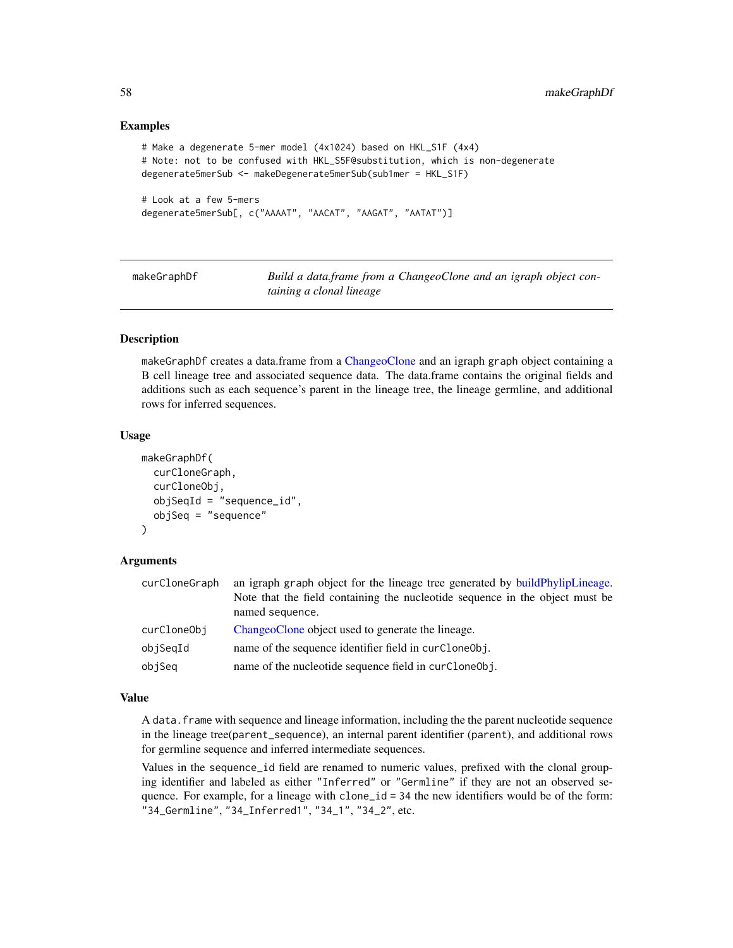## Examples

```
# Make a degenerate 5-mer model (4x1024) based on HKL_S1F (4x4)
# Note: not to be confused with HKL_S5F@substitution, which is non-degenerate
degenerate5merSub <- makeDegenerate5merSub(sub1mer = HKL_S1F)
# Look at a few 5-mers
```

```
degenerate5merSub[, c("AAAAT", "AACAT", "AAGAT", "AATAT")]
```
<span id="page-57-0"></span>makeGraphDf **Build a data.frame from a ChangeoClone and an igraph object con***taining a clonal lineage*

# Description

makeGraphDf creates a data.frame from a [ChangeoClone](#page-0-0) and an igraph graph object containing a B cell lineage tree and associated sequence data. The data.frame contains the original fields and additions such as each sequence's parent in the lineage tree, the lineage germline, and additional rows for inferred sequences.

## Usage

```
makeGraphDf(
  curCloneGraph,
  curCloneObj,
  objSeqId = "sequence_id",
  objSeq = "sequence"
\lambda
```
#### Arguments

| curCloneGraph | an igraph graph object for the lineage tree generated by build PhylipLineage.<br>Note that the field containing the nucleotide sequence in the object must be<br>named sequence. |
|---------------|----------------------------------------------------------------------------------------------------------------------------------------------------------------------------------|
| curCloneObj   | ChangeoClone object used to generate the lineage.                                                                                                                                |
| objSeqId      | name of the sequence identifier field in curCloneObj.                                                                                                                            |
| objSeq        | name of the nucleotide sequence field in curCloneObj.                                                                                                                            |

#### Value

A data. frame with sequence and lineage information, including the the parent nucleotide sequence in the lineage tree(parent\_sequence), an internal parent identifier (parent), and additional rows for germline sequence and inferred intermediate sequences.

Values in the sequence\_id field are renamed to numeric values, prefixed with the clonal grouping identifier and labeled as either "Inferred" or "Germline" if they are not an observed sequence. For example, for a lineage with clone\_id = 34 the new identifiers would be of the form: "34\_Germline", "34\_Inferred1", "34\_1", "34\_2", etc.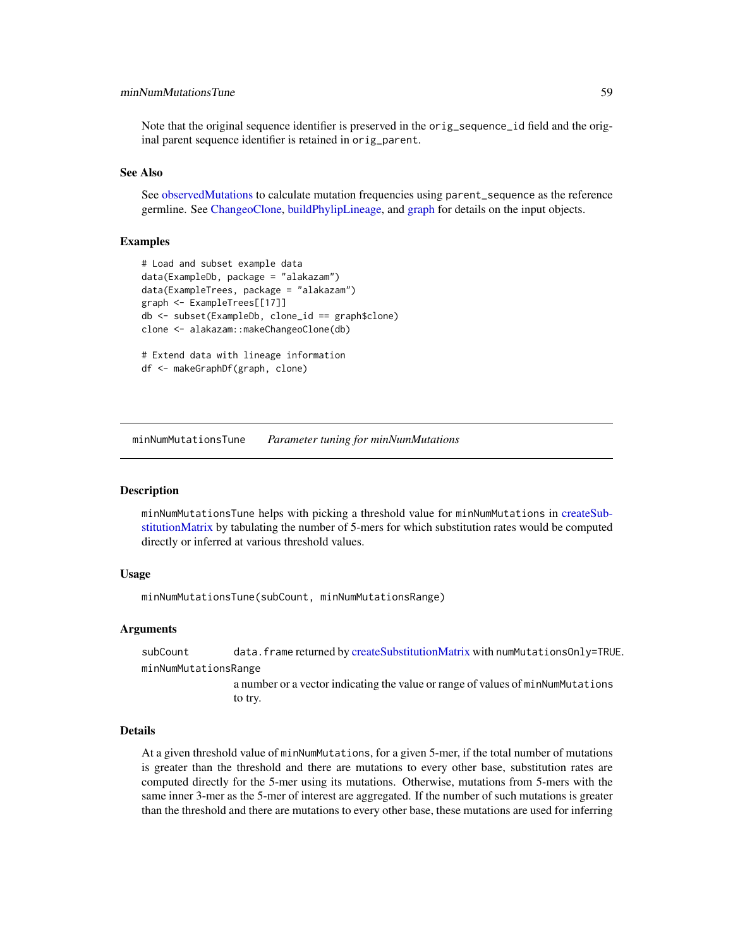# minNumMutationsTune 59

Note that the original sequence identifier is preserved in the orig\_sequence\_id field and the original parent sequence identifier is retained in orig\_parent.

## See Also

See [observedMutations](#page-64-0) to calculate mutation frequencies using parent\_sequence as the reference germline. See [ChangeoClone,](#page-0-0) [buildPhylipLineage,](#page-0-0) and [graph](#page-0-0) for details on the input objects.

# Examples

```
# Load and subset example data
data(ExampleDb, package = "alakazam")
data(ExampleTrees, package = "alakazam")
graph <- ExampleTrees[[17]]
db <- subset(ExampleDb, clone_id == graph$clone)
clone <- alakazam::makeChangeoClone(db)
# Extend data with lineage information
```
df <- makeGraphDf(graph, clone)

minNumMutationsTune *Parameter tuning for minNumMutations*

#### Description

minNumMutationsTune helps with picking a threshold value for minNumMutations in [createSub](#page-28-0)[stitutionMatrix](#page-28-0) by tabulating the number of 5-mers for which substitution rates would be computed directly or inferred at various threshold values.

#### Usage

minNumMutationsTune(subCount, minNumMutationsRange)

#### Arguments

subCount data.frame returned by [createSubstitutionMatrix](#page-28-0) with numMutationsOnly=TRUE. minNumMutationsRange

> a number or a vector indicating the value or range of values of minNumMutations to try.

# Details

At a given threshold value of minNumMutations, for a given 5-mer, if the total number of mutations is greater than the threshold and there are mutations to every other base, substitution rates are computed directly for the 5-mer using its mutations. Otherwise, mutations from 5-mers with the same inner 3-mer as the 5-mer of interest are aggregated. If the number of such mutations is greater than the threshold and there are mutations to every other base, these mutations are used for inferring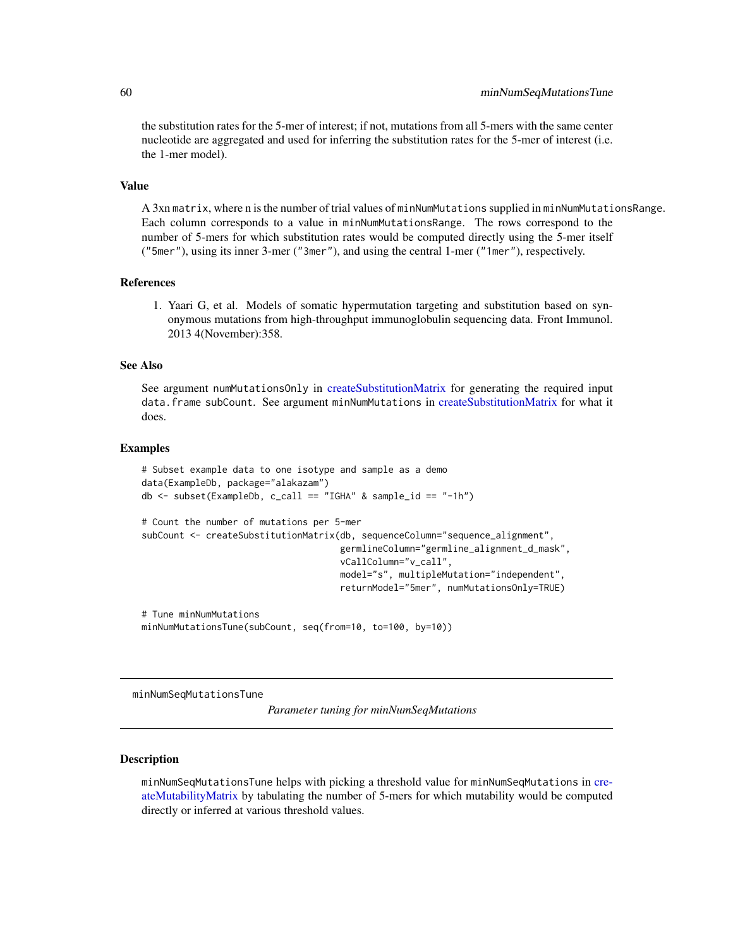the substitution rates for the 5-mer of interest; if not, mutations from all 5-mers with the same center nucleotide are aggregated and used for inferring the substitution rates for the 5-mer of interest (i.e. the 1-mer model).

#### Value

A 3xn matrix, where n is the number of trial values of minNumMutations supplied in minNumMutationsRange. Each column corresponds to a value in minNumMutationsRange. The rows correspond to the number of 5-mers for which substitution rates would be computed directly using the 5-mer itself ("5mer"), using its inner 3-mer ("3mer"), and using the central 1-mer ("1mer"), respectively.

### References

1. Yaari G, et al. Models of somatic hypermutation targeting and substitution based on synonymous mutations from high-throughput immunoglobulin sequencing data. Front Immunol. 2013 4(November):358.

#### See Also

See argument numMutationsOnly in [createSubstitutionMatrix](#page-28-0) for generating the required input data.frame subCount. See argument minNumMutations in [createSubstitutionMatrix](#page-28-0) for what it does.

#### Examples

```
# Subset example data to one isotype and sample as a demo
data(ExampleDb, package="alakazam")
db \leq -subset(ExampleDb, c_call == "IGHA" & sample_id == "-1h")# Count the number of mutations per 5-mer
subCount <- createSubstitutionMatrix(db, sequenceColumn="sequence_alignment",
                                     germlineColumn="germline_alignment_d_mask",
                                     vCallColumn="v_call",
                                     model="s", multipleMutation="independent",
                                     returnModel="5mer", numMutationsOnly=TRUE)
# Tune minNumMutations
minNumMutationsTune(subCount, seq(from=10, to=100, by=10))
```
minNumSeqMutationsTune

*Parameter tuning for minNumSeqMutations*

## Description

minNumSeqMutationsTune helps with picking a threshold value for minNumSeqMutations in [cre](#page-24-0)[ateMutabilityMatrix](#page-24-0) by tabulating the number of 5-mers for which mutability would be computed directly or inferred at various threshold values.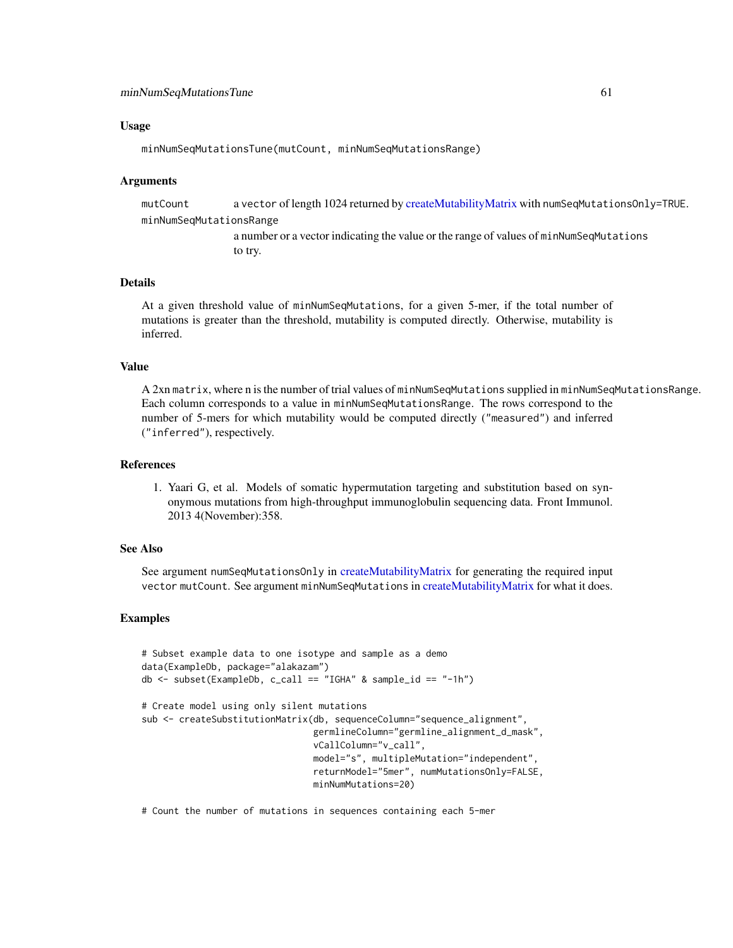## Usage

minNumSeqMutationsTune(mutCount, minNumSeqMutationsRange)

#### Arguments

mutCount a vector of length 1024 returned by [createMutabilityMatrix](#page-24-0) with numSeqMutationsOnly=TRUE. minNumSeqMutationsRange

> a number or a vector indicating the value or the range of values of minNumSeqMutations to try.

# Details

At a given threshold value of minNumSeqMutations, for a given 5-mer, if the total number of mutations is greater than the threshold, mutability is computed directly. Otherwise, mutability is inferred.

#### Value

A 2xn matrix, where n is the number of trial values of minNumSeqMutations supplied in minNumSeqMutationsRange. Each column corresponds to a value in minNumSeqMutationsRange. The rows correspond to the number of 5-mers for which mutability would be computed directly ("measured") and inferred ("inferred"), respectively.

## References

1. Yaari G, et al. Models of somatic hypermutation targeting and substitution based on synonymous mutations from high-throughput immunoglobulin sequencing data. Front Immunol. 2013 4(November):358.

#### See Also

See argument numSeqMutationsOnly in [createMutabilityMatrix](#page-24-0) for generating the required input vector mutCount. See argument minNumSeqMutations in [createMutabilityMatrix](#page-24-0) for what it does.

# Examples

```
# Subset example data to one isotype and sample as a demo
data(ExampleDb, package="alakazam")
db \leftarrow subset(ExampleDb, c_call == "IGHA" & sample_id == "-1h")# Create model using only silent mutations
sub <- createSubstitutionMatrix(db, sequenceColumn="sequence_alignment",
                                 germlineColumn="germline_alignment_d_mask",
                                 vCallColumn="v_call",
                                 model="s", multipleMutation="independent",
                                 returnModel="5mer", numMutationsOnly=FALSE,
                                 minNumMutations=20)
```
# Count the number of mutations in sequences containing each 5-mer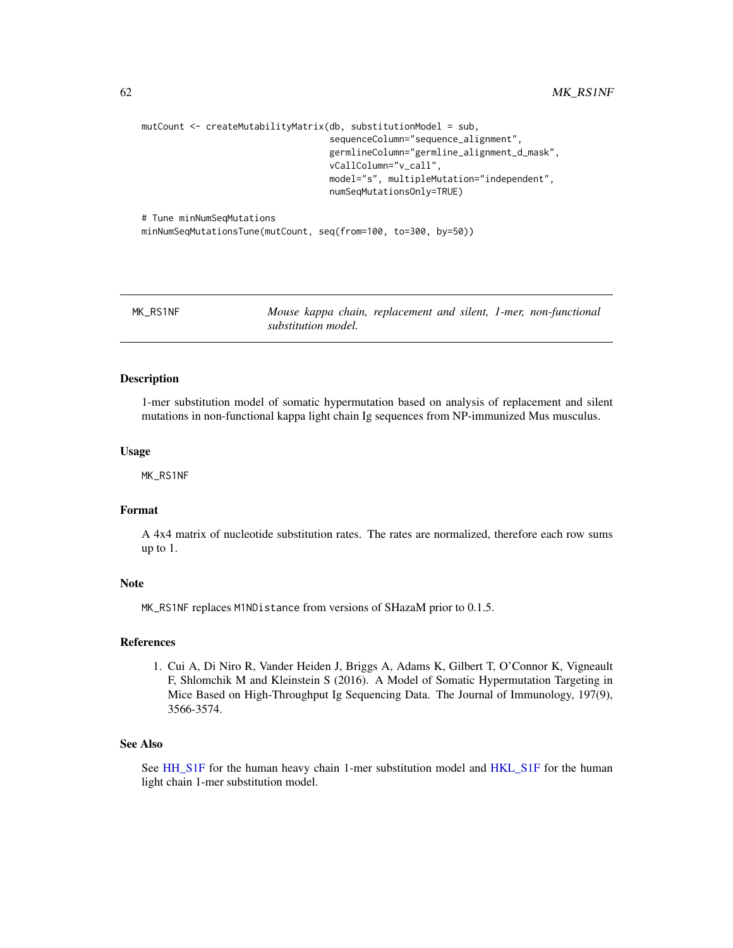```
mutCount <- createMutabilityMatrix(db, substitutionModel = sub,
                                   sequenceColumn="sequence_alignment",
                                   germlineColumn="germline_alignment_d_mask",
                                   vCallColumn="v_call",
                                   model="s", multipleMutation="independent",
                                   numSeqMutationsOnly=TRUE)
# Tune minNumSeqMutations
```
minNumSeqMutationsTune(mutCount, seq(from=100, to=300, by=50))

<span id="page-61-0"></span>

MK\_RS1NF *Mouse kappa chain, replacement and silent, 1-mer, non-functional substitution model.*

#### Description

1-mer substitution model of somatic hypermutation based on analysis of replacement and silent mutations in non-functional kappa light chain Ig sequences from NP-immunized Mus musculus.

#### Usage

MK\_RS1NF

# Format

A 4x4 matrix of nucleotide substitution rates. The rates are normalized, therefore each row sums up to 1.

## Note

MK\_RS1NF replaces M1NDistance from versions of SHazaM prior to 0.1.5.

#### References

1. Cui A, Di Niro R, Vander Heiden J, Briggs A, Adams K, Gilbert T, O'Connor K, Vigneault F, Shlomchik M and Kleinstein S (2016). A Model of Somatic Hypermutation Targeting in Mice Based on High-Throughput Ig Sequencing Data. The Journal of Immunology, 197(9), 3566-3574.

# See Also

See [HH\\_S1F](#page-49-0) for the human heavy chain 1-mer substitution model and [HKL\\_S1F](#page-50-1) for the human light chain 1-mer substitution model.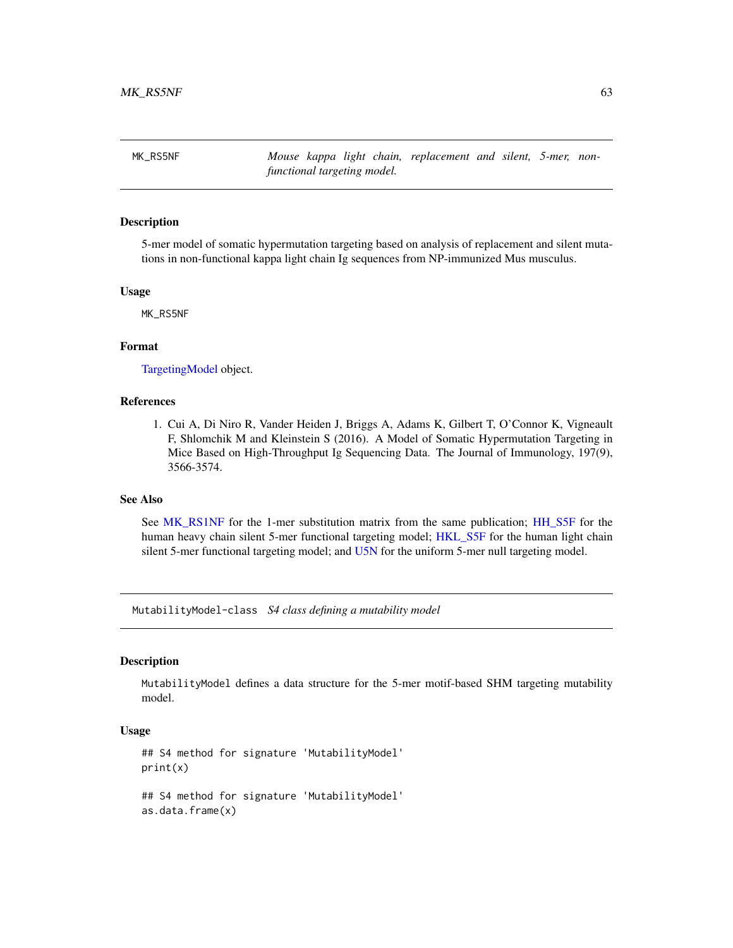<span id="page-62-1"></span>MK\_RS5NF *Mouse kappa light chain, replacement and silent, 5-mer, nonfunctional targeting model.*

## **Description**

5-mer model of somatic hypermutation targeting based on analysis of replacement and silent mutations in non-functional kappa light chain Ig sequences from NP-immunized Mus musculus.

### Usage

MK\_RS5NF

# Format

[TargetingModel](#page-93-0) object.

# References

1. Cui A, Di Niro R, Vander Heiden J, Briggs A, Adams K, Gilbert T, O'Connor K, Vigneault F, Shlomchik M and Kleinstein S (2016). A Model of Somatic Hypermutation Targeting in Mice Based on High-Throughput Ig Sequencing Data. The Journal of Immunology, 197(9), 3566-3574.

# See Also

See [MK\\_RS1NF](#page-61-0) for the 1-mer substitution matrix from the same publication; [HH\\_S5F](#page-50-0) for the human heavy chain silent 5-mer functional targeting model; [HKL\\_S5F](#page-51-0) for the human light chain silent 5-mer functional targeting model; and [U5N](#page-95-0) for the uniform 5-mer null targeting model.

MutabilityModel-class *S4 class defining a mutability model*

#### <span id="page-62-0"></span>Description

MutabilityModel defines a data structure for the 5-mer motif-based SHM targeting mutability model.

# Usage

```
## S4 method for signature 'MutabilityModel'
print(x)
## S4 method for signature 'MutabilityModel'
as.data.frame(x)
```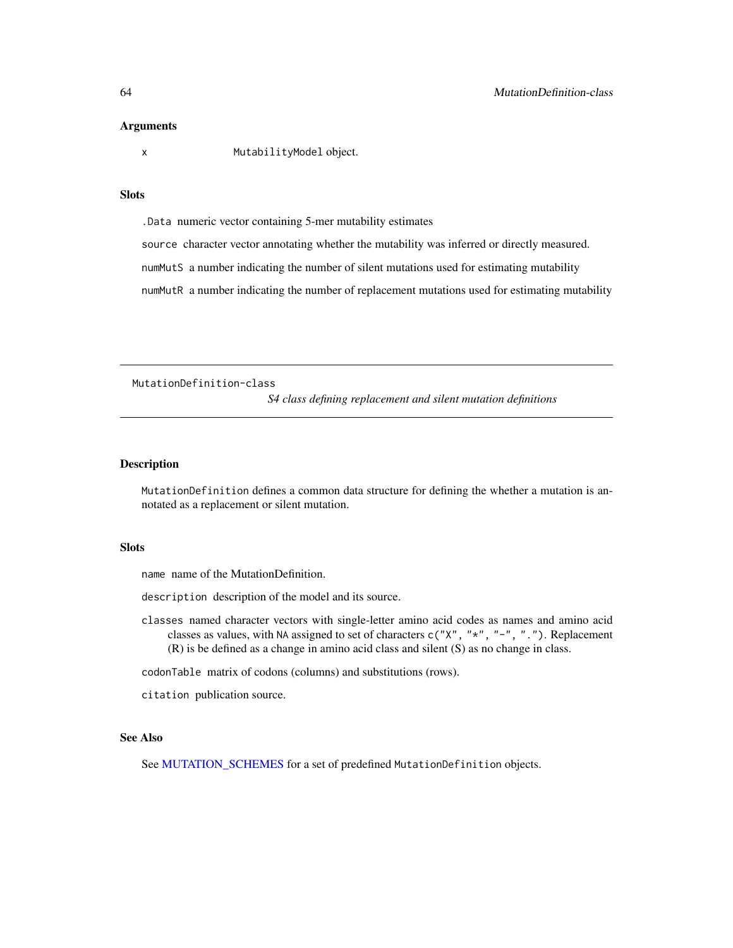#### Arguments

x MutabilityModel object.

# Slots

.Data numeric vector containing 5-mer mutability estimates

source character vector annotating whether the mutability was inferred or directly measured.

numMutS a number indicating the number of silent mutations used for estimating mutability

numMutR a number indicating the number of replacement mutations used for estimating mutability

MutationDefinition-class

*S4 class defining replacement and silent mutation definitions*

#### <span id="page-63-0"></span>**Description**

MutationDefinition defines a common data structure for defining the whether a mutation is annotated as a replacement or silent mutation.

# Slots

name name of the MutationDefinition.

description description of the model and its source.

classes named character vectors with single-letter amino acid codes as names and amino acid classes as values, with NA assigned to set of characters  $c("X", "*", "-", "..")$ . Replacement (R) is be defined as a change in amino acid class and silent (S) as no change in class.

codonTable matrix of codons (columns) and substitutions (rows).

citation publication source.

# See Also

See [MUTATION\\_SCHEMES](#page-64-1) for a set of predefined MutationDefinition objects.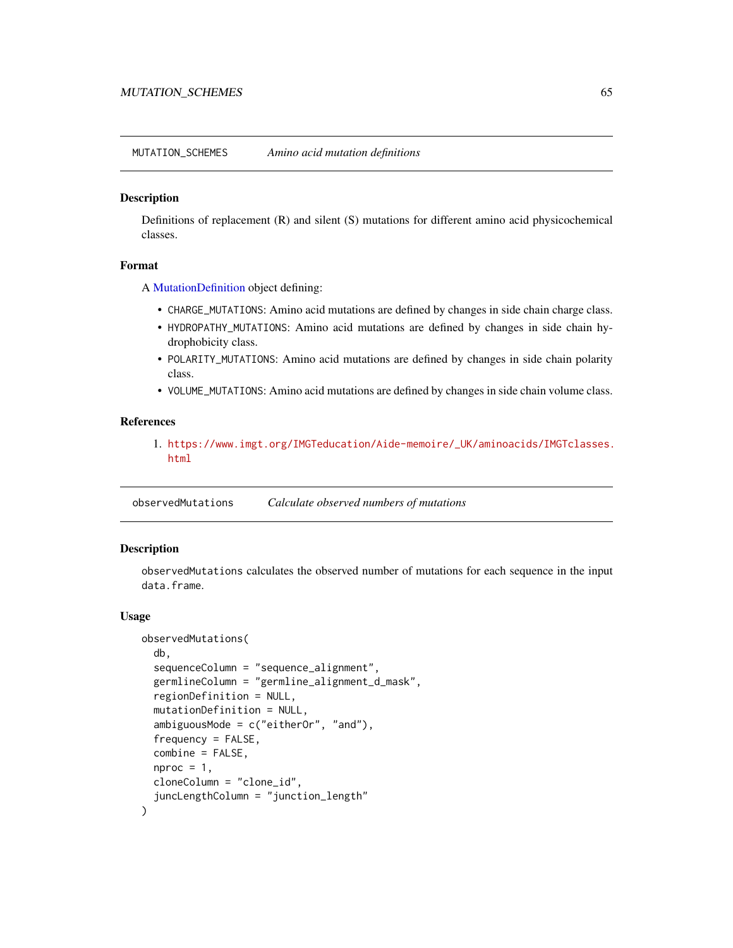<span id="page-64-1"></span>MUTATION\_SCHEMES *Amino acid mutation definitions*

### Description

Definitions of replacement (R) and silent (S) mutations for different amino acid physicochemical classes.

#### Format

A [MutationDefinition](#page-63-0) object defining:

- CHARGE\_MUTATIONS: Amino acid mutations are defined by changes in side chain charge class.
- HYDROPATHY\_MUTATIONS: Amino acid mutations are defined by changes in side chain hydrophobicity class.
- POLARITY\_MUTATIONS: Amino acid mutations are defined by changes in side chain polarity class.
- VOLUME\_MUTATIONS: Amino acid mutations are defined by changes in side chain volume class.

# References

1. [https://www.imgt.org/IMGTeducation/Aide-memoire/\\_UK/aminoacids/IMGTclasses.](https://www.imgt.org/IMGTeducation/Aide-memoire/_UK/aminoacids/IMGTclasses.html) [html](https://www.imgt.org/IMGTeducation/Aide-memoire/_UK/aminoacids/IMGTclasses.html)

<span id="page-64-0"></span>observedMutations *Calculate observed numbers of mutations*

#### Description

observedMutations calculates the observed number of mutations for each sequence in the input data.frame.

#### Usage

```
observedMutations(
  db,
  sequenceColumn = "sequence_alignment",
  germlineColumn = "germline_alignment_d_mask",
  regionDefinition = NULL,
  mutationDefinition = NULL,
  ambiguousMode = c("eitherOr", "and"),
  frequency = FALSE,
  combine = FALSE,
  nproc = 1,
  cloneColumn = "clone_id",
  juncLengthColumn = "junction_length"
\mathcal{E}
```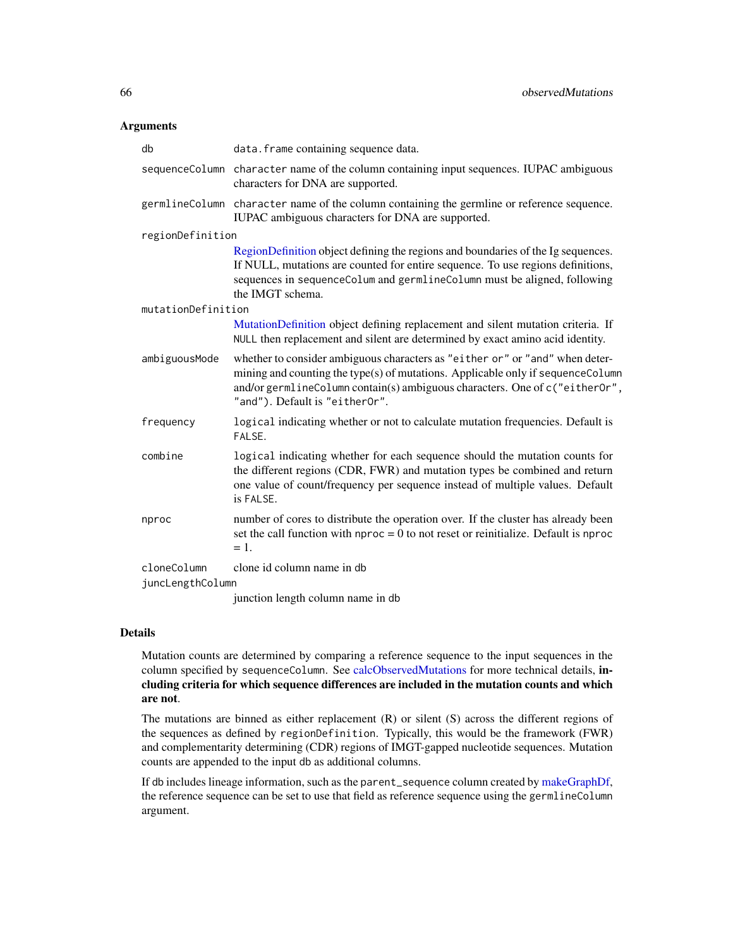#### Arguments

| db                              | data. frame containing sequence data.                                                                                                                                                                                                                                            |
|---------------------------------|----------------------------------------------------------------------------------------------------------------------------------------------------------------------------------------------------------------------------------------------------------------------------------|
|                                 | sequence Column character name of the column containing input sequences. IUPAC ambiguous<br>characters for DNA are supported.                                                                                                                                                    |
|                                 | germlineColumn character name of the column containing the germline or reference sequence.<br>IUPAC ambiguous characters for DNA are supported.                                                                                                                                  |
| regionDefinition                |                                                                                                                                                                                                                                                                                  |
|                                 | RegionDefinition object defining the regions and boundaries of the Ig sequences.<br>If NULL, mutations are counted for entire sequence. To use regions definitions,<br>sequences in sequenceColum and germlineColumn must be aligned, following<br>the IMGT schema.              |
| mutationDefinition              |                                                                                                                                                                                                                                                                                  |
|                                 | MutationDefinition object defining replacement and silent mutation criteria. If<br>NULL then replacement and silent are determined by exact amino acid identity.                                                                                                                 |
| ambiguousMode                   | whether to consider ambiguous characters as "either or" or "and" when deter-<br>mining and counting the type(s) of mutations. Applicable only if sequenceColumn<br>and/or germlineColumn contain(s) ambiguous characters. One of c("eitherOr",<br>"and"). Default is "eitherOr". |
| frequency                       | logical indicating whether or not to calculate mutation frequencies. Default is<br>FALSE.                                                                                                                                                                                        |
| combine                         | logical indicating whether for each sequence should the mutation counts for<br>the different regions (CDR, FWR) and mutation types be combined and return<br>one value of count/frequency per sequence instead of multiple values. Default<br>is FALSE.                          |
| nproc                           | number of cores to distribute the operation over. If the cluster has already been<br>set the call function with $nproc = 0$ to not reset or reinitialize. Default is $nproc$<br>$=1.$                                                                                            |
| cloneColumn<br>juncLengthColumn | clone id column name in db                                                                                                                                                                                                                                                       |
|                                 | junction length column name in db                                                                                                                                                                                                                                                |

# Details

Mutation counts are determined by comparing a reference sequence to the input sequences in the column specified by sequenceColumn. See [calcObservedMutations](#page-8-0) for more technical details, including criteria for which sequence differences are included in the mutation counts and which are not.

The mutations are binned as either replacement (R) or silent (S) across the different regions of the sequences as defined by regionDefinition. Typically, this would be the framework (FWR) and complementarity determining (CDR) regions of IMGT-gapped nucleotide sequences. Mutation counts are appended to the input db as additional columns.

If db includes lineage information, such as the parent\_sequence column created by [makeGraphDf,](#page-57-0) the reference sequence can be set to use that field as reference sequence using the germlineColumn argument.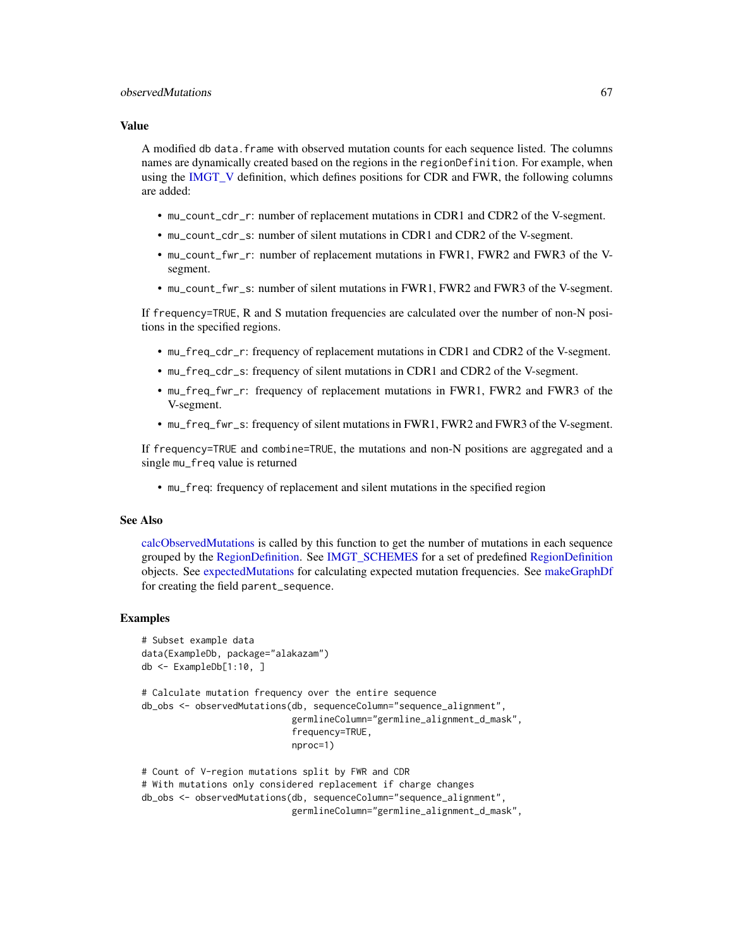# Value

A modified db data.frame with observed mutation counts for each sequence listed. The columns names are dynamically created based on the regions in the regionDefinition. For example, when using the [IMGT\\_V](#page-52-0) definition, which defines positions for CDR and FWR, the following columns are added:

- mu\_count\_cdr\_r: number of replacement mutations in CDR1 and CDR2 of the V-segment.
- mu\_count\_cdr\_s: number of silent mutations in CDR1 and CDR2 of the V-segment.
- mu\_count\_fwr\_r: number of replacement mutations in FWR1, FWR2 and FWR3 of the Vsegment.
- mu\_count\_fwr\_s: number of silent mutations in FWR1, FWR2 and FWR3 of the V-segment.

If frequency=TRUE, R and S mutation frequencies are calculated over the number of non-N positions in the specified regions.

- mu\_freq\_cdr\_r: frequency of replacement mutations in CDR1 and CDR2 of the V-segment.
- mu\_freq\_cdr\_s: frequency of silent mutations in CDR1 and CDR2 of the V-segment.
- mu\_freq\_fwr\_r: frequency of replacement mutations in FWR1, FWR2 and FWR3 of the V-segment.
- mu\_freq\_fwr\_s: frequency of silent mutations in FWR1, FWR2 and FWR3 of the V-segment.

If frequency=TRUE and combine=TRUE, the mutations and non-N positions are aggregated and a single mu\_freq value is returned

• mu\_freq: frequency of replacement and silent mutations in the specified region

### See Also

[calcObservedMutations](#page-8-0) is called by this function to get the number of mutations in each sequence grouped by the [RegionDefinition.](#page-78-0) See [IMGT\\_SCHEMES](#page-52-1) for a set of predefined [RegionDefinition](#page-78-0) objects. See [expectedMutations](#page-40-0) for calculating expected mutation frequencies. See [makeGraphDf](#page-57-0) for creating the field parent\_sequence.

```
# Subset example data
data(ExampleDb, package="alakazam")
db <- ExampleDb[1:10, ]
# Calculate mutation frequency over the entire sequence
db_obs <- observedMutations(db, sequenceColumn="sequence_alignment",
                            germlineColumn="germline_alignment_d_mask",
                            frequency=TRUE,
                            nproc=1)
# Count of V-region mutations split by FWR and CDR
# With mutations only considered replacement if charge changes
db_obs <- observedMutations(db, sequenceColumn="sequence_alignment",
                            germlineColumn="germline_alignment_d_mask",
```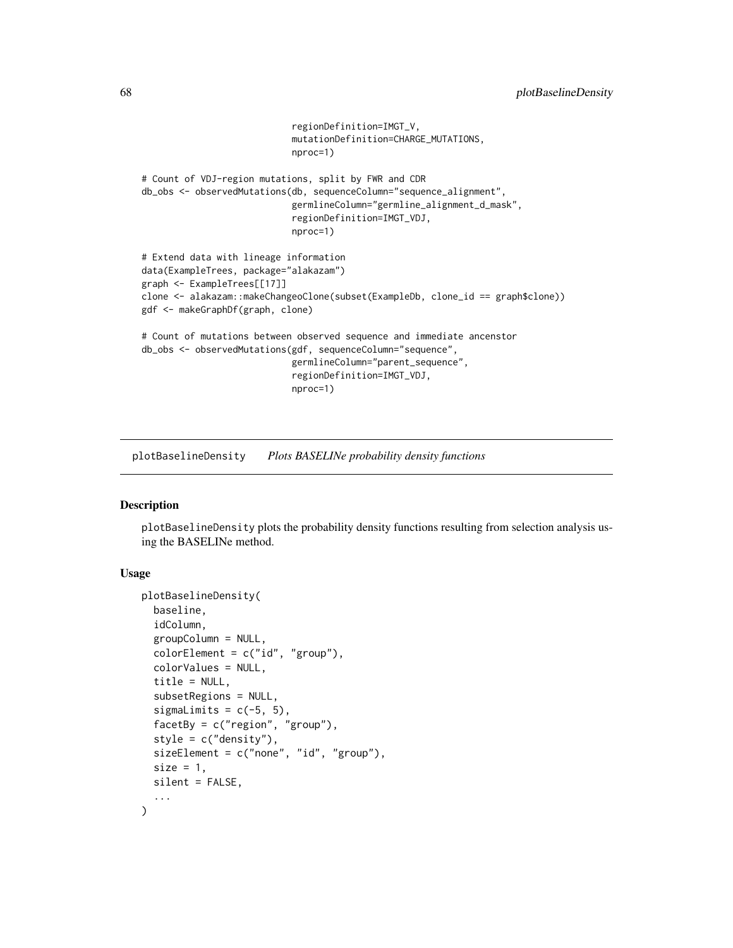```
regionDefinition=IMGT_V,
                            mutationDefinition=CHARGE_MUTATIONS,
                            nproc=1)
# Count of VDJ-region mutations, split by FWR and CDR
db_obs <- observedMutations(db, sequenceColumn="sequence_alignment",
                            germlineColumn="germline_alignment_d_mask",
                            regionDefinition=IMGT_VDJ,
                            nproc=1)
# Extend data with lineage information
data(ExampleTrees, package="alakazam")
graph <- ExampleTrees[[17]]
clone <- alakazam::makeChangeoClone(subset(ExampleDb, clone_id == graph$clone))
gdf <- makeGraphDf(graph, clone)
# Count of mutations between observed sequence and immediate ancenstor
db_obs <- observedMutations(gdf, sequenceColumn="sequence",
                            germlineColumn="parent_sequence",
                            regionDefinition=IMGT_VDJ,
                            nproc=1)
```
plotBaselineDensity *Plots BASELINe probability density functions*

#### Description

plotBaselineDensity plots the probability density functions resulting from selection analysis using the BASELINe method.

# Usage

```
plotBaselineDensity(
 baseline,
  idColumn,
  groupColumn = NULL,
  color[0.5em]colorValues = NULL,
  title = NULL,
 subsetRegions = NULL,
  sigmalimits = c(-5, 5),
  facetBy = c("region", "group"),
  style = c("density").
  sizeElement = c("none", "id", "group"),size = 1,
 silent = FALSE,
  ...
)
```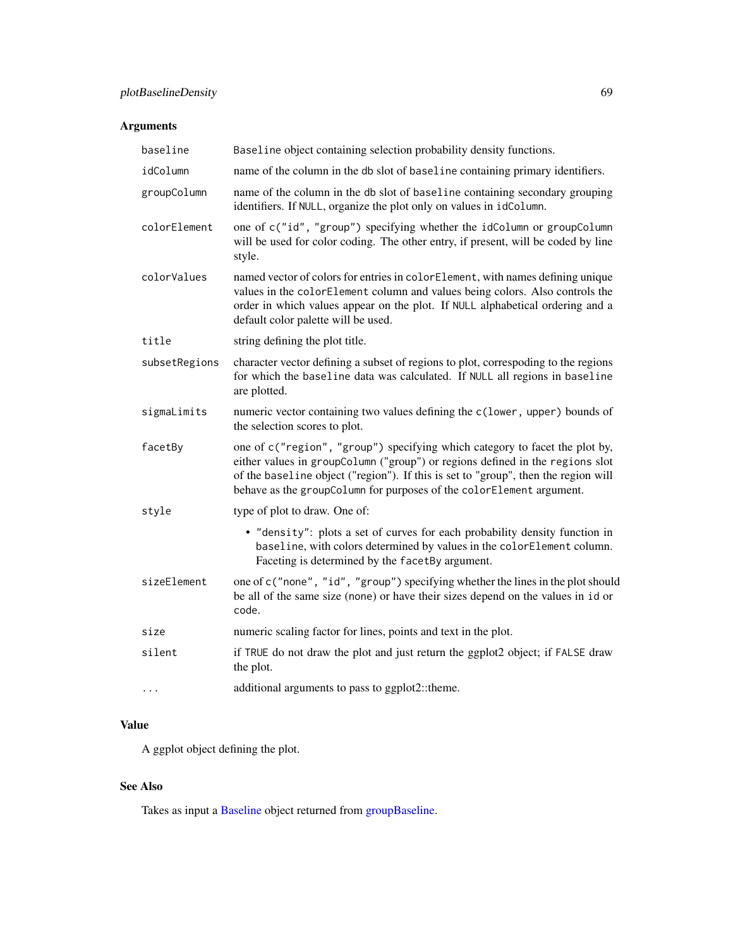# Arguments

| baseline      | Baseline object containing selection probability density functions.                                                                                                                                                                                                                                                        |
|---------------|----------------------------------------------------------------------------------------------------------------------------------------------------------------------------------------------------------------------------------------------------------------------------------------------------------------------------|
| idColumn      | name of the column in the db slot of baseline containing primary identifiers.                                                                                                                                                                                                                                              |
| groupColumn   | name of the column in the db slot of baseline containing secondary grouping<br>identifiers. If NULL, organize the plot only on values in idColumn.                                                                                                                                                                         |
| colorElement  | one of c("id", "group") specifying whether the idColumn or groupColumn<br>will be used for color coding. The other entry, if present, will be coded by line<br>style.                                                                                                                                                      |
| colorValues   | named vector of colors for entries in colorElement, with names defining unique<br>values in the colorElement column and values being colors. Also controls the<br>order in which values appear on the plot. If NULL alphabetical ordering and a<br>default color palette will be used.                                     |
| title         | string defining the plot title.                                                                                                                                                                                                                                                                                            |
| subsetRegions | character vector defining a subset of regions to plot, correspoding to the regions<br>for which the baseline data was calculated. If NULL all regions in baseline<br>are plotted.                                                                                                                                          |
| sigmaLimits   | numeric vector containing two values defining the c(lower, upper) bounds of<br>the selection scores to plot.                                                                                                                                                                                                               |
| facetBy       | one of c("region", "group") specifying which category to facet the plot by,<br>either values in groupColumn ("group") or regions defined in the regions slot<br>of the baseline object ("region"). If this is set to "group", then the region will<br>behave as the groupColumn for purposes of the colorElement argument. |
| style         | type of plot to draw. One of:                                                                                                                                                                                                                                                                                              |
|               | • "density": plots a set of curves for each probability density function in<br>baseline, with colors determined by values in the colorElement column.<br>Faceting is determined by the facetBy argument.                                                                                                                   |
| sizeElement   | one of c("none", "id", "group") specifying whether the lines in the plot should<br>be all of the same size (none) or have their sizes depend on the values in id or<br>code.                                                                                                                                               |
| size          | numeric scaling factor for lines, points and text in the plot.                                                                                                                                                                                                                                                             |
| silent        | if TRUE do not draw the plot and just return the ggplot2 object; if FALSE draw<br>the plot.                                                                                                                                                                                                                                |
| $\ddotsc$     | additional arguments to pass to ggplot2::theme.                                                                                                                                                                                                                                                                            |

# Value

A ggplot object defining the plot.

# See Also

Takes as input a [Baseline](#page-3-0) object returned from [groupBaseline.](#page-47-0)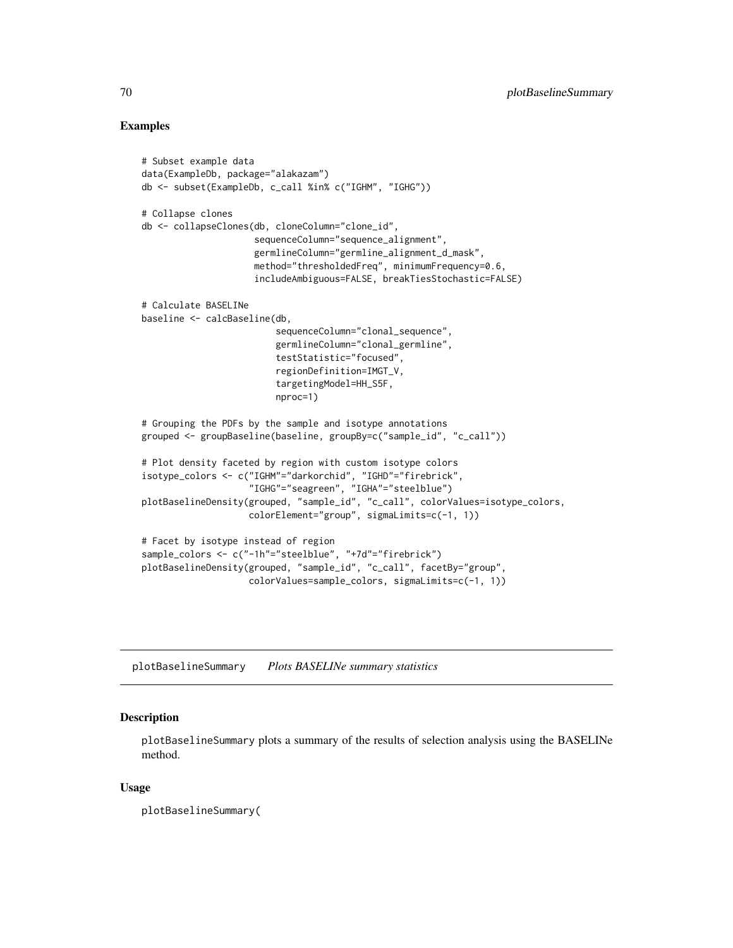# Examples

```
# Subset example data
data(ExampleDb, package="alakazam")
db <- subset(ExampleDb, c_call %in% c("IGHM", "IGHG"))
# Collapse clones
db <- collapseClones(db, cloneColumn="clone_id",
                     sequenceColumn="sequence_alignment",
                     germlineColumn="germline_alignment_d_mask",
                     method="thresholdedFreq", minimumFrequency=0.6,
                     includeAmbiguous=FALSE, breakTiesStochastic=FALSE)
# Calculate BASELINe
baseline <- calcBaseline(db,
                         sequenceColumn="clonal_sequence",
                         germlineColumn="clonal_germline",
                         testStatistic="focused",
                         regionDefinition=IMGT_V,
                         targetingModel=HH_S5F,
                         nproc=1)
# Grouping the PDFs by the sample and isotype annotations
grouped <- groupBaseline(baseline, groupBy=c("sample_id", "c_call"))
# Plot density faceted by region with custom isotype colors
isotype_colors <- c("IGHM"="darkorchid", "IGHD"="firebrick",
                    "IGHG"="seagreen", "IGHA"="steelblue")
plotBaselineDensity(grouped, "sample_id", "c_call", colorValues=isotype_colors,
                    colorElement="group", sigmaLimits=c(-1, 1))
# Facet by isotype instead of region
sample_colors <- c("-1h"="steelblue", "+7d"="firebrick")
plotBaselineDensity(grouped, "sample_id", "c_call", facetBy="group",
                    colorValues=sample_colors, sigmaLimits=c(-1, 1))
```
plotBaselineSummary *Plots BASELINe summary statistics*

# Description

plotBaselineSummary plots a summary of the results of selection analysis using the BASELINe method.

#### Usage

plotBaselineSummary(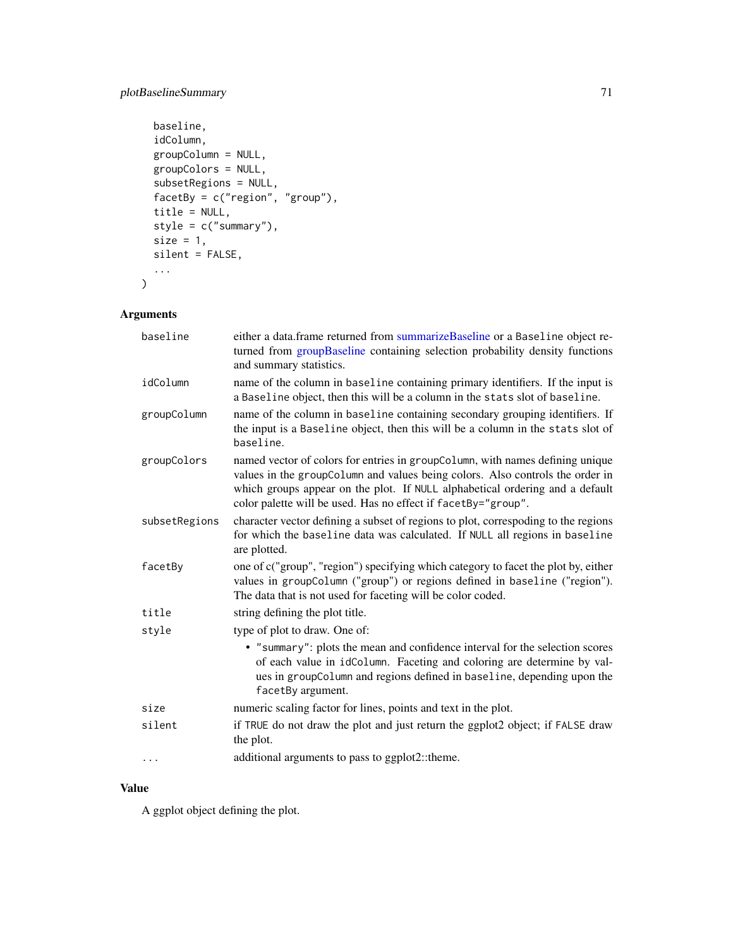# plotBaselineSummary 71

```
baseline,
 idColumn,
 groupColumn = NULL,
 groupColors = NULL,
 subsetRegions = NULL,
 facetBy = c("region", "group"),
  title = NULL,
 style = c("summary"),
 size = 1,
 silent = FALSE,
  ...
\mathcal{L}
```
# Arguments

| baseline      | either a data.frame returned from summarizeBaseline or a Baseline object re-<br>turned from groupBaseline containing selection probability density functions<br>and summary statistics.                                                                                                                         |
|---------------|-----------------------------------------------------------------------------------------------------------------------------------------------------------------------------------------------------------------------------------------------------------------------------------------------------------------|
| idColumn      | name of the column in baseline containing primary identifiers. If the input is<br>a Baseline object, then this will be a column in the stats slot of baseline.                                                                                                                                                  |
| groupColumn   | name of the column in baseline containing secondary grouping identifiers. If<br>the input is a Baseline object, then this will be a column in the stats slot of<br>baseline.                                                                                                                                    |
| groupColors   | named vector of colors for entries in groupColumn, with names defining unique<br>values in the groupColumn and values being colors. Also controls the order in<br>which groups appear on the plot. If NULL alphabetical ordering and a default<br>color palette will be used. Has no effect if facetBy="group". |
| subsetRegions | character vector defining a subset of regions to plot, correspoding to the regions<br>for which the baseline data was calculated. If NULL all regions in baseline<br>are plotted.                                                                                                                               |
| facetBy       | one of c("group", "region") specifying which category to facet the plot by, either<br>values in groupColumn ("group") or regions defined in baseline ("region").<br>The data that is not used for faceting will be color coded.                                                                                 |
| title         | string defining the plot title.                                                                                                                                                                                                                                                                                 |
| style         | type of plot to draw. One of:                                                                                                                                                                                                                                                                                   |
|               | • "summary": plots the mean and confidence interval for the selection scores<br>of each value in idColumn. Faceting and coloring are determine by val-<br>ues in groupColumn and regions defined in baseline, depending upon the<br>facetBy argument.                                                           |
| size          | numeric scaling factor for lines, points and text in the plot.                                                                                                                                                                                                                                                  |
| silent        | if TRUE do not draw the plot and just return the ggplot2 object; if FALSE draw<br>the plot.                                                                                                                                                                                                                     |
| $\cdots$      | additional arguments to pass to ggplot2::theme.                                                                                                                                                                                                                                                                 |

# Value

A ggplot object defining the plot.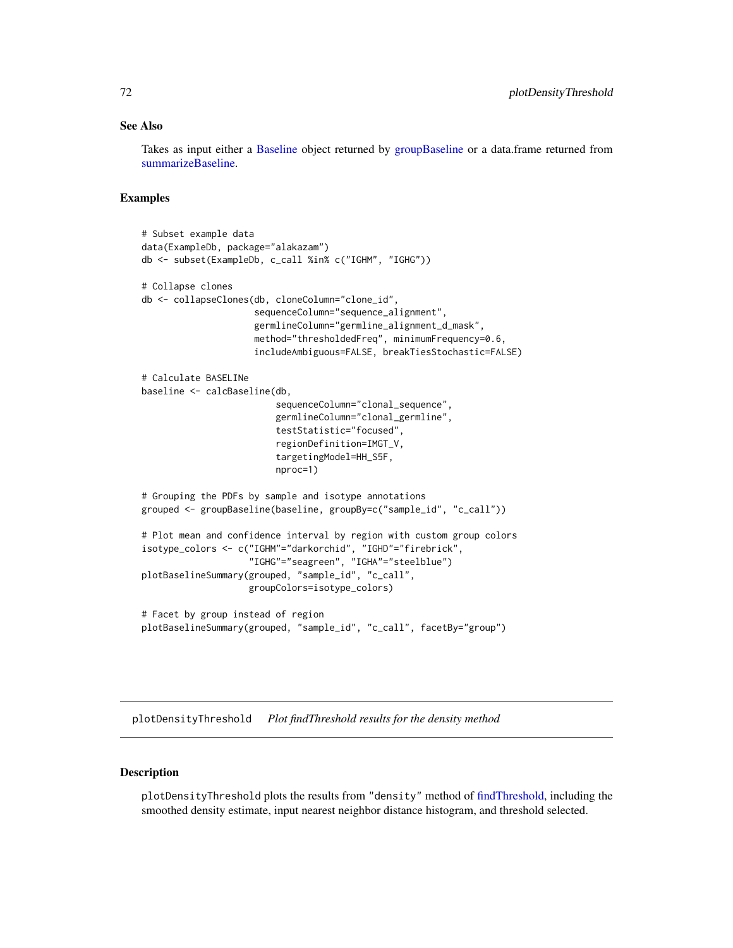# See Also

Takes as input either a [Baseline](#page-3-0) object returned by [groupBaseline](#page-47-0) or a data.frame returned from [summarizeBaseline.](#page-91-0)

# Examples

```
# Subset example data
data(ExampleDb, package="alakazam")
db <- subset(ExampleDb, c_call %in% c("IGHM", "IGHG"))
# Collapse clones
db <- collapseClones(db, cloneColumn="clone_id",
                     sequenceColumn="sequence_alignment",
                     germlineColumn="germline_alignment_d_mask",
                     method="thresholdedFreq", minimumFrequency=0.6,
                     includeAmbiguous=FALSE, breakTiesStochastic=FALSE)
# Calculate BASELINe
baseline <- calcBaseline(db,
                         sequenceColumn="clonal_sequence",
                         germlineColumn="clonal_germline",
                         testStatistic="focused",
                         regionDefinition=IMGT_V,
                         targetingModel=HH_S5F,
                         nproc=1)
# Grouping the PDFs by sample and isotype annotations
grouped <- groupBaseline(baseline, groupBy=c("sample_id", "c_call"))
# Plot mean and confidence interval by region with custom group colors
isotype_colors <- c("IGHM"="darkorchid", "IGHD"="firebrick",
                    "IGHG"="seagreen", "IGHA"="steelblue")
plotBaselineSummary(grouped, "sample_id", "c_call",
                    groupColors=isotype_colors)
# Facet by group instead of region
plotBaselineSummary(grouped, "sample_id", "c_call", facetBy="group")
```
<span id="page-71-0"></span>plotDensityThreshold *Plot findThreshold results for the density method*

# **Description**

plotDensityThreshold plots the results from "density" method of [findThreshold,](#page-44-0) including the smoothed density estimate, input nearest neighbor distance histogram, and threshold selected.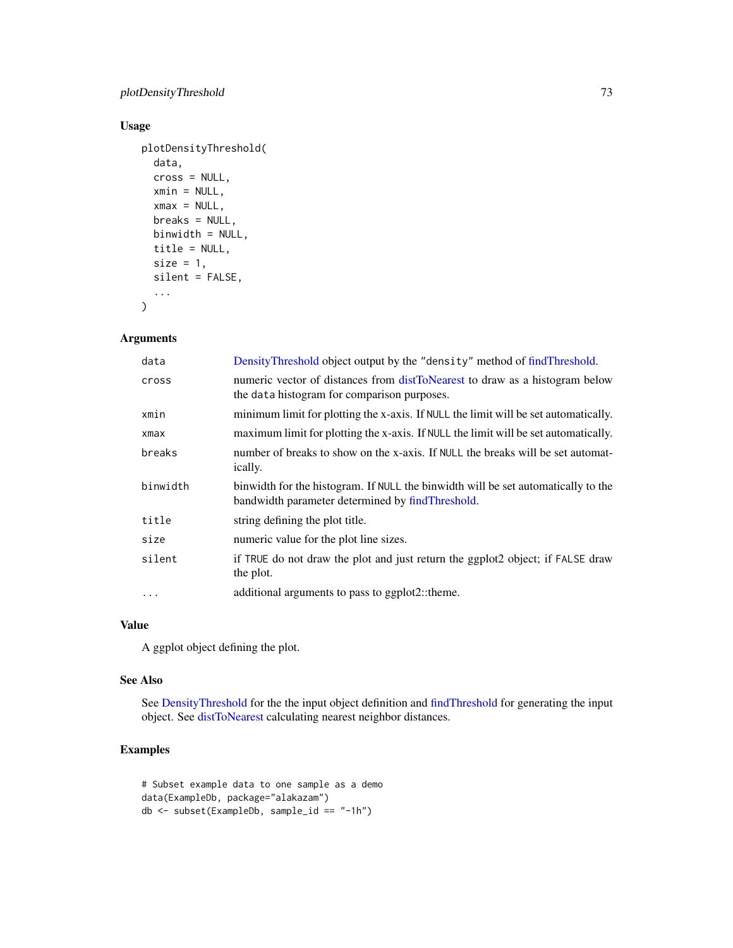# <span id="page-72-0"></span>Usage

```
plotDensityThreshold(
  data,
  cross = NULL,
 xmin = NULL,
 xmax = NULL,
 breaks = NULL,
 binwidth = NULL,
  title = NULL,
 size = 1,silent = FALSE,
  ...
```
 $\mathcal{L}$ 

# Arguments

| data     | DensityThreshold object output by the "density" method of findThreshold.                                                              |
|----------|---------------------------------------------------------------------------------------------------------------------------------------|
| cross    | numeric vector of distances from distToNearest to draw as a histogram below<br>the data histogram for comparison purposes.            |
| xmin     | minimum limit for plotting the x-axis. If NULL the limit will be set automatically.                                                   |
| xmax     | maximum limit for plotting the x-axis. If NULL the limit will be set automatically.                                                   |
| breaks   | number of breaks to show on the x-axis. If NULL the breaks will be set automat-<br>ically.                                            |
| binwidth | binwidth for the histogram. If NULL the binwidth will be set automatically to the<br>bandwidth parameter determined by findThreshold. |
|          |                                                                                                                                       |
| title    | string defining the plot title.                                                                                                       |
| size     | numeric value for the plot line sizes.                                                                                                |
| silent   | if TRUE do not draw the plot and just return the ggplot2 object; if FALSE draw<br>the plot.                                           |

## Value

A ggplot object defining the plot.

## See Also

See [DensityThreshold](#page-34-0) for the the input object definition and [findThreshold](#page-44-0) for generating the input object. See [distToNearest](#page-35-0) calculating nearest neighbor distances.

```
# Subset example data to one sample as a demo
data(ExampleDb, package="alakazam")
db <- subset(ExampleDb, sample_id == "-1h")
```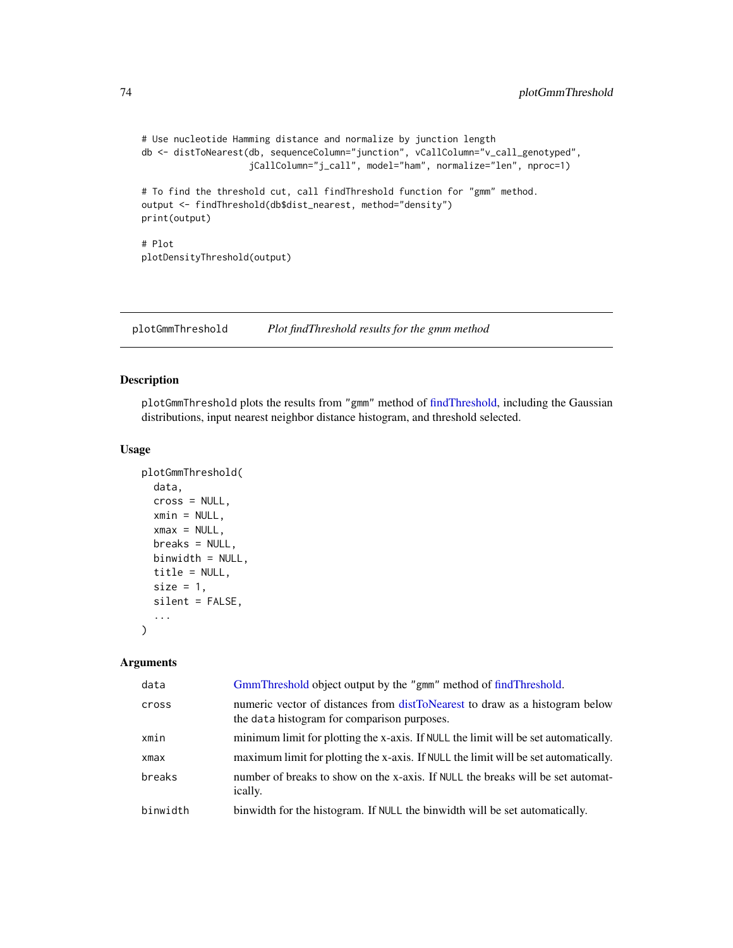```
# Use nucleotide Hamming distance and normalize by junction length
db <- distToNearest(db, sequenceColumn="junction", vCallColumn="v_call_genotyped",
                    jCallColumn="j_call", model="ham", normalize="len", nproc=1)
# To find the threshold cut, call findThreshold function for "gmm" method.
output <- findThreshold(db$dist_nearest, method="density")
print(output)
# Plot
plotDensityThreshold(output)
```
plotGmmThreshold *Plot findThreshold results for the gmm method*

## Description

plotGmmThreshold plots the results from "gmm" method of [findThreshold,](#page-44-0) including the Gaussian distributions, input nearest neighbor distance histogram, and threshold selected.

#### Usage

```
plotGmmThreshold(
  data,
  cross = NULL,
  xmin = NULL,xmax = NULL,breaks = NULL,
 binwidth = NULL,
  title = NULL,
  size = 1,
  silent = FALSE,
  ...
)
```
#### Arguments

| data       | GmmThreshold object output by the "gmm" method of findThreshold.                                                           |
|------------|----------------------------------------------------------------------------------------------------------------------------|
| cross      | numeric vector of distances from distToNearest to draw as a histogram below<br>the data histogram for comparison purposes. |
| xmin       | minimum limit for plotting the x-axis. If NULL the limit will be set automatically.                                        |
| $x$ ma $x$ | maximum limit for plotting the x-axis. If NULL the limit will be set automatically.                                        |
| breaks     | number of breaks to show on the x-axis. If NULL the breaks will be set automat-<br>ically.                                 |
| binwidth   | binwidth for the histogram. If NULL the binwidth will be set automatically.                                                |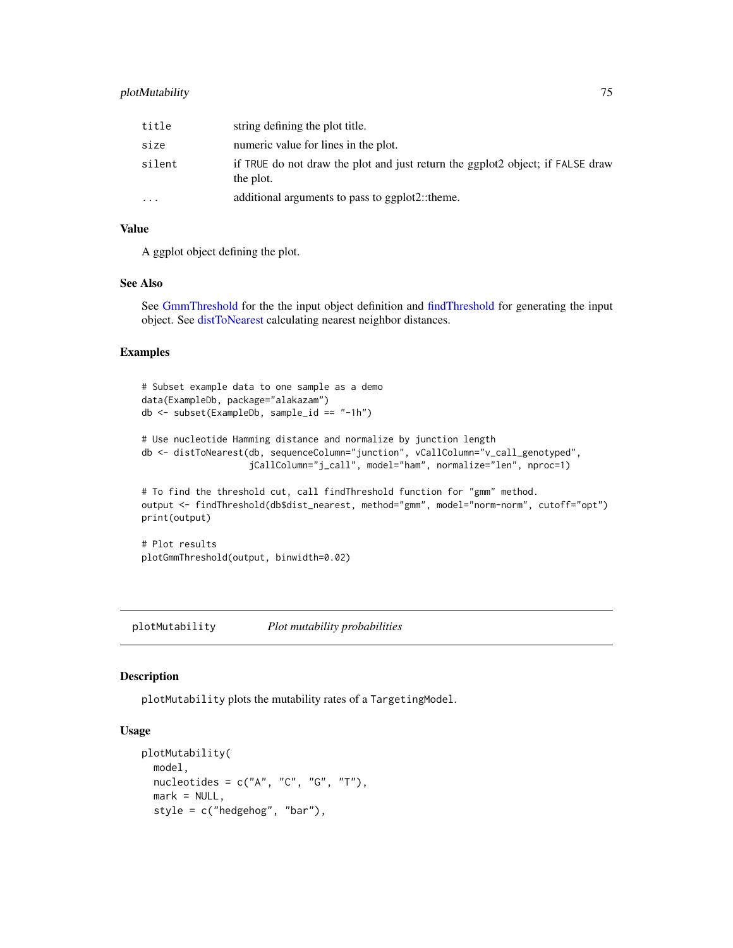# <span id="page-74-1"></span>plotMutability 75

| title     | string defining the plot title.                                                             |
|-----------|---------------------------------------------------------------------------------------------|
| size      | numeric value for lines in the plot.                                                        |
| silent    | if TRUE do not draw the plot and just return the ggplot2 object; if FALSE draw<br>the plot. |
| $\ddotsc$ | additional arguments to pass to ggplot2::theme.                                             |

# Value

A ggplot object defining the plot.

# See Also

See [GmmThreshold](#page-46-0) for the the input object definition and [findThreshold](#page-44-0) for generating the input object. See [distToNearest](#page-35-0) calculating nearest neighbor distances.

## Examples

```
# Subset example data to one sample as a demo
data(ExampleDb, package="alakazam")
db <- subset(ExampleDb, sample_id == "-1h")
# Use nucleotide Hamming distance and normalize by junction length
db <- distToNearest(db, sequenceColumn="junction", vCallColumn="v_call_genotyped",
                    jCallColumn="j_call", model="ham", normalize="len", nproc=1)
# To find the threshold cut, call findThreshold function for "gmm" method.
output <- findThreshold(db$dist_nearest, method="gmm", model="norm-norm", cutoff="opt")
print(output)
# Plot results
plotGmmThreshold(output, binwidth=0.02)
```
<span id="page-74-0"></span>plotMutability *Plot mutability probabilities*

## Description

plotMutability plots the mutability rates of a TargetingModel.

# Usage

```
plotMutability(
  model,
  nucleotides = c("A", "C", "G", "T"),
  mark = NULL,
  style = c("hedgehog", "bar"),
```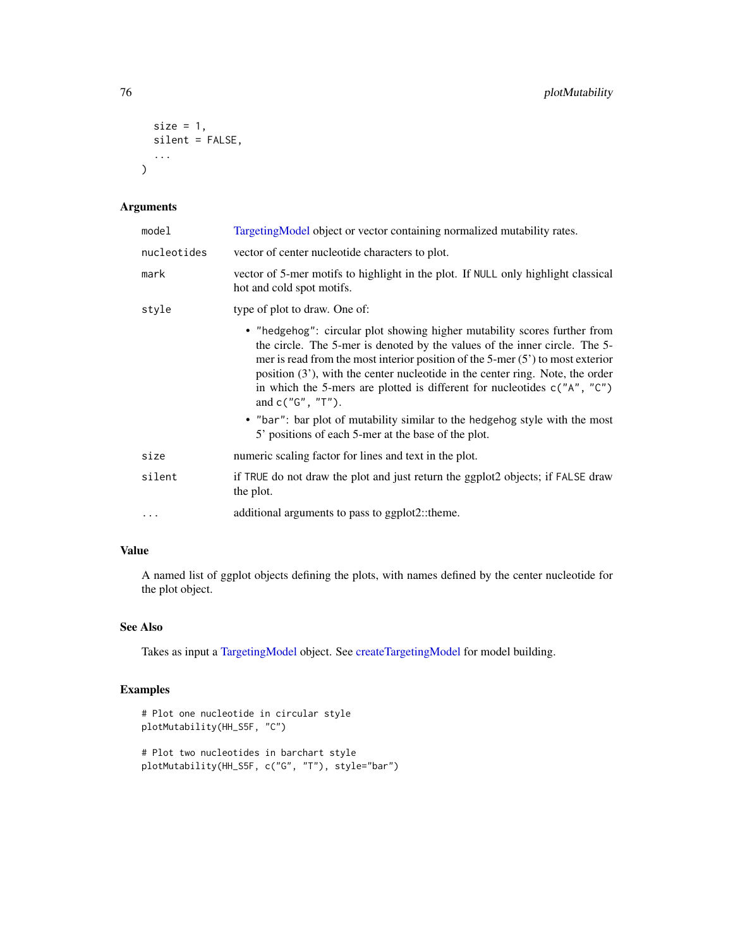```
size = 1,
  silent = FALSE,
   ...
\mathcal{L}
```
# Arguments

| model       | Targeting Model object or vector containing normalized mutability rates.                                                                                                                                                                                                                                                                                                                                                            |
|-------------|-------------------------------------------------------------------------------------------------------------------------------------------------------------------------------------------------------------------------------------------------------------------------------------------------------------------------------------------------------------------------------------------------------------------------------------|
| nucleotides | vector of center nucleotide characters to plot.                                                                                                                                                                                                                                                                                                                                                                                     |
| mark        | vector of 5-mer motifs to highlight in the plot. If NULL only highlight classical<br>hot and cold spot motifs.                                                                                                                                                                                                                                                                                                                      |
| style       | type of plot to draw. One of:                                                                                                                                                                                                                                                                                                                                                                                                       |
|             | • "hedgehog": circular plot showing higher mutability scores further from<br>the circle. The 5-mer is denoted by the values of the inner circle. The 5-<br>mer is read from the most interior position of the 5-mer $(5')$ to most exterior<br>position $(3')$ , with the center nucleotide in the center ring. Note, the order<br>in which the 5-mers are plotted is different for nucleotides $c("A", "C")$<br>and $c("G", "T").$ |
|             | • "bar": bar plot of mutability similar to the hedgehog style with the most<br>5' positions of each 5-mer at the base of the plot.                                                                                                                                                                                                                                                                                                  |
| size        | numeric scaling factor for lines and text in the plot.                                                                                                                                                                                                                                                                                                                                                                              |
| silent      | if TRUE do not draw the plot and just return the ggplot2 objects; if FALSE draw<br>the plot.                                                                                                                                                                                                                                                                                                                                        |
| $\ddots$    | additional arguments to pass to ggplot2::theme.                                                                                                                                                                                                                                                                                                                                                                                     |

# Value

A named list of ggplot objects defining the plots, with names defined by the center nucleotide for the plot object.

# See Also

Takes as input a [TargetingModel](#page-93-0) object. See [createTargetingModel](#page-32-0) for model building.

```
# Plot one nucleotide in circular style
plotMutability(HH_S5F, "C")
# Plot two nucleotides in barchart style
plotMutability(HH_S5F, c("G", "T"), style="bar")
```
<span id="page-75-0"></span>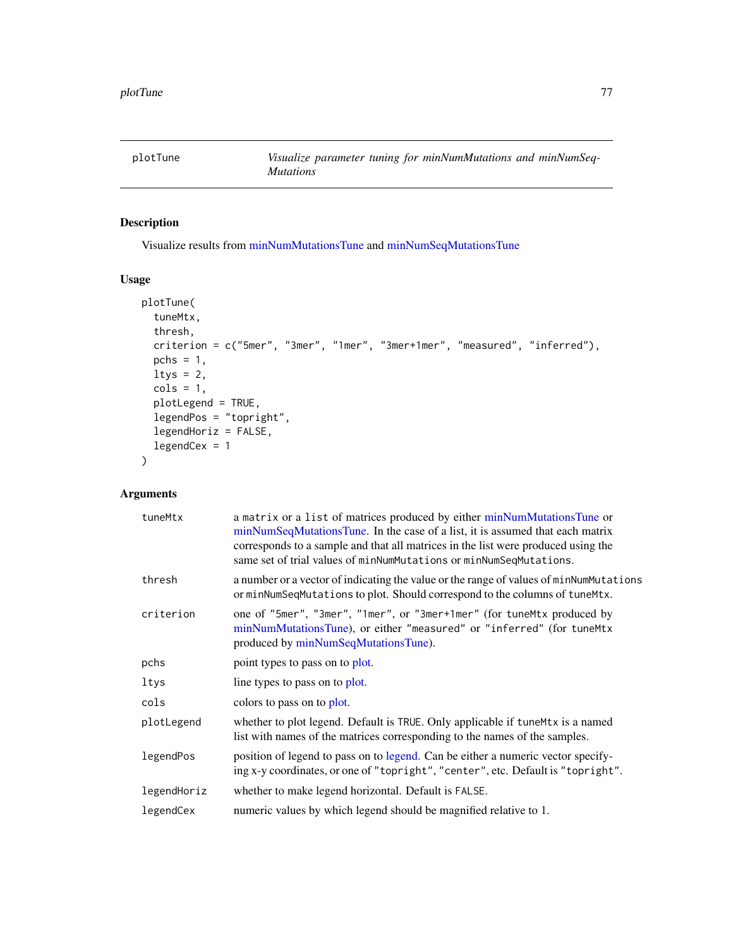<span id="page-76-0"></span>

# Description

Visualize results from [minNumMutationsTune](#page-58-0) and [minNumSeqMutationsTune](#page-59-0)

# Usage

```
plotTune(
  tuneMtx,
  thresh,
 criterion = c("5mer", "3mer", "1mer", "3mer+1mer", "measured", "inferred"),
 pchs = 1,
 ltys = 2,
  cols = 1,
 plotLegend = TRUE,
  legendPos = "topright",
  legendHoriz = FALSE,
  legendCex = 1
\mathcal{E}
```
# Arguments

| tuneMtx     | a matrix or a list of matrices produced by either minNumMutationsTune or<br>minNumSeqMutationsTune. In the case of a list, it is assumed that each matrix<br>corresponds to a sample and that all matrices in the list were produced using the<br>same set of trial values of minNumMutations or minNumSeqMutations. |
|-------------|----------------------------------------------------------------------------------------------------------------------------------------------------------------------------------------------------------------------------------------------------------------------------------------------------------------------|
| thresh      | a number or a vector of indicating the value or the range of values of minNumMutations<br>or minNumSeqMutations to plot. Should correspond to the columns of tuneMtx.                                                                                                                                                |
| criterion   | one of "5mer", "3mer", "1mer", or "3mer+1mer" (for tuneMtx produced by<br>minNumMutationsTune), or either "measured" or "inferred" (for tuneMtx<br>produced by minNumSeqMutationsTune).                                                                                                                              |
| pchs        | point types to pass on to plot.                                                                                                                                                                                                                                                                                      |
| ltys        | line types to pass on to plot.                                                                                                                                                                                                                                                                                       |
| cols        | colors to pass on to plot.                                                                                                                                                                                                                                                                                           |
| plotLegend  | whether to plot legend. Default is TRUE. Only applicable if tuneMtx is a named<br>list with names of the matrices corresponding to the names of the samples.                                                                                                                                                         |
| legendPos   | position of legend to pass on to legend. Can be either a numeric vector specify-<br>ing x-y coordinates, or one of "topright", "center", etc. Default is "topright".                                                                                                                                                 |
| legendHoriz | whether to make legend horizontal. Default is FALSE.                                                                                                                                                                                                                                                                 |
| legendCex   | numeric values by which legend should be magnified relative to 1.                                                                                                                                                                                                                                                    |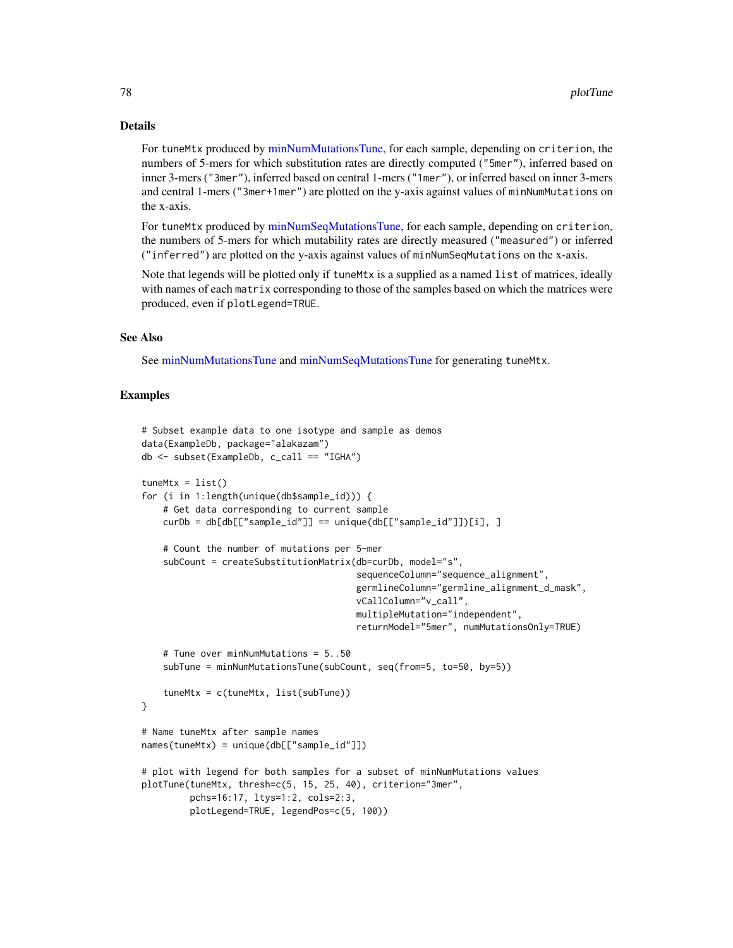#### Details

For tuneMtx produced by [minNumMutationsTune,](#page-58-0) for each sample, depending on criterion, the numbers of 5-mers for which substitution rates are directly computed ("5mer"), inferred based on inner 3-mers ("3mer"), inferred based on central 1-mers ("1mer"), or inferred based on inner 3-mers and central 1-mers ("3mer+1mer") are plotted on the y-axis against values of minNumMutations on the x-axis.

For tuneMtx produced by [minNumSeqMutationsTune,](#page-59-0) for each sample, depending on criterion, the numbers of 5-mers for which mutability rates are directly measured ("measured") or inferred ("inferred") are plotted on the y-axis against values of minNumSeqMutations on the x-axis.

Note that legends will be plotted only if tuneMtx is a supplied as a named list of matrices, ideally with names of each matrix corresponding to those of the samples based on which the matrices were produced, even if plotLegend=TRUE.

#### See Also

See [minNumMutationsTune](#page-58-0) and [minNumSeqMutationsTune](#page-59-0) for generating tuneMtx.

```
# Subset example data to one isotype and sample as demos
data(ExampleDb, package="alakazam")
db <- subset(ExampleDb, c_call == "IGHA")
tuneMtx = list()for (i in 1:length(unique(db$sample_id))) {
    # Get data corresponding to current sample
    curDb = db[db[["sample_id"]] == unique(db[["sample_id"]])[i], ]
    # Count the number of mutations per 5-mer
    subCount = createSubstitutionMatrix(db=curDb, model="s",
                                        sequenceColumn="sequence_alignment",
                                        germlineColumn="germline_alignment_d_mask",
                                        vCallColumn="v_call",
                                        multipleMutation="independent",
                                        returnModel="5mer", numMutationsOnly=TRUE)
    # Tune over minNumMutations = 5..50
    subTune = minNumMutationsTune(subCount, seq(from=5, to=50, by=5))
    tuneMtx = c(tuneMtx, list(subTune))
}
# Name tuneMtx after sample names
names(tuneMtx) = unique(db[["sample_id"]])
# plot with legend for both samples for a subset of minNumMutations values
plotTune(tuneMtx, thresh=c(5, 15, 25, 40), criterion="3mer",
         pchs=16:17, ltys=1:2, cols=2:3,
         plotLegend=TRUE, legendPos=c(5, 100))
```
<span id="page-77-0"></span>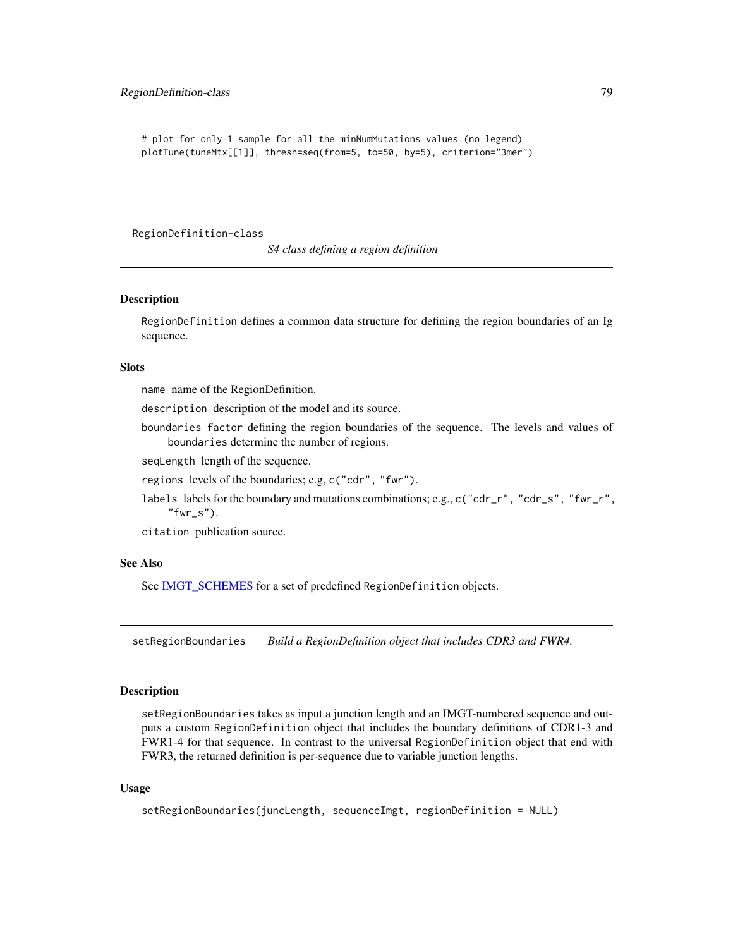```
# plot for only 1 sample for all the minNumMutations values (no legend)
plotTune(tuneMtx[[1]], thresh=seq(from=5, to=50, by=5), criterion="3mer")
```
RegionDefinition-class

*S4 class defining a region definition*

#### <span id="page-78-0"></span>**Description**

RegionDefinition defines a common data structure for defining the region boundaries of an Ig sequence.

#### **Slots**

name name of the RegionDefinition.

description description of the model and its source.

boundaries factor defining the region boundaries of the sequence. The levels and values of boundaries determine the number of regions.

seqLength length of the sequence.

regions levels of the boundaries; e.g, c("cdr", "fwr").

labels labels for the boundary and mutations combinations; e.g., c("cdr\_r", "cdr\_s", "fwr\_r",  $"fwr_s"$ ).

citation publication source.

#### See Also

See [IMGT\\_SCHEMES](#page-52-0) for a set of predefined RegionDefinition objects.

<span id="page-78-1"></span>setRegionBoundaries *Build a RegionDefinition object that includes CDR3 and FWR4.*

# Description

setRegionBoundaries takes as input a junction length and an IMGT-numbered sequence and outputs a custom RegionDefinition object that includes the boundary definitions of CDR1-3 and FWR1-4 for that sequence. In contrast to the universal RegionDefinition object that end with FWR3, the returned definition is per-sequence due to variable junction lengths.

#### Usage

```
setRegionBoundaries(juncLength, sequenceImgt, regionDefinition = NULL)
```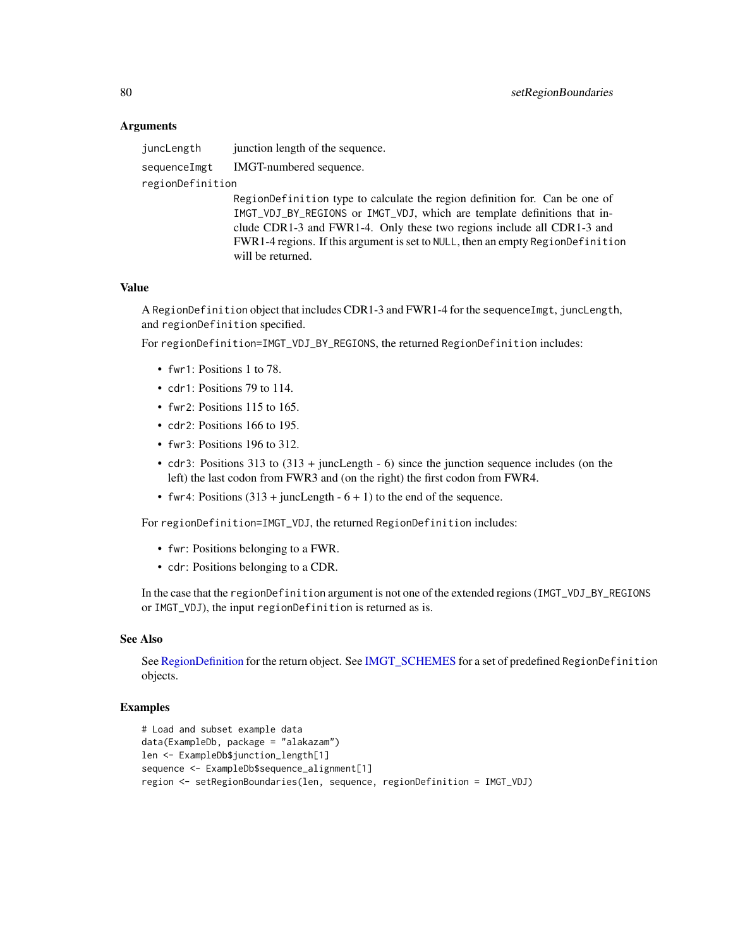## Arguments

juncLength junction length of the sequence. sequenceImgt IMGT-numbered sequence. regionDefinition

> RegionDefinition type to calculate the region definition for. Can be one of IMGT\_VDJ\_BY\_REGIONS or IMGT\_VDJ, which are template definitions that include CDR1-3 and FWR1-4. Only these two regions include all CDR1-3 and FWR1-4 regions. If this argument is set to NULL, then an empty RegionDefinition will be returned.

#### Value

A RegionDefinition object that includes CDR1-3 and FWR1-4 for the sequenceImgt, juncLength, and regionDefinition specified.

For regionDefinition=IMGT\_VDJ\_BY\_REGIONS, the returned RegionDefinition includes:

- fwr1: Positions 1 to 78.
- cdr1: Positions 79 to 114.
- fwr2: Positions 115 to 165.
- cdr2: Positions 166 to 195.
- fwr3: Positions 196 to 312.
- cdr3: Positions 313 to (313 + juncLength 6) since the junction sequence includes (on the left) the last codon from FWR3 and (on the right) the first codon from FWR4.
- fwr4: Positions  $(313 + \text{juncLength} 6 + 1)$  to the end of the sequence.

For regionDefinition=IMGT\_VDJ, the returned RegionDefinition includes:

- fwr: Positions belonging to a FWR.
- cdr: Positions belonging to a CDR.

In the case that the regionDefinition argument is not one of the extended regions (IMGT\_VDJ\_BY\_REGIONS or IMGT\_VDJ), the input regionDefinition is returned as is.

# See Also

See [RegionDefinition](#page-78-0) for the return object. See [IMGT\\_SCHEMES](#page-52-0) for a set of predefined RegionDefinition objects.

```
# Load and subset example data
data(ExampleDb, package = "alakazam")
len <- ExampleDb$junction_length[1]
sequence <- ExampleDb$sequence_alignment[1]
region <- setRegionBoundaries(len, sequence, regionDefinition = IMGT_VDJ)
```
<span id="page-79-0"></span>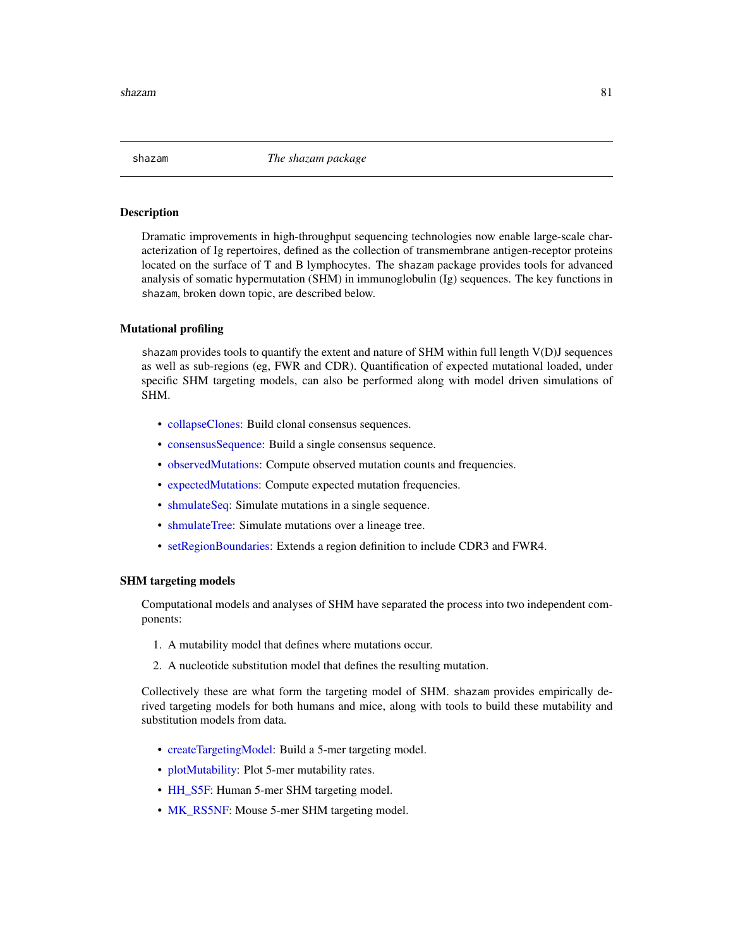<span id="page-80-0"></span>

#### **Description**

Dramatic improvements in high-throughput sequencing technologies now enable large-scale characterization of Ig repertoires, defined as the collection of transmembrane antigen-receptor proteins located on the surface of T and B lymphocytes. The shazam package provides tools for advanced analysis of somatic hypermutation (SHM) in immunoglobulin (Ig) sequences. The key functions in shazam, broken down topic, are described below.

#### Mutational profiling

shazam provides tools to quantify the extent and nature of SHM within full length  $V(D)J$  sequences as well as sub-regions (eg, FWR and CDR). Quantification of expected mutational loaded, under specific SHM targeting models, can also be performed along with model driven simulations of SHM.

- [collapseClones:](#page-14-0) Build clonal consensus sequences.
- consensus Sequence: Build a single consensus sequence.
- [observedMutations:](#page-64-0) Compute observed mutation counts and frequencies.
- [expectedMutations:](#page-40-0) Compute expected mutation frequencies.
- [shmulateSeq:](#page-82-0) Simulate mutations in a single sequence.
- [shmulateTree:](#page-83-0) Simulate mutations over a lineage tree.
- [setRegionBoundaries:](#page-78-1) Extends a region definition to include CDR3 and FWR4.

#### SHM targeting models

Computational models and analyses of SHM have separated the process into two independent components:

- 1. A mutability model that defines where mutations occur.
- 2. A nucleotide substitution model that defines the resulting mutation.

Collectively these are what form the targeting model of SHM. shazam provides empirically derived targeting models for both humans and mice, along with tools to build these mutability and substitution models from data.

- [createTargetingModel:](#page-32-0) Build a 5-mer targeting model.
- [plotMutability:](#page-74-0) Plot 5-mer mutability rates.
- [HH\\_S5F:](#page-50-0) Human 5-mer SHM targeting model.
- [MK\\_RS5NF:](#page-62-0) Mouse 5-mer SHM targeting model.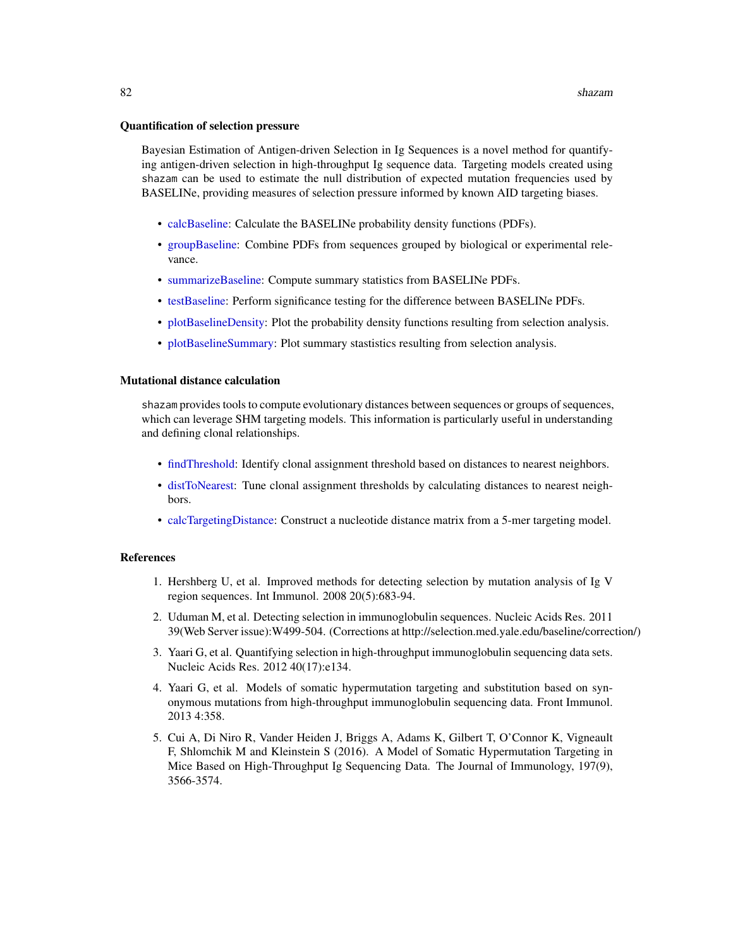#### <span id="page-81-0"></span>Quantification of selection pressure

Bayesian Estimation of Antigen-driven Selection in Ig Sequences is a novel method for quantifying antigen-driven selection in high-throughput Ig sequence data. Targeting models created using shazam can be used to estimate the null distribution of expected mutation frequencies used by BASELINe, providing measures of selection pressure informed by known AID targeting biases.

- [calcBaseline:](#page-4-0) Calculate the BASELINe probability density functions (PDFs).
- [groupBaseline:](#page-47-0) Combine PDFs from sequences grouped by biological or experimental relevance.
- [summarizeBaseline:](#page-91-0) Compute summary statistics from BASELINe PDFs.
- [testBaseline:](#page-94-0) Perform significance testing for the difference between BASELINe PDFs.
- [plotBaselineDensity:](#page-67-0) Plot the probability density functions resulting from selection analysis.
- [plotBaselineSummary:](#page-69-0) Plot summary stastistics resulting from selection analysis.

#### Mutational distance calculation

shazam provides tools to compute evolutionary distances between sequences or groups of sequences, which can leverage SHM targeting models. This information is particularly useful in understanding and defining clonal relationships.

- [findThreshold:](#page-44-0) Identify clonal assignment threshold based on distances to nearest neighbors.
- [distToNearest:](#page-35-0) Tune clonal assignment thresholds by calculating distances to nearest neighbors.
- [calcTargetingDistance:](#page-12-0) Construct a nucleotide distance matrix from a 5-mer targeting model.

#### References

- 1. Hershberg U, et al. Improved methods for detecting selection by mutation analysis of Ig V region sequences. Int Immunol. 2008 20(5):683-94.
- 2. Uduman M, et al. Detecting selection in immunoglobulin sequences. Nucleic Acids Res. 2011 39(Web Server issue):W499-504. (Corrections at http://selection.med.yale.edu/baseline/correction/)
- 3. Yaari G, et al. Quantifying selection in high-throughput immunoglobulin sequencing data sets. Nucleic Acids Res. 2012 40(17):e134.
- 4. Yaari G, et al. Models of somatic hypermutation targeting and substitution based on synonymous mutations from high-throughput immunoglobulin sequencing data. Front Immunol. 2013 4:358.
- 5. Cui A, Di Niro R, Vander Heiden J, Briggs A, Adams K, Gilbert T, O'Connor K, Vigneault F, Shlomchik M and Kleinstein S (2016). A Model of Somatic Hypermutation Targeting in Mice Based on High-Throughput Ig Sequencing Data. The Journal of Immunology, 197(9), 3566-3574.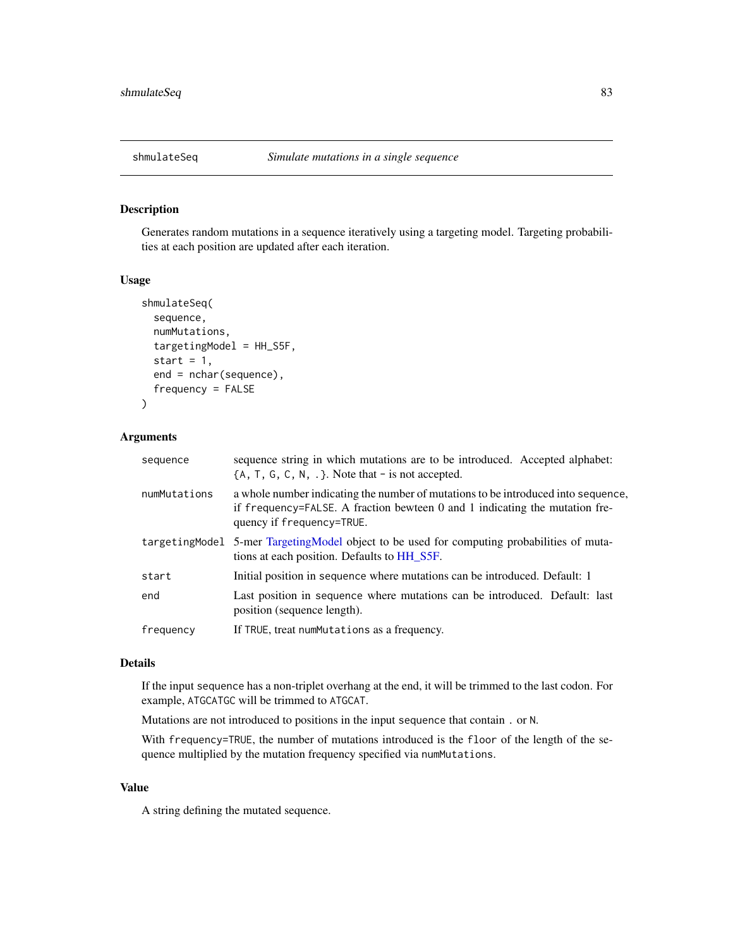<span id="page-82-1"></span><span id="page-82-0"></span>

# Description

Generates random mutations in a sequence iteratively using a targeting model. Targeting probabilities at each position are updated after each iteration.

#### Usage

```
shmulateSeq(
  sequence,
  numMutations,
  targetingModel = HH_S5F,
  start = 1,end = nchar(sequence),
  frequency = FALSE
\mathcal{L}
```
### Arguments

| sequence     | sequence string in which mutations are to be introduced. Accepted alphabet:<br>${A, T, G, C, N, .}$ . Note that - is not accepted.                                                            |
|--------------|-----------------------------------------------------------------------------------------------------------------------------------------------------------------------------------------------|
| numMutations | a whole number indicating the number of mutations to be introduced into sequence,<br>if frequency=FALSE. A fraction bewteen 0 and 1 indicating the mutation fre-<br>quency if frequency=TRUE. |
|              | targetingModel 5-mer TargetingModel object to be used for computing probabilities of muta-<br>tions at each position. Defaults to HH_S5F.                                                     |
| start        | Initial position in sequence where mutations can be introduced. Default: 1                                                                                                                    |
| end          | Last position in sequence where mutations can be introduced. Default: last<br>position (sequence length).                                                                                     |
| frequency    | If TRUE, treat numMutations as a frequency.                                                                                                                                                   |

#### Details

If the input sequence has a non-triplet overhang at the end, it will be trimmed to the last codon. For example, ATGCATGC will be trimmed to ATGCAT.

Mutations are not introduced to positions in the input sequence that contain . or N.

With frequency=TRUE, the number of mutations introduced is the floor of the length of the sequence multiplied by the mutation frequency specified via numMutations.

# Value

A string defining the mutated sequence.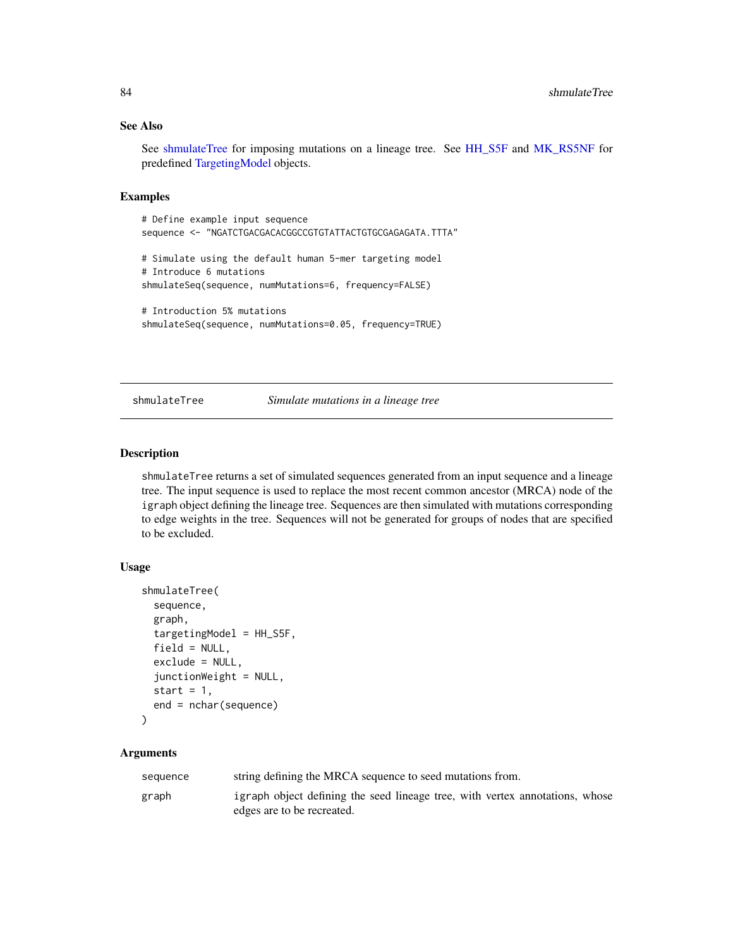# <span id="page-83-1"></span>See Also

See [shmulateTree](#page-83-0) for imposing mutations on a lineage tree. See [HH\\_S5F](#page-50-0) and [MK\\_RS5NF](#page-62-0) for predefined [TargetingModel](#page-93-0) objects.

# Examples

# Define example input sequence sequence <- "NGATCTGACGACACGGCCGTGTATTACTGTGCGAGAGATA.TTTA" # Simulate using the default human 5-mer targeting model # Introduce 6 mutations shmulateSeq(sequence, numMutations=6, frequency=FALSE) # Introduction 5% mutations shmulateSeq(sequence, numMutations=0.05, frequency=TRUE)

<span id="page-83-0"></span>shmulateTree *Simulate mutations in a lineage tree*

# Description

shmulateTree returns a set of simulated sequences generated from an input sequence and a lineage tree. The input sequence is used to replace the most recent common ancestor (MRCA) node of the igraph object defining the lineage tree. Sequences are then simulated with mutations corresponding to edge weights in the tree. Sequences will not be generated for groups of nodes that are specified to be excluded.

## Usage

```
shmulateTree(
  sequence,
  graph,
  targetingModel = HH_S5F,
  field = NULL,
  exclude = NULL,
  junctionWeight = NULL,
  start = 1,end = nchar(sequence)
)
```
## Arguments

| sequence | string defining the MRCA sequence to seed mutations from.                                                  |
|----------|------------------------------------------------------------------------------------------------------------|
| graph    | igraph object defining the seed lineage tree, with vertex annotations, whose<br>edges are to be recreated. |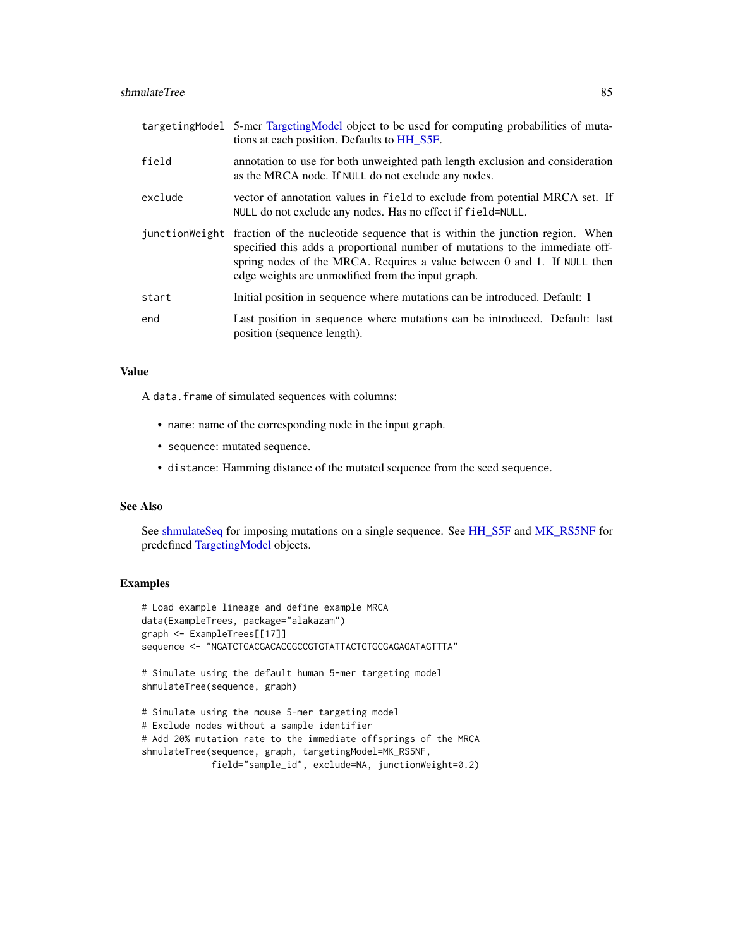<span id="page-84-0"></span>

|         | targetingModel 5-mer TargetingModel object to be used for computing probabilities of muta-<br>tions at each position. Defaults to HH_S5F.                                                                                                                                                                     |
|---------|---------------------------------------------------------------------------------------------------------------------------------------------------------------------------------------------------------------------------------------------------------------------------------------------------------------|
| field   | annotation to use for both unweighted path length exclusion and consideration<br>as the MRCA node. If NULL do not exclude any nodes.                                                                                                                                                                          |
| exclude | vector of annotation values in field to exclude from potential MRCA set. If<br>NULL do not exclude any nodes. Has no effect if field=NULL.                                                                                                                                                                    |
|         | junction Weight fraction of the nucleotide sequence that is within the junction region. When<br>specified this adds a proportional number of mutations to the immediate off-<br>spring nodes of the MRCA. Requires a value between 0 and 1. If NULL then<br>edge weights are unmodified from the input graph. |
| start   | Initial position in sequence where mutations can be introduced. Default: 1                                                                                                                                                                                                                                    |
| end     | Last position in sequence where mutations can be introduced. Default: last<br>position (sequence length).                                                                                                                                                                                                     |

#### Value

A data.frame of simulated sequences with columns:

- name: name of the corresponding node in the input graph.
- sequence: mutated sequence.
- distance: Hamming distance of the mutated sequence from the seed sequence.

#### See Also

See [shmulateSeq](#page-82-0) for imposing mutations on a single sequence. See [HH\\_S5F](#page-50-0) and [MK\\_RS5NF](#page-62-0) for predefined [TargetingModel](#page-93-0) objects.

```
# Load example lineage and define example MRCA
data(ExampleTrees, package="alakazam")
graph <- ExampleTrees[[17]]
sequence <- "NGATCTGACGACACGGCCGTGTATTACTGTGCGAGAGATAGTTTA"
# Simulate using the default human 5-mer targeting model
shmulateTree(sequence, graph)
# Simulate using the mouse 5-mer targeting model
# Exclude nodes without a sample identifier
# Add 20% mutation rate to the immediate offsprings of the MRCA
shmulateTree(sequence, graph, targetingModel=MK_RS5NF,
             field="sample_id", exclude=NA, junctionWeight=0.2)
```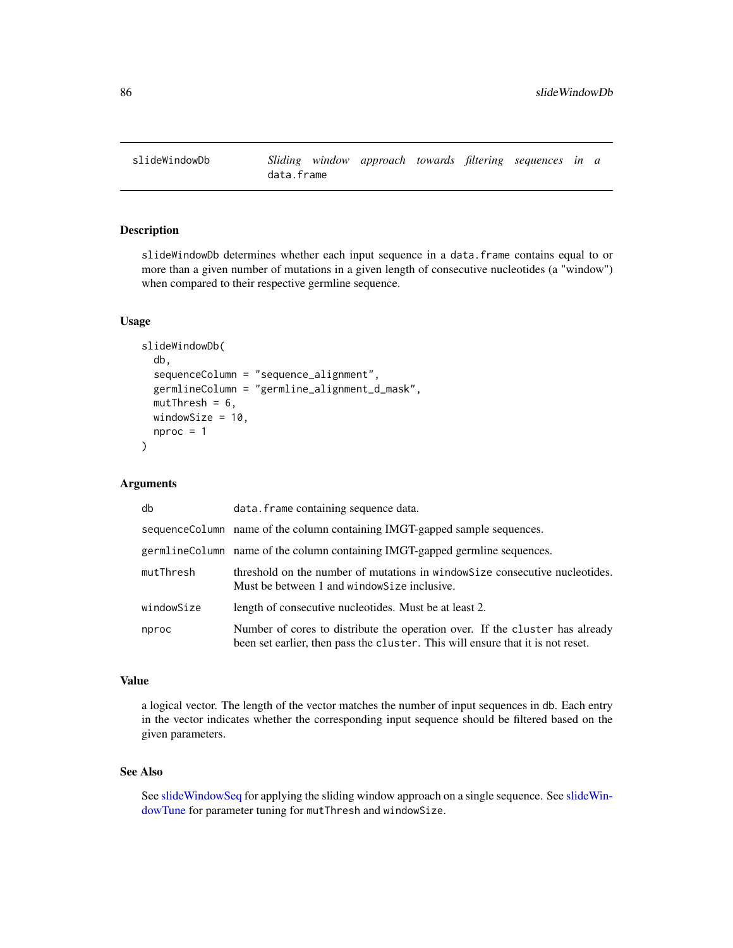<span id="page-85-1"></span><span id="page-85-0"></span>

# Description

slideWindowDb determines whether each input sequence in a data.frame contains equal to or more than a given number of mutations in a given length of consecutive nucleotides (a "window") when compared to their respective germline sequence.

## Usage

```
slideWindowDb(
  db,
  sequenceColumn = "sequence_alignment",
  germlineColumn = "germline_alignment_d_mask",
 mutThresh = 6,
 windowSize = 10,
  nproc = 1)
```
## Arguments

| db         | data. frame containing sequence data.                                                                                                                           |
|------------|-----------------------------------------------------------------------------------------------------------------------------------------------------------------|
|            | sequence Column name of the column containing IMGT-gapped sample sequences.                                                                                     |
|            | germlineColumn name of the column containing IMGT-gapped germline sequences.                                                                                    |
| mutThresh  | threshold on the number of mutations in window Size consecutive nucleotides.<br>Must be between 1 and window Size inclusive.                                    |
| windowSize | length of consecutive nucleotides. Must be at least 2.                                                                                                          |
| nproc      | Number of cores to distribute the operation over. If the cluster has already<br>been set earlier, then pass the cluster. This will ensure that it is not reset. |

# Value

a logical vector. The length of the vector matches the number of input sequences in db. Each entry in the vector indicates whether the corresponding input sequence should be filtered based on the given parameters.

# See Also

See [slideWindowSeq](#page-86-0) for applying the sliding window approach on a single sequence. See [slideWin](#page-87-0)[dowTune](#page-87-0) for parameter tuning for mutThresh and windowSize.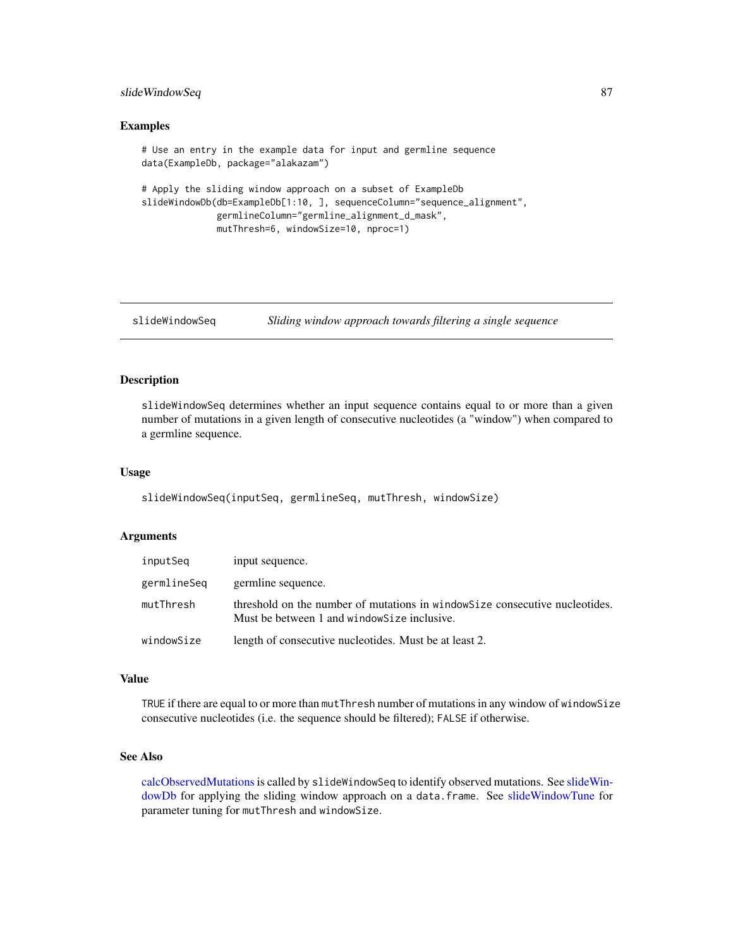# <span id="page-86-1"></span>slideWindowSeq 87

#### Examples

```
# Use an entry in the example data for input and germline sequence
data(ExampleDb, package="alakazam")
# Apply the sliding window approach on a subset of ExampleDb
slideWindowDb(db=ExampleDb[1:10, ], sequenceColumn="sequence_alignment",
             germlineColumn="germline_alignment_d_mask",
             mutThresh=6, windowSize=10, nproc=1)
```
<span id="page-86-0"></span>slideWindowSeq *Sliding window approach towards filtering a single sequence*

#### Description

slideWindowSeq determines whether an input sequence contains equal to or more than a given number of mutations in a given length of consecutive nucleotides (a "window") when compared to a germline sequence.

#### Usage

slideWindowSeq(inputSeq, germlineSeq, mutThresh, windowSize)

#### Arguments

| inputSeq    | input sequence.                                                                                                              |
|-------------|------------------------------------------------------------------------------------------------------------------------------|
| germlineSea | germline sequence.                                                                                                           |
| mutThresh   | threshold on the number of mutations in window Size consecutive nucleotides.<br>Must be between 1 and window Size inclusive. |
| windowSize  | length of consecutive nucleotides. Must be at least 2.                                                                       |

#### Value

TRUE if there are equal to or more than mutThresh number of mutations in any window of windowSize consecutive nucleotides (i.e. the sequence should be filtered); FALSE if otherwise.

# See Also

[calcObservedMutations](#page-8-0)is called by slideWindowSeq to identify observed mutations. See [slideWin](#page-85-0)[dowDb](#page-85-0) for applying the sliding window approach on a data.frame. See [slideWindowTune](#page-87-0) for parameter tuning for mutThresh and windowSize.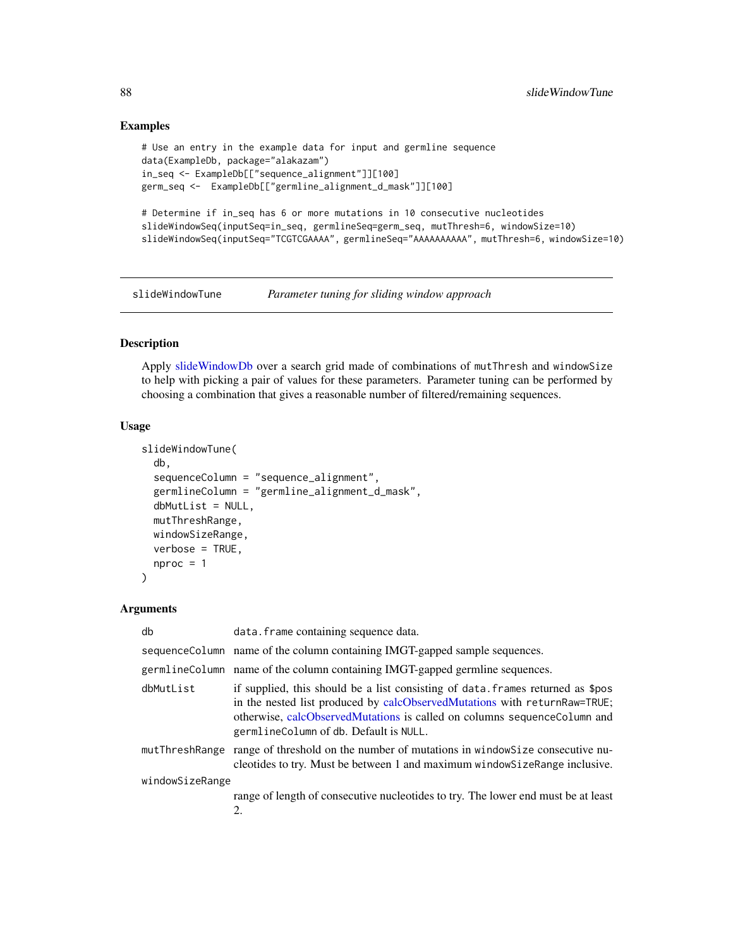## Examples

```
# Use an entry in the example data for input and germline sequence
data(ExampleDb, package="alakazam")
in_seq <- ExampleDb[["sequence_alignment"]][100]
germ_seq <- ExampleDb[["germline_alignment_d_mask"]][100]
# Determine if in_seq has 6 or more mutations in 10 consecutive nucleotides
```

```
slideWindowSeq(inputSeq=in_seq, germlineSeq=germ_seq, mutThresh=6, windowSize=10)
slideWindowSeq(inputSeq="TCGTCGAAAA", germlineSeq="AAAAAAAAAA", mutThresh=6, windowSize=10)
```
<span id="page-87-0"></span>slideWindowTune *Parameter tuning for sliding window approach*

# Description

Apply [slideWindowDb](#page-85-0) over a search grid made of combinations of mutThresh and windowSize to help with picking a pair of values for these parameters. Parameter tuning can be performed by choosing a combination that gives a reasonable number of filtered/remaining sequences.

#### Usage

```
slideWindowTune(
  db,
  sequenceColumn = "sequence_alignment",
  germlineColumn = "germline_alignment_d_mask",
  dbMutList = NULL,
 mutThreshRange,
 windowSizeRange,
  verbose = TRUE,
 nproc = 1)
```
#### Arguments

| db              | data. frame containing sequence data.                                                                                                                                                                                                                                              |
|-----------------|------------------------------------------------------------------------------------------------------------------------------------------------------------------------------------------------------------------------------------------------------------------------------------|
|                 | sequence Column name of the column containing IMGT-gapped sample sequences.                                                                                                                                                                                                        |
|                 | germlineColumn name of the column containing IMGT-gapped germline sequences.                                                                                                                                                                                                       |
| dbMutList       | if supplied, this should be a list consisting of data. frames returned as \$pos<br>in the nested list produced by calcObservedMutations with returnRaw=TRUE;<br>otherwise, calcObservedMutations is called on columns sequenceColumn and<br>germlineColumn of db. Default is NULL. |
|                 | mutThreshRange range of threshold on the number of mutations in window Size consecutive nu-<br>cleotides to try. Must be between 1 and maximum window Size Range inclusive.                                                                                                        |
| windowSizeRange |                                                                                                                                                                                                                                                                                    |
|                 | range of length of consecutive nucleotides to try. The lower end must be at least<br>2.                                                                                                                                                                                            |

<span id="page-87-1"></span>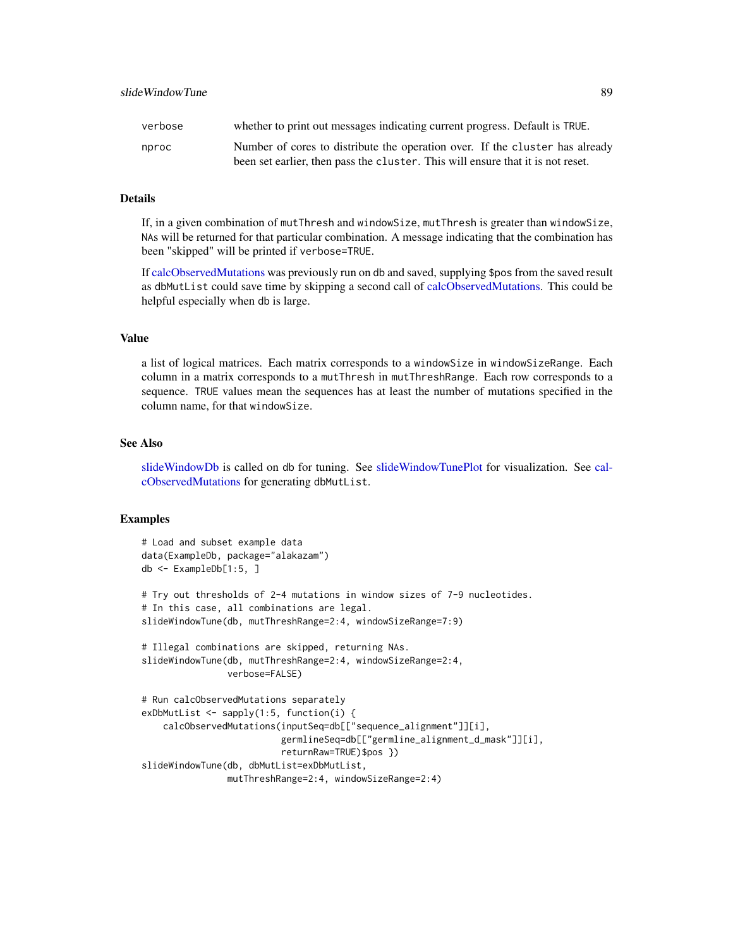<span id="page-88-0"></span>

| proc | Number of cores to distribute the operation over. If the cluster has alrea      |
|------|---------------------------------------------------------------------------------|
|      | been set earlier, then pass the cluster. This will ensure that it is not reset. |

# Details

If, in a given combination of mutThresh and windowSize, mutThresh is greater than windowSize, NAs will be returned for that particular combination. A message indicating that the combination has been "skipped" will be printed if verbose=TRUE.

If [calcObservedMutations](#page-8-0) was previously run on db and saved, supplying \$pos from the saved result as dbMutList could save time by skipping a second call of [calcObservedMutations.](#page-8-0) This could be helpful especially when db is large.

#### Value

a list of logical matrices. Each matrix corresponds to a windowSize in windowSizeRange. Each column in a matrix corresponds to a mutThresh in mutThreshRange. Each row corresponds to a sequence. TRUE values mean the sequences has at least the number of mutations specified in the column name, for that windowSize.

#### See Also

[slideWindowDb](#page-85-0) is called on db for tuning. See [slideWindowTunePlot](#page-89-0) for visualization. See [cal](#page-8-0)[cObservedMutations](#page-8-0) for generating dbMutList.

```
# Load and subset example data
data(ExampleDb, package="alakazam")
db <- ExampleDb[1:5, ]
# Try out thresholds of 2-4 mutations in window sizes of 7-9 nucleotides.
# In this case, all combinations are legal.
slideWindowTune(db, mutThreshRange=2:4, windowSizeRange=7:9)
# Illegal combinations are skipped, returning NAs.
slideWindowTune(db, mutThreshRange=2:4, windowSizeRange=2:4,
               verbose=FALSE)
# Run calcObservedMutations separately
exDbMutList <- sapply(1:5, function(i) {
   calcObservedMutations(inputSeq=db[["sequence_alignment"]][i],
                          germlineSeq=db[["germline_alignment_d_mask"]][i],
                          returnRaw=TRUE)$pos })
slideWindowTune(db, dbMutList=exDbMutList,
               mutThreshRange=2:4, windowSizeRange=2:4)
```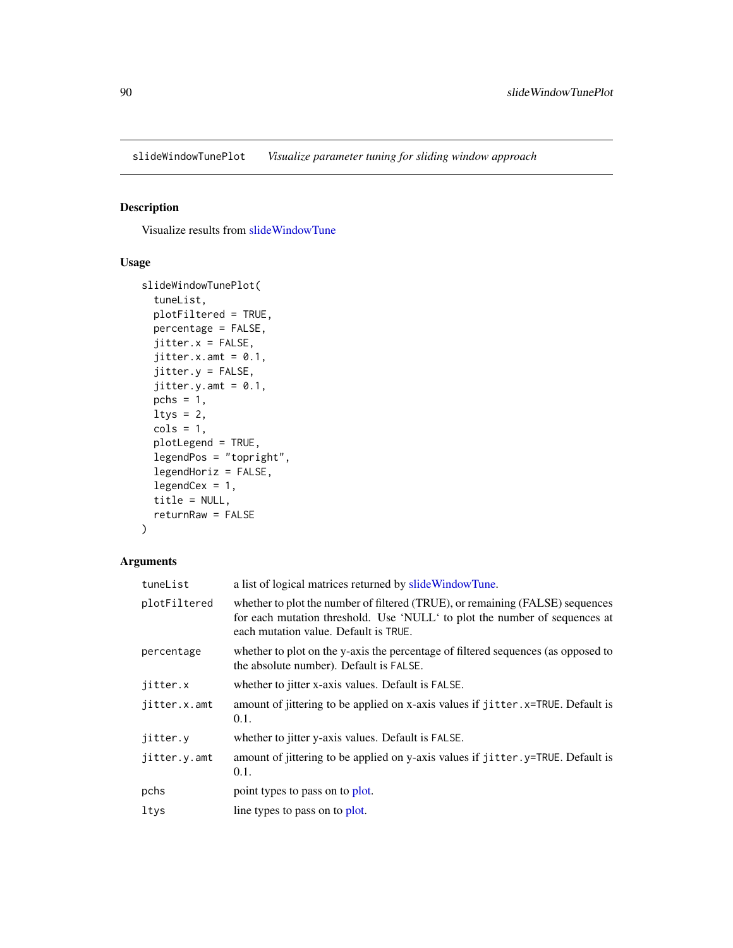<span id="page-89-1"></span><span id="page-89-0"></span>slideWindowTunePlot *Visualize parameter tuning for sliding window approach*

# Description

Visualize results from [slideWindowTune](#page-87-0)

# Usage

```
slideWindowTunePlot(
  tuneList,
 plotFiltered = TRUE,
 percentage = FALSE,
  jitter.x = FALSE,jitter.x.amt = 0.1,
  jitter.y = FALSE,
  jitter.y.xml = 0.1,pchs = 1,
  ltys = 2,
  \text{cols} = 1,plotLegend = TRUE,
  legendPos = "topright",
  legendHoriz = FALSE,
  legendCex = 1,
  title = NULL,
  returnRaw = FALSE
\mathcal{E}
```
## Arguments

| tuneList     | a list of logical matrices returned by slide Window Tune.                                                                                                                                            |
|--------------|------------------------------------------------------------------------------------------------------------------------------------------------------------------------------------------------------|
| plotFiltered | whether to plot the number of filtered (TRUE), or remaining (FALSE) sequences<br>for each mutation threshold. Use 'NULL' to plot the number of sequences at<br>each mutation value. Default is TRUE. |
| percentage   | whether to plot on the y-axis the percentage of filtered sequences (as opposed to<br>the absolute number). Default is FALSE.                                                                         |
| jitter.x     | whether to jitter x-axis values. Default is FALSE.                                                                                                                                                   |
| jitter.x.amt | amount of jittering to be applied on x-axis values if jitter. x=TRUE. Default is<br>0.1.                                                                                                             |
| jitter.y     | whether to jitter y-axis values. Default is FALSE.                                                                                                                                                   |
| jitter.y.amt | amount of jittering to be applied on y-axis values if jitter. y=TRUE. Default is<br>0.1.                                                                                                             |
| pchs         | point types to pass on to plot.                                                                                                                                                                      |
| ltys         | line types to pass on to plot.                                                                                                                                                                       |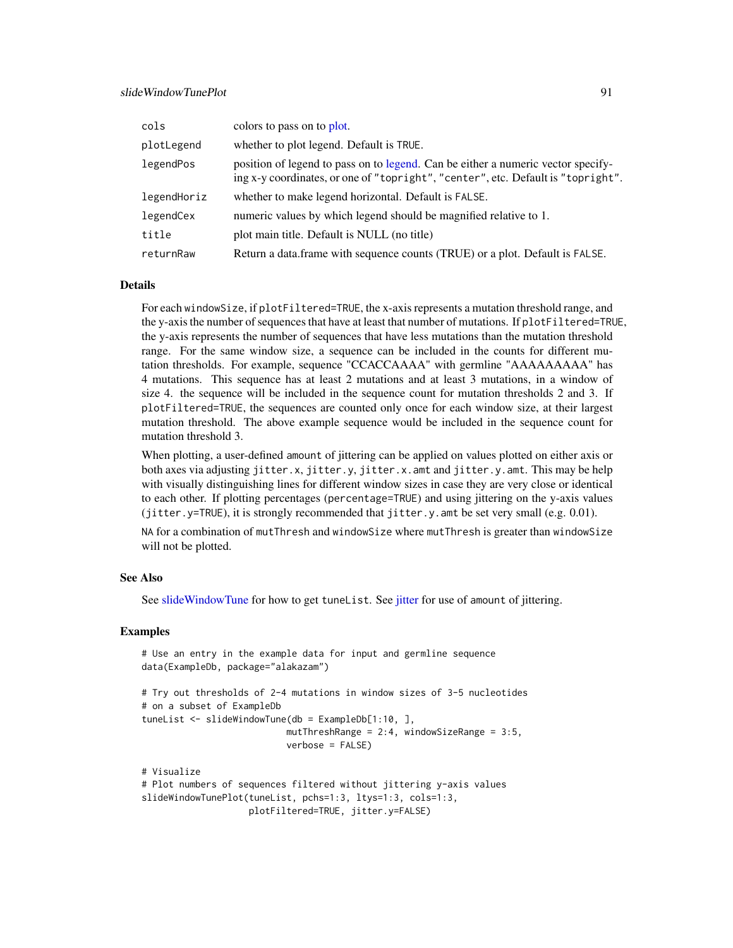<span id="page-90-0"></span>

| cols        | colors to pass on to plot.                                                                                                                                           |
|-------------|----------------------------------------------------------------------------------------------------------------------------------------------------------------------|
| plotLegend  | whether to plot legend. Default is TRUE.                                                                                                                             |
| legendPos   | position of legend to pass on to legend. Can be either a numeric vector specify-<br>ing x-y coordinates, or one of "topright", "center", etc. Default is "topright". |
| legendHoriz | whether to make legend horizontal. Default is FALSE.                                                                                                                 |
| legendCex   | numeric values by which legend should be magnified relative to 1.                                                                                                    |
| title       | plot main title. Default is NULL (no title)                                                                                                                          |
| returnRaw   | Return a data.frame with sequence counts (TRUE) or a plot. Default is FALSE.                                                                                         |

## Details

For each windowSize, if plotFiltered=TRUE, the x-axis represents a mutation threshold range, and the y-axis the number of sequences that have at least that number of mutations. If plotFiltered=TRUE, the y-axis represents the number of sequences that have less mutations than the mutation threshold range. For the same window size, a sequence can be included in the counts for different mutation thresholds. For example, sequence "CCACCAAAA" with germline "AAAAAAAAA" has 4 mutations. This sequence has at least 2 mutations and at least 3 mutations, in a window of size 4. the sequence will be included in the sequence count for mutation thresholds 2 and 3. If plotFiltered=TRUE, the sequences are counted only once for each window size, at their largest mutation threshold. The above example sequence would be included in the sequence count for mutation threshold 3.

When plotting, a user-defined amount of jittering can be applied on values plotted on either axis or both axes via adjusting jitter.x, jitter.y, jitter.x.amt and jitter.y.amt. This may be help with visually distinguishing lines for different window sizes in case they are very close or identical to each other. If plotting percentages (percentage=TRUE) and using jittering on the y-axis values (jitter.y=TRUE), it is strongly recommended that jitter.y.amt be set very small (e.g. 0.01).

NA for a combination of mutThresh and windowSize where mutThresh is greater than windowSize will not be plotted.

#### See Also

See [slideWindowTune](#page-87-0) for how to get tuneList. See [jitter](#page-0-0) for use of amount of jittering.

```
# Use an entry in the example data for input and germline sequence
data(ExampleDb, package="alakazam")
# Try out thresholds of 2-4 mutations in window sizes of 3-5 nucleotides
# on a subset of ExampleDb
tuneList <- slideWindowTune(db = ExampleDb[1:10, ],
                           mutThreshRange = 2:4, windowSizeRange = 3:5,
                           verbose = FALSE)
# Visualize
# Plot numbers of sequences filtered without jittering y-axis values
slideWindowTunePlot(tuneList, pchs=1:3, ltys=1:3, cols=1:3,
                    plotFiltered=TRUE, jitter.y=FALSE)
```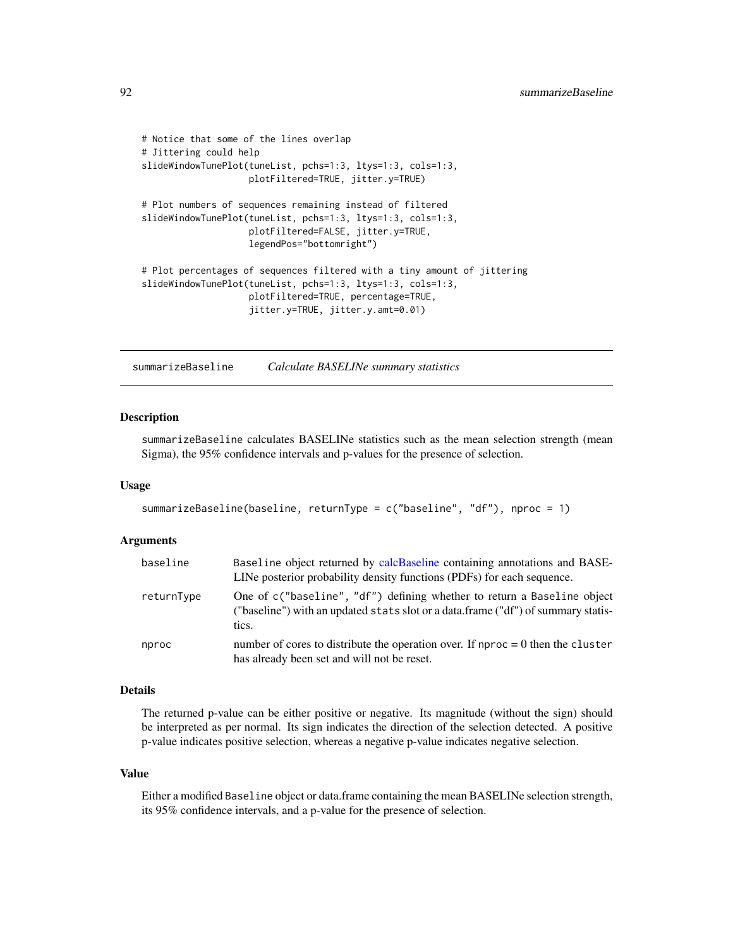```
# Notice that some of the lines overlap
# Jittering could help
slideWindowTunePlot(tuneList, pchs=1:3, ltys=1:3, cols=1:3,
                    plotFiltered=TRUE, jitter.y=TRUE)
# Plot numbers of sequences remaining instead of filtered
slideWindowTunePlot(tuneList, pchs=1:3, ltys=1:3, cols=1:3,
                    plotFiltered=FALSE, jitter.y=TRUE,
                    legendPos="bottomright")
# Plot percentages of sequences filtered with a tiny amount of jittering
slideWindowTunePlot(tuneList, pchs=1:3, ltys=1:3, cols=1:3,
                    plotFiltered=TRUE, percentage=TRUE,
                    jitter.y=TRUE, jitter.y.amt=0.01)
```
<span id="page-91-0"></span>summarizeBaseline *Calculate BASELINe summary statistics*

#### **Description**

summarizeBaseline calculates BASELINe statistics such as the mean selection strength (mean Sigma), the 95% confidence intervals and p-values for the presence of selection.

#### Usage

```
summarizeBaseline(baseline, returnType = c("baseline", "df"), nproc = 1)
```
#### Arguments

| baseline   | Baseline object returned by calcBaseline containing annotations and BASE-<br>LINe posterior probability density functions (PDFs) for each sequence.                   |
|------------|-----------------------------------------------------------------------------------------------------------------------------------------------------------------------|
| returnType | One of c("baseline", "df") defining whether to return a Baseline object<br>("baseline") with an updated stats slot or a data.frame ("df") of summary statis-<br>tics. |
| nproc      | number of cores to distribute the operation over. If nproc $= 0$ then the cluster<br>has already been set and will not be reset.                                      |

# Details

The returned p-value can be either positive or negative. Its magnitude (without the sign) should be interpreted as per normal. Its sign indicates the direction of the selection detected. A positive p-value indicates positive selection, whereas a negative p-value indicates negative selection.

#### Value

Either a modified Baseline object or data.frame containing the mean BASELINe selection strength, its 95% confidence intervals, and a p-value for the presence of selection.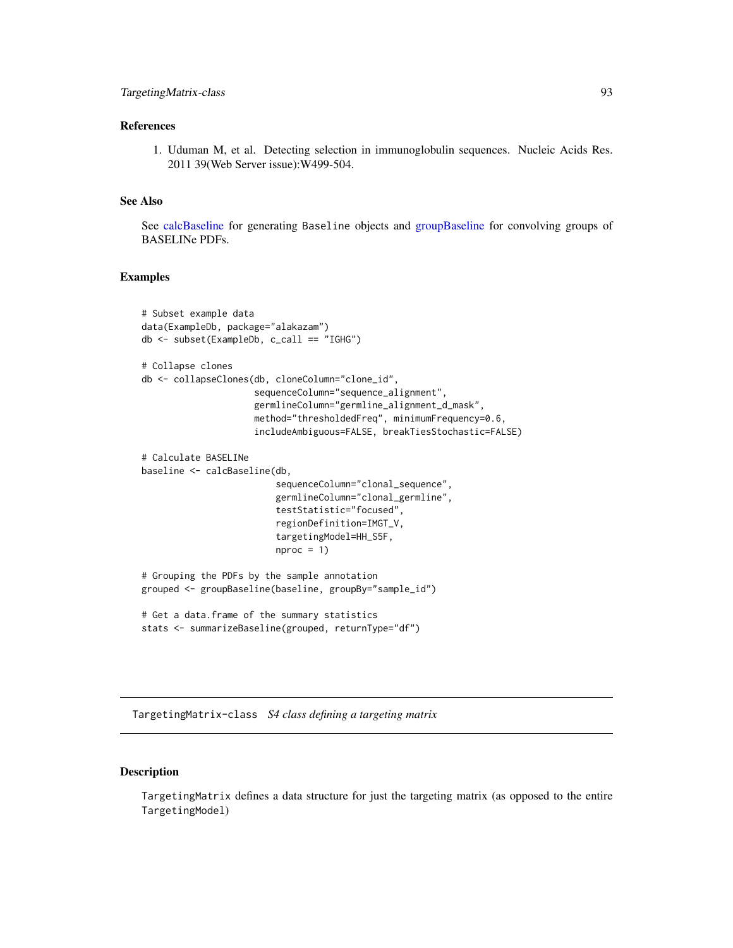# <span id="page-92-0"></span>References

1. Uduman M, et al. Detecting selection in immunoglobulin sequences. Nucleic Acids Res. 2011 39(Web Server issue):W499-504.

#### See Also

See [calcBaseline](#page-4-0) for generating Baseline objects and [groupBaseline](#page-47-0) for convolving groups of BASELINe PDFs.

#### Examples

```
# Subset example data
data(ExampleDb, package="alakazam")
db <- subset(ExampleDb, c_call == "IGHG")
# Collapse clones
db <- collapseClones(db, cloneColumn="clone_id",
                     sequenceColumn="sequence_alignment",
                     germlineColumn="germline_alignment_d_mask",
                     method="thresholdedFreq", minimumFrequency=0.6,
                     includeAmbiguous=FALSE, breakTiesStochastic=FALSE)
# Calculate BASELINe
baseline <- calcBaseline(db,
                         sequenceColumn="clonal_sequence",
                         germlineColumn="clonal_germline",
                         testStatistic="focused",
                         regionDefinition=IMGT_V,
                         targetingModel=HH_S5F,
                         nproc = 1)# Grouping the PDFs by the sample annotation
grouped <- groupBaseline(baseline, groupBy="sample_id")
# Get a data.frame of the summary statistics
stats <- summarizeBaseline(grouped, returnType="df")
```
TargetingMatrix-class *S4 class defining a targeting matrix*

# Description

TargetingMatrix defines a data structure for just the targeting matrix (as opposed to the entire TargetingModel)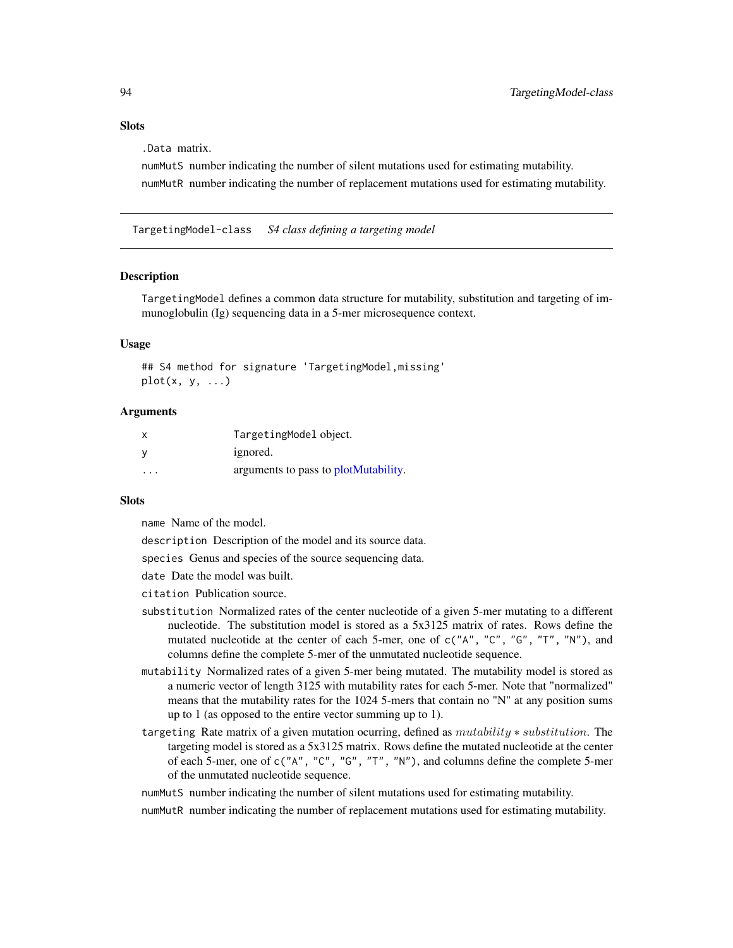#### <span id="page-93-1"></span>**Slots**

.Data matrix.

numMutS number indicating the number of silent mutations used for estimating mutability. numMutR number indicating the number of replacement mutations used for estimating mutability.

TargetingModel-class *S4 class defining a targeting model*

#### <span id="page-93-0"></span>Description

TargetingModel defines a common data structure for mutability, substitution and targeting of immunoglobulin (Ig) sequencing data in a 5-mer microsequence context.

## Usage

## S4 method for signature 'TargetingModel,missing'  $plot(x, y, ...)$ 

# Arguments

| x        | TargetingModel object.               |
|----------|--------------------------------------|
|          | ignored.                             |
| $\cdots$ | arguments to pass to plotMutability. |

# **Slots**

name Name of the model.

description Description of the model and its source data.

species Genus and species of the source sequencing data.

date Date the model was built.

citation Publication source.

- substitution Normalized rates of the center nucleotide of a given 5-mer mutating to a different nucleotide. The substitution model is stored as a 5x3125 matrix of rates. Rows define the mutated nucleotide at the center of each 5-mer, one of c("A", "C", "G", "T", "N"), and columns define the complete 5-mer of the unmutated nucleotide sequence.
- mutability Normalized rates of a given 5-mer being mutated. The mutability model is stored as a numeric vector of length 3125 with mutability rates for each 5-mer. Note that "normalized" means that the mutability rates for the 1024 5-mers that contain no "N" at any position sums up to 1 (as opposed to the entire vector summing up to 1).
- targeting Rate matrix of a given mutation ocurring, defined as  $mutability * substitution$ . The targeting model is stored as a 5x3125 matrix. Rows define the mutated nucleotide at the center of each 5-mer, one of c("A", "C", "G", "T", "N"), and columns define the complete 5-mer of the unmutated nucleotide sequence.

numMutS number indicating the number of silent mutations used for estimating mutability.

numMutR number indicating the number of replacement mutations used for estimating mutability.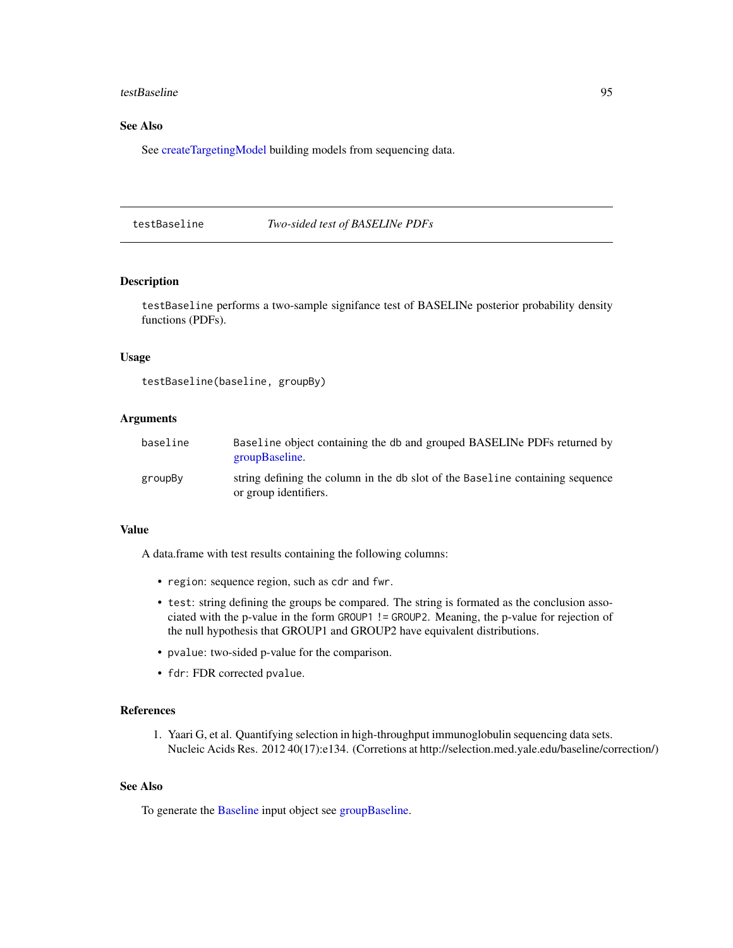#### <span id="page-94-1"></span>testBaseline 95

# See Also

See [createTargetingModel](#page-32-0) building models from sequencing data.

<span id="page-94-0"></span>testBaseline *Two-sided test of BASELINe PDFs*

#### Description

testBaseline performs a two-sample signifance test of BASELINe posterior probability density functions (PDFs).

#### Usage

```
testBaseline(baseline, groupBy)
```
## Arguments

| baseline | Baseline object containing the db and grouped BASELINe PDFs returned by<br>groupBaseline.              |
|----------|--------------------------------------------------------------------------------------------------------|
| groupBy  | string defining the column in the db slot of the Baseline containing sequence<br>or group identifiers. |

## Value

A data.frame with test results containing the following columns:

- region: sequence region, such as cdr and fwr.
- test: string defining the groups be compared. The string is formated as the conclusion associated with the p-value in the form GROUP1 != GROUP2. Meaning, the p-value for rejection of the null hypothesis that GROUP1 and GROUP2 have equivalent distributions.
- pvalue: two-sided p-value for the comparison.
- fdr: FDR corrected pvalue.

#### References

1. Yaari G, et al. Quantifying selection in high-throughput immunoglobulin sequencing data sets. Nucleic Acids Res. 2012 40(17):e134. (Corretions at http://selection.med.yale.edu/baseline/correction/)

#### See Also

To generate the [Baseline](#page-3-0) input object see [groupBaseline.](#page-47-0)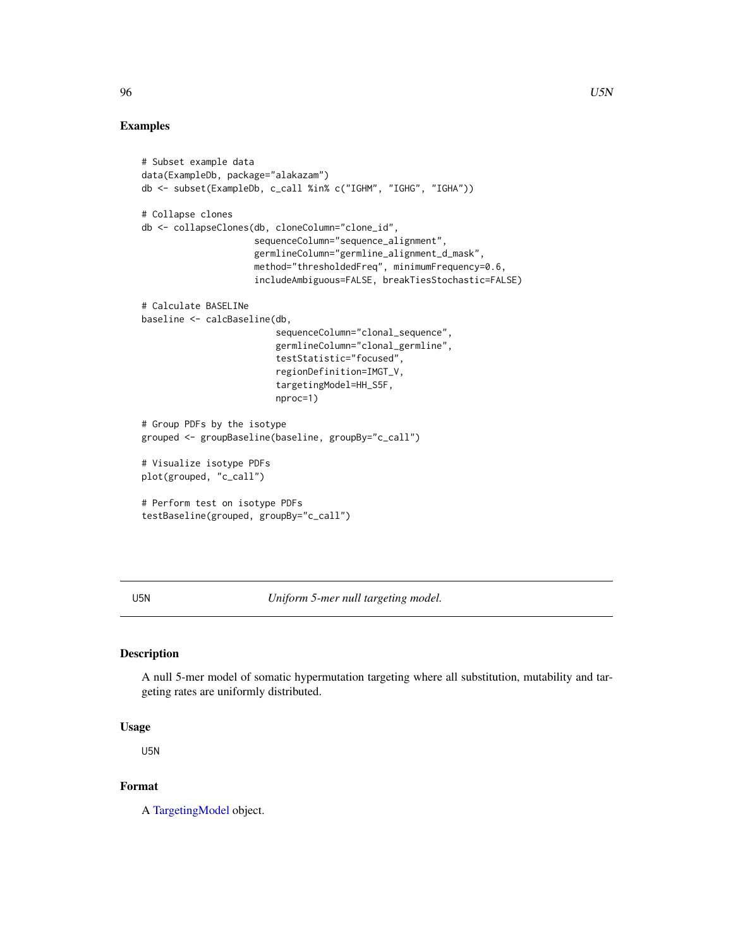# Examples

```
# Subset example data
data(ExampleDb, package="alakazam")
db <- subset(ExampleDb, c_call %in% c("IGHM", "IGHG", "IGHA"))
# Collapse clones
db <- collapseClones(db, cloneColumn="clone_id",
                     sequenceColumn="sequence_alignment",
                     germlineColumn="germline_alignment_d_mask",
                     method="thresholdedFreq", minimumFrequency=0.6,
                     includeAmbiguous=FALSE, breakTiesStochastic=FALSE)
# Calculate BASELINe
baseline <- calcBaseline(db,
                         sequenceColumn="clonal_sequence",
                         germlineColumn="clonal_germline",
                         testStatistic="focused",
                         regionDefinition=IMGT_V,
                         targetingModel=HH_S5F,
                         nproc=1)
# Group PDFs by the isotype
grouped <- groupBaseline(baseline, groupBy="c_call")
# Visualize isotype PDFs
plot(grouped, "c_call")
# Perform test on isotype PDFs
testBaseline(grouped, groupBy="c_call")
```
U5N *Uniform 5-mer null targeting model.*

# Description

A null 5-mer model of somatic hypermutation targeting where all substitution, mutability and targeting rates are uniformly distributed.

#### Usage

U5N

# Format

A [TargetingModel](#page-93-0) object.

<span id="page-95-0"></span>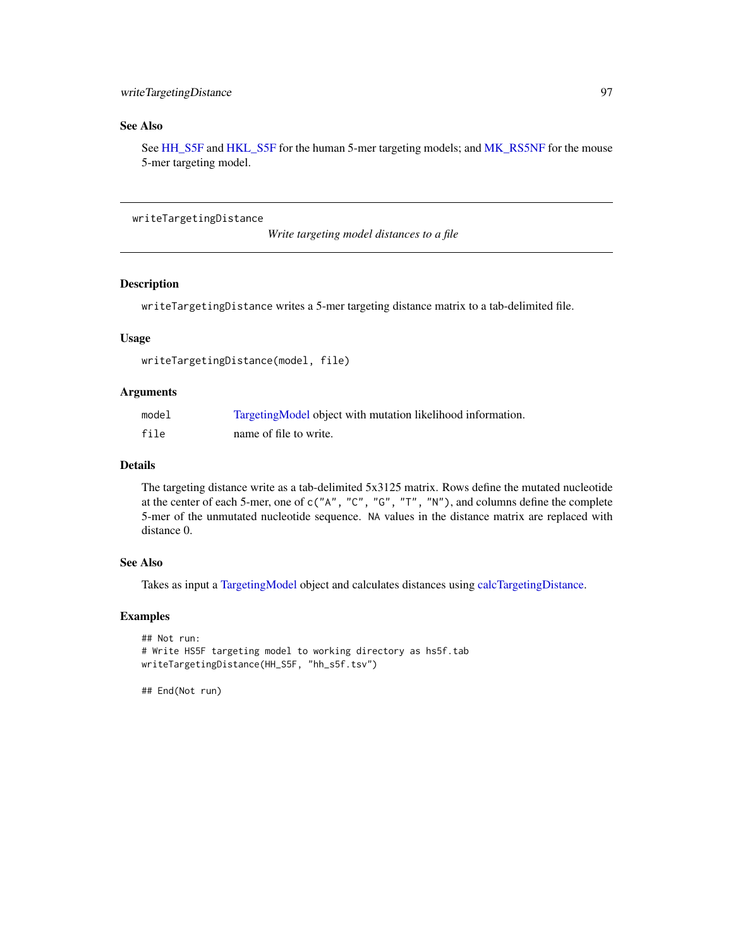# <span id="page-96-0"></span>See Also

See [HH\\_S5F](#page-50-0) and [HKL\\_S5F](#page-51-0) for the human 5-mer targeting models; and [MK\\_RS5NF](#page-62-0) for the mouse 5-mer targeting model.

writeTargetingDistance

*Write targeting model distances to a file*

# Description

writeTargetingDistance writes a 5-mer targeting distance matrix to a tab-delimited file.

#### Usage

```
writeTargetingDistance(model, file)
```
#### Arguments

| model | Targeting Model object with mutation likelihood information. |
|-------|--------------------------------------------------------------|
| file  | name of file to write.                                       |

# Details

The targeting distance write as a tab-delimited 5x3125 matrix. Rows define the mutated nucleotide at the center of each 5-mer, one of c("A", "C", "G", "T", "N"), and columns define the complete 5-mer of the unmutated nucleotide sequence. NA values in the distance matrix are replaced with distance 0.

#### See Also

Takes as input a [TargetingModel](#page-93-0) object and calculates distances using [calcTargetingDistance.](#page-12-0)

#### Examples

```
## Not run:
# Write HS5F targeting model to working directory as hs5f.tab
writeTargetingDistance(HH_S5F, "hh_s5f.tsv")
```
## End(Not run)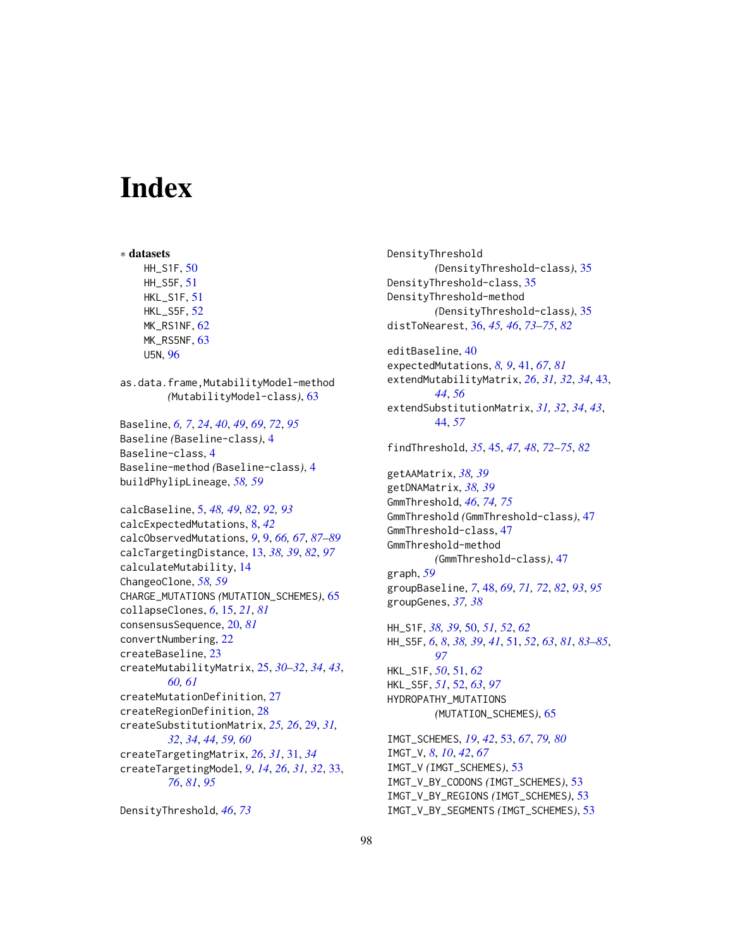# **Index**

∗ datasets HH\_S1F, [50](#page-49-0) HH\_S5F, [51](#page-50-1) HKL\_S1F, [51](#page-50-1) HKL\_S5F, [52](#page-51-1) MK\_RS1NF, [62](#page-61-0) MK\_RS5NF, [63](#page-62-1) U5N, [96](#page-95-0) as.data.frame,MutabilityModel-method *(*MutabilityModel-class*)*, [63](#page-62-1) Baseline, *[6,](#page-5-0) [7](#page-6-0)*, *[24](#page-23-0)*, *[40](#page-39-0)*, *[49](#page-48-0)*, *[69](#page-68-0)*, *[72](#page-71-0)*, *[95](#page-94-1)* Baseline *(*Baseline-class*)*, [4](#page-3-1) Baseline-class, [4](#page-3-1) Baseline-method *(*Baseline-class*)*, [4](#page-3-1) buildPhylipLineage, *[58,](#page-57-0) [59](#page-58-1)* calcBaseline, [5,](#page-4-1) *[48,](#page-47-1) [49](#page-48-0)*, *[82](#page-81-0)*, *[92,](#page-91-1) [93](#page-92-0)* calcExpectedMutations, [8,](#page-7-0) *[42](#page-41-0)* calcObservedMutations, *[9](#page-8-1)*, [9,](#page-8-1) *[66,](#page-65-0) [67](#page-66-0)*, *[87–](#page-86-1)[89](#page-88-0)* calcTargetingDistance, [13,](#page-12-1) *[38,](#page-37-0) [39](#page-38-0)*, *[82](#page-81-0)*, *[97](#page-96-0)* calculateMutability, [14](#page-13-0) ChangeoClone, *[58,](#page-57-0) [59](#page-58-1)* CHARGE\_MUTATIONS *(*MUTATION\_SCHEMES*)*, [65](#page-64-1) collapseClones, *[6](#page-5-0)*, [15,](#page-14-1) *[21](#page-20-0)*, *[81](#page-80-0)* consensusSequence, [20,](#page-19-1) *[81](#page-80-0)* convertNumbering, [22](#page-21-0) createBaseline, [23](#page-22-0) createMutabilityMatrix, [25,](#page-24-0) *[30–](#page-29-0)[32](#page-31-0)*, *[34](#page-33-0)*, *[43](#page-42-0)*, *[60,](#page-59-1) [61](#page-60-0)* createMutationDefinition, [27](#page-26-0) createRegionDefinition, [28](#page-27-0) createSubstitutionMatrix, *[25,](#page-24-0) [26](#page-25-0)*, [29,](#page-28-0) *[31,](#page-30-0) [32](#page-31-0)*, *[34](#page-33-0)*, *[44](#page-43-0)*, *[59,](#page-58-1) [60](#page-59-1)* createTargetingMatrix, *[26](#page-25-0)*, *[31](#page-30-0)*, [31,](#page-30-0) *[34](#page-33-0)* createTargetingModel, *[9](#page-8-1)*, *[14](#page-13-0)*, *[26](#page-25-0)*, *[31,](#page-30-0) [32](#page-31-0)*, [33,](#page-32-1) *[76](#page-75-0)*, *[81](#page-80-0)*, *[95](#page-94-1)*

```
DensityThreshold, 46, 73
```
DensityThreshold *(*DensityThreshold-class*)*, [35](#page-34-1) DensityThreshold-class, [35](#page-34-1) DensityThreshold-method *(*DensityThreshold-class*)*, [35](#page-34-1) distToNearest, [36,](#page-35-1) *[45,](#page-44-1) [46](#page-45-0)*, *[73](#page-72-0)[–75](#page-74-1)*, *[82](#page-81-0)* editBaseline, [40](#page-39-0) expectedMutations, *[8,](#page-7-0) [9](#page-8-1)*, [41,](#page-40-1) *[67](#page-66-0)*, *[81](#page-80-0)* extendMutabilityMatrix, *[26](#page-25-0)*, *[31,](#page-30-0) [32](#page-31-0)*, *[34](#page-33-0)*, [43,](#page-42-0) *[44](#page-43-0)*, *[56](#page-55-0)* extendSubstitutionMatrix, *[31,](#page-30-0) [32](#page-31-0)*, *[34](#page-33-0)*, *[43](#page-42-0)*, [44,](#page-43-0) *[57](#page-56-0)* findThreshold, *[35](#page-34-1)*, [45,](#page-44-1) *[47,](#page-46-1) [48](#page-47-1)*, *[72](#page-71-0)[–75](#page-74-1)*, *[82](#page-81-0)* getAAMatrix, *[38,](#page-37-0) [39](#page-38-0)* getDNAMatrix, *[38,](#page-37-0) [39](#page-38-0)* GmmThreshold, *[46](#page-45-0)*, *[74,](#page-73-0) [75](#page-74-1)* GmmThreshold *(*GmmThreshold-class*)*, [47](#page-46-1) GmmThreshold-class, [47](#page-46-1) GmmThreshold-method *(*GmmThreshold-class*)*, [47](#page-46-1) graph, *[59](#page-58-1)* groupBaseline, *[7](#page-6-0)*, [48,](#page-47-1) *[69](#page-68-0)*, *[71,](#page-70-0) [72](#page-71-0)*, *[82](#page-81-0)*, *[93](#page-92-0)*, *[95](#page-94-1)* groupGenes, *[37,](#page-36-0) [38](#page-37-0)* HH\_S1F, *[38,](#page-37-0) [39](#page-38-0)*, [50,](#page-49-0) *[51,](#page-50-1) [52](#page-51-1)*, *[62](#page-61-0)* HH\_S5F, *[6](#page-5-0)*, *[8](#page-7-0)*, *[38,](#page-37-0) [39](#page-38-0)*, *[41](#page-40-1)*, [51,](#page-50-1) *[52](#page-51-1)*, *[63](#page-62-1)*, *[81](#page-80-0)*, *[83](#page-82-1)[–85](#page-84-0)*, *[97](#page-96-0)* HKL\_S1F, *[50](#page-49-0)*, [51,](#page-50-1) *[62](#page-61-0)* HKL\_S5F, *[51](#page-50-1)*, [52,](#page-51-1) *[63](#page-62-1)*, *[97](#page-96-0)* HYDROPATHY\_MUTATIONS *(*MUTATION\_SCHEMES*)*, [65](#page-64-1) IMGT\_SCHEMES, *[19](#page-18-0)*, *[42](#page-41-0)*, [53,](#page-52-1) *[67](#page-66-0)*, *[79,](#page-78-2) [80](#page-79-0)* IMGT\_V, *[8](#page-7-0)*, *[10](#page-9-0)*, *[42](#page-41-0)*, *[67](#page-66-0)* IMGT\_V *(*IMGT\_SCHEMES*)*, [53](#page-52-1) IMGT\_V\_BY\_CODONS *(*IMGT\_SCHEMES*)*, [53](#page-52-1)

IMGT\_V\_BY\_REGIONS *(*IMGT\_SCHEMES*)*, [53](#page-52-1) IMGT\_V\_BY\_SEGMENTS *(*IMGT\_SCHEMES*)*, [53](#page-52-1)